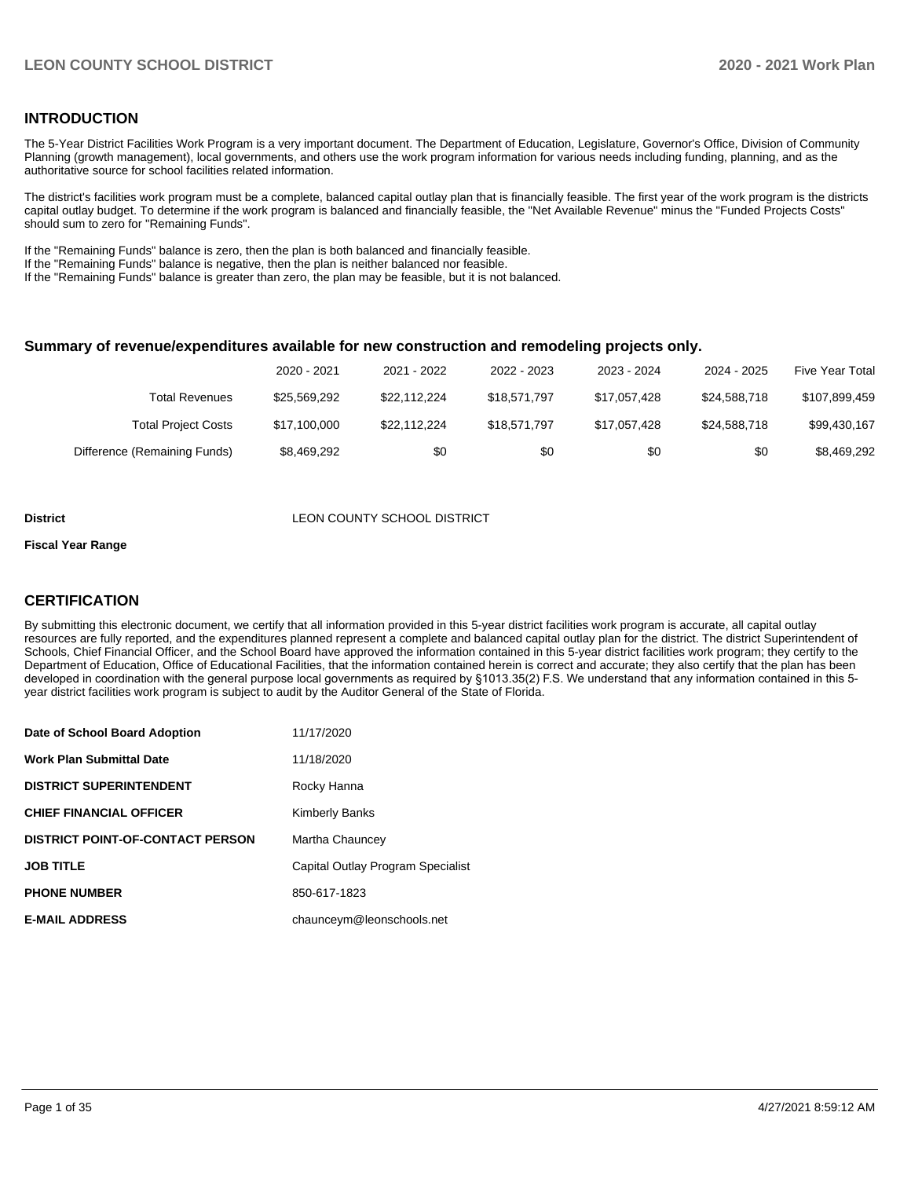## **INTRODUCTION**

The 5-Year District Facilities Work Program is a very important document. The Department of Education, Legislature, Governor's Office, Division of Community Planning (growth management), local governments, and others use the work program information for various needs including funding, planning, and as the authoritative source for school facilities related information.

The district's facilities work program must be a complete, balanced capital outlay plan that is financially feasible. The first year of the work program is the districts capital outlay budget. To determine if the work program is balanced and financially feasible, the "Net Available Revenue" minus the "Funded Projects Costs" should sum to zero for "Remaining Funds".

If the "Remaining Funds" balance is zero, then the plan is both balanced and financially feasible.

If the "Remaining Funds" balance is negative, then the plan is neither balanced nor feasible.

If the "Remaining Funds" balance is greater than zero, the plan may be feasible, but it is not balanced.

#### **Summary of revenue/expenditures available for new construction and remodeling projects only.**

| Five Year Total | 2024 - 2025  | 2023 - 2024  | 2022 - 2023  | 2021 - 2022  | 2020 - 2021  |                              |
|-----------------|--------------|--------------|--------------|--------------|--------------|------------------------------|
| \$107,899,459   | \$24.588.718 | \$17.057.428 | \$18,571,797 | \$22.112.224 | \$25.569.292 | Total Revenues               |
| \$99,430,167    | \$24.588.718 | \$17.057.428 | \$18,571,797 | \$22,112,224 | \$17,100,000 | <b>Total Project Costs</b>   |
| \$8,469,292     | \$0          | \$0          | \$0          | \$0          | \$8,469,292  | Difference (Remaining Funds) |

#### **District District LEON COUNTY SCHOOL DISTRICT**

#### **Fiscal Year Range**

## **CERTIFICATION**

By submitting this electronic document, we certify that all information provided in this 5-year district facilities work program is accurate, all capital outlay resources are fully reported, and the expenditures planned represent a complete and balanced capital outlay plan for the district. The district Superintendent of Schools, Chief Financial Officer, and the School Board have approved the information contained in this 5-year district facilities work program; they certify to the Department of Education, Office of Educational Facilities, that the information contained herein is correct and accurate; they also certify that the plan has been developed in coordination with the general purpose local governments as required by §1013.35(2) F.S. We understand that any information contained in this 5 year district facilities work program is subject to audit by the Auditor General of the State of Florida.

| Date of School Board Adoption           | 11/17/2020                        |
|-----------------------------------------|-----------------------------------|
| Work Plan Submittal Date                | 11/18/2020                        |
| <b>DISTRICT SUPERINTENDENT</b>          | Rocky Hanna                       |
| <b>CHIEF FINANCIAL OFFICER</b>          | <b>Kimberly Banks</b>             |
| <b>DISTRICT POINT-OF-CONTACT PERSON</b> | Martha Chauncey                   |
| JOB TITLE                               | Capital Outlay Program Specialist |
| <b>PHONE NUMBER</b>                     | 850-617-1823                      |
| <b>E-MAIL ADDRESS</b>                   | chaunceym@leonschools.net         |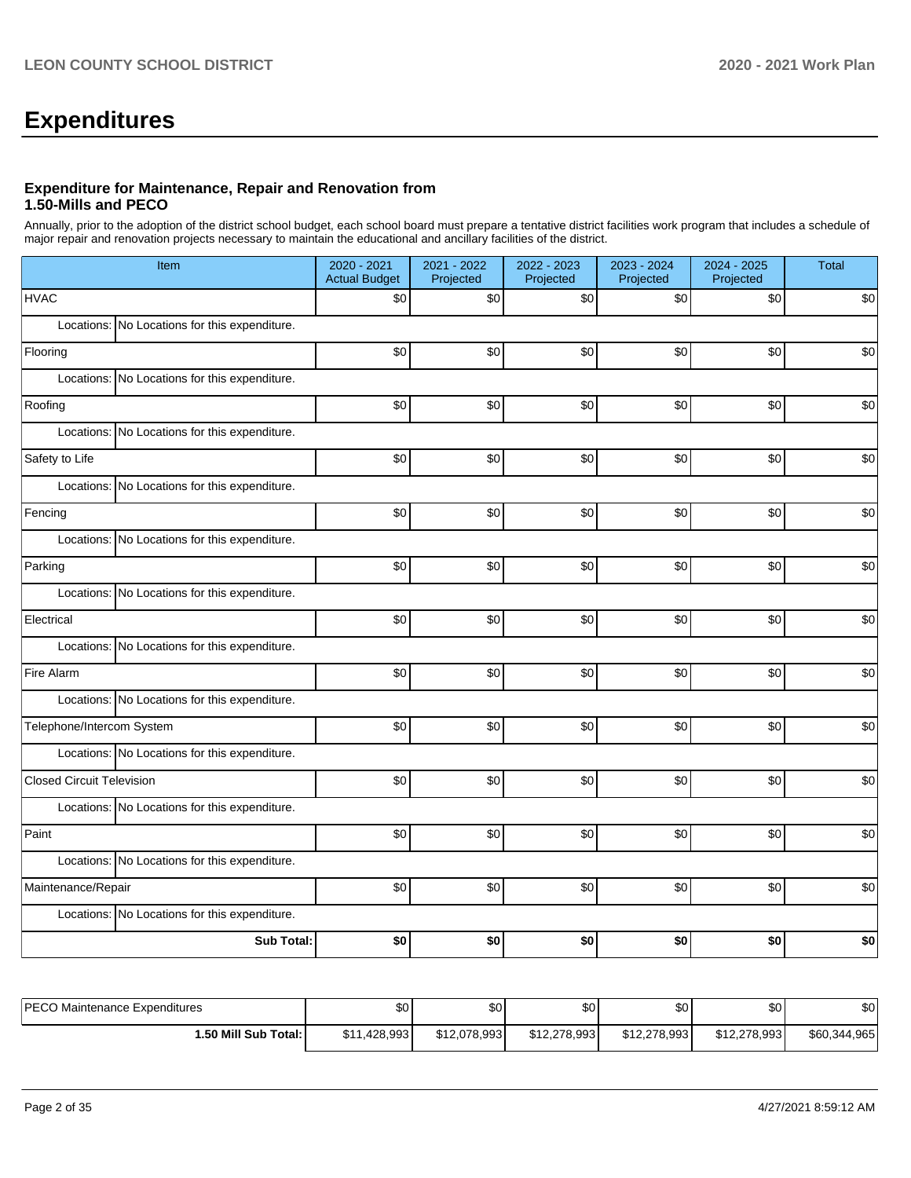# **Expenditures**

## **Expenditure for Maintenance, Repair and Renovation from 1.50-Mills and PECO**

Annually, prior to the adoption of the district school budget, each school board must prepare a tentative district facilities work program that includes a schedule of major repair and renovation projects necessary to maintain the educational and ancillary facilities of the district.

| Item                                          | 2020 - 2021<br><b>Actual Budget</b> | 2021 - 2022<br>Projected | 2022 - 2023<br>Projected | 2023 - 2024<br>Projected | 2024 - 2025<br>Projected | <b>Total</b> |  |  |  |
|-----------------------------------------------|-------------------------------------|--------------------------|--------------------------|--------------------------|--------------------------|--------------|--|--|--|
| <b>HVAC</b>                                   | \$0                                 | \$0                      | \$0                      | \$0                      | \$0                      | \$0          |  |  |  |
| Locations: No Locations for this expenditure. |                                     |                          |                          |                          |                          |              |  |  |  |
| Flooring                                      | \$0                                 | \$0                      | \$0                      | \$0                      | \$0                      | \$0          |  |  |  |
| Locations: No Locations for this expenditure. |                                     |                          |                          |                          |                          |              |  |  |  |
| Roofing                                       | \$0                                 | \$0                      | \$0                      | \$0                      | $$0$$                    | \$0          |  |  |  |
| Locations: No Locations for this expenditure. |                                     |                          |                          |                          |                          |              |  |  |  |
| Safety to Life                                | \$0                                 | \$0                      | \$0                      | \$0                      | \$0                      | \$0          |  |  |  |
| Locations: No Locations for this expenditure. |                                     |                          |                          |                          |                          |              |  |  |  |
| Fencing                                       | \$0                                 | \$0                      | \$0                      | \$0                      | \$0                      | \$0          |  |  |  |
| Locations: No Locations for this expenditure. |                                     |                          |                          |                          |                          |              |  |  |  |
| Parking                                       | \$0                                 | \$0                      | \$0                      | \$0                      | \$0                      | \$0          |  |  |  |
| Locations: No Locations for this expenditure. |                                     |                          |                          |                          |                          |              |  |  |  |
| Electrical                                    | \$0                                 | \$0                      | \$0                      | \$0                      | \$0                      | \$0          |  |  |  |
| Locations: No Locations for this expenditure. |                                     |                          |                          |                          |                          |              |  |  |  |
| Fire Alarm                                    | \$0                                 | \$0                      | \$0                      | \$0                      | \$0                      | \$0          |  |  |  |
| Locations: No Locations for this expenditure. |                                     |                          |                          |                          |                          |              |  |  |  |
| Telephone/Intercom System                     | \$0                                 | \$0                      | \$0                      | \$0                      | \$0                      | \$0          |  |  |  |
| Locations: No Locations for this expenditure. |                                     |                          |                          |                          |                          |              |  |  |  |
| <b>Closed Circuit Television</b>              | \$0                                 | \$0                      | \$0                      | \$0                      | $$0$$                    | \$0          |  |  |  |
| Locations: No Locations for this expenditure. |                                     |                          |                          |                          |                          |              |  |  |  |
| Paint                                         | \$0                                 | \$0                      | \$0                      | \$0                      | \$0                      | \$0          |  |  |  |
| Locations: No Locations for this expenditure. |                                     |                          |                          |                          |                          |              |  |  |  |
| Maintenance/Repair                            | \$0                                 | \$0                      | \$0                      | \$0                      | \$0                      | \$0          |  |  |  |
| Locations: No Locations for this expenditure. |                                     |                          |                          |                          |                          |              |  |  |  |
| <b>Sub Total:</b>                             | \$0                                 | \$0                      | \$0                      | \$0                      | \$0                      | \$0          |  |  |  |

| <b>PECO</b><br>) Maintenance Expenditures | \$0          | \$0          | \$0          | \$0          | ሶሳ<br>ъU     | \$0          |
|-------------------------------------------|--------------|--------------|--------------|--------------|--------------|--------------|
| 1.50 Mill Sub Total: I                    | \$11,428,993 | \$12,078,993 | \$12,278,993 | \$12,278,993 | \$12,278,993 | \$60,344,965 |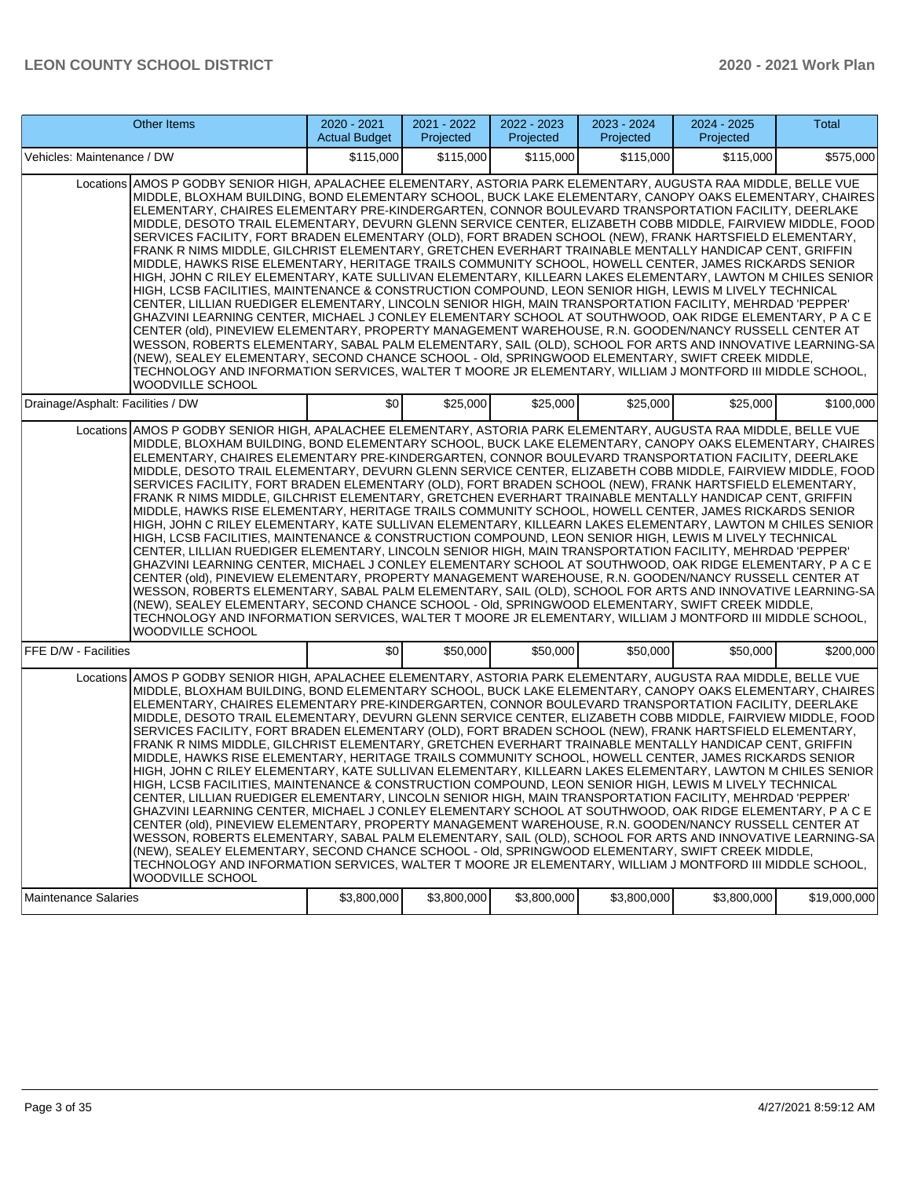| Other Items                                                                                                                                                                                                                                                                                                                                                                                                                                                                                                                                                                                                                                                                                                                                                                                                                                                                                                                                                                                                                                                                                                                                                                                                                                                                                                                                                                                                                                                                                                                                                                                                                                                                                     | 2020 - 2021<br><b>Actual Budget</b> | 2021 - 2022<br>Projected | 2022 - 2023<br>Projected | 2023 - 2024<br>Projected | $2024 - 2025$<br>Projected | <b>Total</b> |
|-------------------------------------------------------------------------------------------------------------------------------------------------------------------------------------------------------------------------------------------------------------------------------------------------------------------------------------------------------------------------------------------------------------------------------------------------------------------------------------------------------------------------------------------------------------------------------------------------------------------------------------------------------------------------------------------------------------------------------------------------------------------------------------------------------------------------------------------------------------------------------------------------------------------------------------------------------------------------------------------------------------------------------------------------------------------------------------------------------------------------------------------------------------------------------------------------------------------------------------------------------------------------------------------------------------------------------------------------------------------------------------------------------------------------------------------------------------------------------------------------------------------------------------------------------------------------------------------------------------------------------------------------------------------------------------------------|-------------------------------------|--------------------------|--------------------------|--------------------------|----------------------------|--------------|
| Vehicles: Maintenance / DW                                                                                                                                                                                                                                                                                                                                                                                                                                                                                                                                                                                                                                                                                                                                                                                                                                                                                                                                                                                                                                                                                                                                                                                                                                                                                                                                                                                                                                                                                                                                                                                                                                                                      | \$115,000                           | \$115,000                | \$115,000                | \$115,000                | \$115,000                  | \$575,000    |
| Locations AMOS P GODBY SENIOR HIGH, APALACHEE ELEMENTARY, ASTORIA PARK ELEMENTARY, AUGUSTA RAA MIDDLE, BELLE VUE<br>MIDDLE, BLOXHAM BUILDING, BOND ELEMENTARY SCHOOL, BUCK LAKE ELEMENTARY, CANOPY OAKS ELEMENTARY, CHAIRES<br>ELEMENTARY, CHAIRES ELEMENTARY PRE-KINDERGARTEN, CONNOR BOULEVARD TRANSPORTATION FACILITY, DEERLAKE<br>MIDDLE, DESOTO TRAIL ELEMENTARY, DEVURN GLENN SERVICE CENTER, ELIZABETH COBB MIDDLE, FAIRVIEW MIDDLE, FOOD<br>SERVICES FACILITY, FORT BRADEN ELEMENTARY (OLD), FORT BRADEN SCHOOL (NEW), FRANK HARTSFIELD ELEMENTARY,<br>FRANK R NIMS MIDDLE, GILCHRIST ELEMENTARY, GRETCHEN EVERHART TRAINABLE MENTALLY HANDICAP CENT, GRIFFIN<br>MIDDLE, HAWKS RISE ELEMENTARY, HERITAGE TRAILS COMMUNITY SCHOOL, HOWELL CENTER, JAMES RICKARDS SENIOR<br>HIGH, JOHN C RILEY ELEMENTARY, KATE SULLIVAN ELEMENTARY, KILLEARN LAKES ELEMENTARY, LAWTON M CHILES SENIOR<br>HIGH, LCSB FACILITIES, MAINTENANCE & CONSTRUCTION COMPOUND, LEON SENIOR HIGH, LEWIS M LIVELY TECHNICAL<br>CENTER, LILLIAN RUEDIGER ELEMENTARY, LINCOLN SENIOR HIGH, MAIN TRANSPORTATION FACILITY, MEHRDAD 'PEPPER'<br>GHAZVINI LEARNING CENTER, MICHAEL J CONLEY ELEMENTARY SCHOOL AT SOUTHWOOD, OAK RIDGE ELEMENTARY, P A C E<br>CENTER (old), PINEVIEW ELEMENTARY, PROPERTY MANAGEMENT WAREHOUSE, R.N. GOODEN/NANCY RUSSELL CENTER AT<br>WESSON, ROBERTS ELEMENTARY, SABAL PALM ELEMENTARY, SAIL (OLD), SCHOOL FOR ARTS AND INNOVATIVE LEARNING-SA<br>(NEW), SEALEY ELEMENTARY, SECOND CHANCE SCHOOL - Old, SPRINGWOOD ELEMENTARY, SWIFT CREEK MIDDLE,<br>TECHNOLOGY AND INFORMATION SERVICES, WALTER T MOORE JR ELEMENTARY, WILLIAM J MONTFORD III MIDDLE SCHOOL,<br>WOODVILLE SCHOOL        |                                     |                          |                          |                          |                            |              |
| Drainage/Asphalt: Facilities / DW                                                                                                                                                                                                                                                                                                                                                                                                                                                                                                                                                                                                                                                                                                                                                                                                                                                                                                                                                                                                                                                                                                                                                                                                                                                                                                                                                                                                                                                                                                                                                                                                                                                               | \$0                                 | \$25,000                 | \$25,000                 | \$25,000                 | \$25,000                   | \$100,000    |
| Locations AMOS P GODBY SENIOR HIGH, APALACHEE ELEMENTARY, ASTORIA PARK ELEMENTARY, AUGUSTA RAA MIDDLE, BELLE VUE<br>MIDDLE, BLOXHAM BUILDING, BOND ELEMENTARY SCHOOL, BUCK LAKE ELEMENTARY, CANOPY OAKS ELEMENTARY, CHAIRES<br>ELEMENTARY, CHAIRES ELEMENTARY PRE-KINDERGARTEN, CONNOR BOULEVARD TRANSPORTATION FACILITY, DEERLAKE<br>MIDDLE, DESOTO TRAIL ELEMENTARY, DEVURN GLENN SERVICE CENTER, ELIZABETH COBB MIDDLE, FAIRVIEW MIDDLE, FOOD<br>SERVICES FACILITY, FORT BRADEN ELEMENTARY (OLD), FORT BRADEN SCHOOL (NEW), FRANK HARTSFIELD ELEMENTARY,<br>FRANK R NIMS MIDDLE, GILCHRIST ELEMENTARY, GRETCHEN EVERHART TRAINABLE MENTALLY HANDICAP CENT, GRIFFIN<br>MIDDLE, HAWKS RISE ELEMENTARY, HERITAGE TRAILS COMMUNITY SCHOOL, HOWELL CENTER, JAMES RICKARDS SENIOR<br>HIGH, JOHN C RILEY ELEMENTARY, KATE SULLIVAN ELEMENTARY, KILLEARN LAKES ELEMENTARY, LAWTON M CHILES SENIOR<br>HIGH, LCSB FACILITIES, MAINTENANCE & CONSTRUCTION COMPOUND, LEON SENIOR HIGH, LEWIS M LIVELY TECHNICAL<br>CENTER, LILLIAN RUEDIGER ELEMENTARY, LINCOLN SENIOR HIGH, MAIN TRANSPORTATION FACILITY, MEHRDAD 'PEPPER'<br>GHAZVINI LEARNING CENTER, MICHAEL J CONLEY ELEMENTARY SCHOOL AT SOUTHWOOD, OAK RIDGE ELEMENTARY, P A C E<br>CENTER (old), PINEVIEW ELEMENTARY, PROPERTY MANAGEMENT WAREHOUSE, R.N. GOODEN/NANCY RUSSELL CENTER AT<br>WESSON, ROBERTS ELEMENTARY, SABAL PALM ELEMENTARY, SAIL (OLD), SCHOOL FOR ARTS AND INNOVATIVE LEARNING-SA<br>(NEW), SEALEY ELEMENTARY, SECOND CHANCE SCHOOL - Old, SPRINGWOOD ELEMENTARY, SWIFT CREEK MIDDLE,<br>TECHNOLOGY AND INFORMATION SERVICES, WALTER T MOORE JR ELEMENTARY, WILLIAM J MONTFORD III MIDDLE SCHOOL,<br><b>WOODVILLE SCHOOL</b> |                                     |                          |                          |                          |                            |              |
| FFE D/W - Facilities                                                                                                                                                                                                                                                                                                                                                                                                                                                                                                                                                                                                                                                                                                                                                                                                                                                                                                                                                                                                                                                                                                                                                                                                                                                                                                                                                                                                                                                                                                                                                                                                                                                                            | \$0                                 | \$50,000                 | \$50,000                 | \$50,000                 | \$50,000                   | \$200,000    |
| Locations AMOS P GODBY SENIOR HIGH, APALACHEE ELEMENTARY, ASTORIA PARK ELEMENTARY, AUGUSTA RAA MIDDLE, BELLE VUE<br>MIDDLE, BLOXHAM BUILDING, BOND ELEMENTARY SCHOOL, BUCK LAKE ELEMENTARY, CANOPY OAKS ELEMENTARY, CHAIRES<br>ELEMENTARY, CHAIRES ELEMENTARY PRE-KINDERGARTEN, CONNOR BOULEVARD TRANSPORTATION FACILITY, DEERLAKE<br>MIDDLE, DESOTO TRAIL ELEMENTARY, DEVURN GLENN SERVICE CENTER, ELIZABETH COBB MIDDLE, FAIRVIEW MIDDLE, FOOD<br>SERVICES FACILITY, FORT BRADEN ELEMENTARY (OLD), FORT BRADEN SCHOOL (NEW), FRANK HARTSFIELD ELEMENTARY,<br>FRANK R NIMS MIDDLE, GILCHRIST ELEMENTARY, GRETCHEN EVERHART TRAINABLE MENTALLY HANDICAP CENT, GRIFFIN<br>MIDDLE, HAWKS RISE ELEMENTARY, HERITAGE TRAILS COMMUNITY SCHOOL, HOWELL CENTER, JAMES RICKARDS SENIOR<br>HIGH, JOHN C RILEY ELEMENTARY, KATE SULLIVAN ELEMENTARY, KILLEARN LAKES ELEMENTARY, LAWTON M CHILES SENIOR<br>HIGH, LCSB FACILITIES, MAINTENANCE & CONSTRUCTION COMPOUND, LEON SENIOR HIGH, LEWIS M LIVELY TECHNICAL<br>CENTER, LILLIAN RUEDIGER ELEMENTARY, LINCOLN SENIOR HIGH, MAIN TRANSPORTATION FACILITY, MEHRDAD 'PEPPER'<br>GHAZVINI LEARNING CENTER. MICHAEL J CONLEY ELEMENTARY SCHOOL AT SOUTHWOOD. OAK RIDGE ELEMENTARY. P A C E<br>CENTER (old), PINEVIEW ELEMENTARY, PROPERTY MANAGEMENT WAREHOUSE, R.N. GOODEN/NANCY RUSSELL CENTER AT<br>WESSON, ROBERTS ELEMENTARY, SABAL PALM ELEMENTARY, SAIL (OLD), SCHOOL FOR ARTS AND INNOVATIVE LEARNING-SA<br>(NEW), SEALEY ELEMENTARY, SECOND CHANCE SCHOOL - Old, SPRINGWOOD ELEMENTARY, SWIFT CREEK MIDDLE,<br>TECHNOLOGY AND INFORMATION SERVICES, WALTER T MOORE JR ELEMENTARY, WILLIAM J MONTFORD III MIDDLE SCHOOL,<br>WOODVILLE SCHOOL        |                                     |                          |                          |                          |                            |              |
| <b>Maintenance Salaries</b>                                                                                                                                                                                                                                                                                                                                                                                                                                                                                                                                                                                                                                                                                                                                                                                                                                                                                                                                                                                                                                                                                                                                                                                                                                                                                                                                                                                                                                                                                                                                                                                                                                                                     | \$3,800,000                         | \$3,800,000              | \$3,800,000              | \$3,800,000              | \$3,800,000                | \$19,000,000 |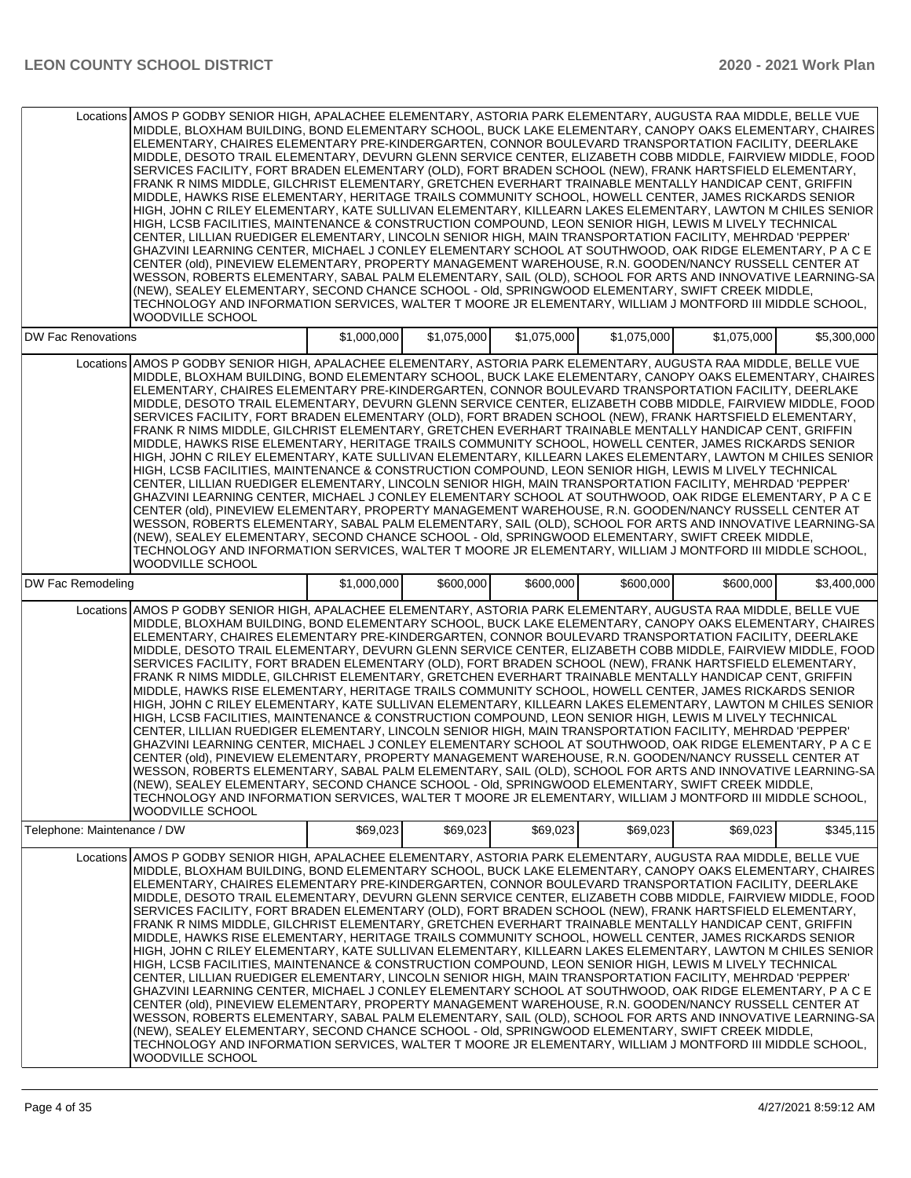|                             | Locations AMOS P GODBY SENIOR HIGH, APALACHEE ELEMENTARY, ASTORIA PARK ELEMENTARY, AUGUSTA RAA MIDDLE, BELLE VUE<br>MIDDLE, BLOXHAM BUILDING, BOND ELEMENTARY SCHOOL, BUCK LAKE ELEMENTARY, CANOPY OAKS ELEMENTARY, CHAIRES<br>ELEMENTARY, CHAIRES ELEMENTARY PRE-KINDERGARTEN, CONNOR BOULEVARD TRANSPORTATION FACILITY, DEERLAKE<br>MIDDLE, DESOTO TRAIL ELEMENTARY, DEVURN GLENN SERVICE CENTER, ELIZABETH COBB MIDDLE, FAIRVIEW MIDDLE, FOOD<br>SERVICES FACILITY, FORT BRADEN ELEMENTARY (OLD), FORT BRADEN SCHOOL (NEW), FRANK HARTSFIELD ELEMENTARY,<br>FRANK R NIMS MIDDLE, GILCHRIST ELEMENTARY, GRETCHEN EVERHART TRAINABLE MENTALLY HANDICAP CENT, GRIFFIN<br>MIDDLE, HAWKS RISE ELEMENTARY, HERITAGE TRAILS COMMUNITY SCHOOL, HOWELL CENTER, JAMES RICKARDS SENIOR<br>HIGH, JOHN C RILEY ELEMENTARY, KATE SULLIVAN ELEMENTARY, KILLEARN LAKES ELEMENTARY, LAWTON M CHILES SENIOR<br>HIGH, LCSB FACILITIES, MAINTENANCE & CONSTRUCTION COMPOUND, LEON SENIOR HIGH, LEWIS M LIVELY TECHNICAL<br>CENTER, LILLIAN RUEDIGER ELEMENTARY, LINCOLN SENIOR HIGH, MAIN TRANSPORTATION FACILITY, MEHRDAD 'PEPPER'<br>GHAZVINI LEARNING CENTER, MICHAEL J CONLEY ELEMENTARY SCHOOL AT SOUTHWOOD, OAK RIDGE ELEMENTARY, P A C E<br>CENTER (old), PINEVIEW ELEMENTARY, PROPERTY MANAGEMENT WAREHOUSE, R.N. GOODEN/NANCY RUSSELL CENTER AT<br>WESSON, ROBERTS ELEMENTARY, SABAL PALM ELEMENTARY, SAIL (OLD), SCHOOL FOR ARTS AND INNOVATIVE LEARNING-SA<br>(NEW), SEALEY ELEMENTARY, SECOND CHANCE SCHOOL - Old, SPRINGWOOD ELEMENTARY, SWIFT CREEK MIDDLE,<br>TECHNOLOGY AND INFORMATION SERVICES, WALTER T MOORE JR ELEMENTARY, WILLIAM J MONTFORD III MIDDLE SCHOOL,<br><b>WOODVILLE SCHOOL</b> |             |             |             |             |             |             |
|-----------------------------|-------------------------------------------------------------------------------------------------------------------------------------------------------------------------------------------------------------------------------------------------------------------------------------------------------------------------------------------------------------------------------------------------------------------------------------------------------------------------------------------------------------------------------------------------------------------------------------------------------------------------------------------------------------------------------------------------------------------------------------------------------------------------------------------------------------------------------------------------------------------------------------------------------------------------------------------------------------------------------------------------------------------------------------------------------------------------------------------------------------------------------------------------------------------------------------------------------------------------------------------------------------------------------------------------------------------------------------------------------------------------------------------------------------------------------------------------------------------------------------------------------------------------------------------------------------------------------------------------------------------------------------------------------------------------------------------------|-------------|-------------|-------------|-------------|-------------|-------------|
| <b>DW Fac Renovations</b>   |                                                                                                                                                                                                                                                                                                                                                                                                                                                                                                                                                                                                                                                                                                                                                                                                                                                                                                                                                                                                                                                                                                                                                                                                                                                                                                                                                                                                                                                                                                                                                                                                                                                                                                 | \$1,000,000 | \$1,075,000 | \$1,075,000 | \$1,075,000 | \$1,075,000 | \$5,300,000 |
|                             | Locations AMOS P GODBY SENIOR HIGH, APALACHEE ELEMENTARY, ASTORIA PARK ELEMENTARY, AUGUSTA RAA MIDDLE, BELLE VUE<br>MIDDLE, BLOXHAM BUILDING, BOND ELEMENTARY SCHOOL, BUCK LAKE ELEMENTARY, CANOPY OAKS ELEMENTARY, CHAIRES<br>ELEMENTARY, CHAIRES ELEMENTARY PRE-KINDERGARTEN, CONNOR BOULEVARD TRANSPORTATION FACILITY, DEERLAKE<br>MIDDLE, DESOTO TRAIL ELEMENTARY, DEVURN GLENN SERVICE CENTER, ELIZABETH COBB MIDDLE, FAIRVIEW MIDDLE, FOOD<br>SERVICES FACILITY, FORT BRADEN ELEMENTARY (OLD), FORT BRADEN SCHOOL (NEW), FRANK HARTSFIELD ELEMENTARY,<br>FRANK R NIMS MIDDLE, GILCHRIST ELEMENTARY, GRETCHEN EVERHART TRAINABLE MENTALLY HANDICAP CENT, GRIFFIN<br>MIDDLE, HAWKS RISE ELEMENTARY, HERITAGE TRAILS COMMUNITY SCHOOL, HOWELL CENTER, JAMES RICKARDS SENIOR<br>HIGH, JOHN C RILEY ELEMENTARY, KATE SULLIVAN ELEMENTARY, KILLEARN LAKES ELEMENTARY, LAWTON M CHILES SENIOR<br>HIGH, LCSB FACILITIES, MAINTENANCE & CONSTRUCTION COMPOUND, LEON SENIOR HIGH, LEWIS M LIVELY TECHNICAL<br>CENTER, LILLIAN RUEDIGER ELEMENTARY, LINCOLN SENIOR HIGH, MAIN TRANSPORTATION FACILITY, MEHRDAD 'PEPPER'<br>GHAZVINI LEARNING CENTER, MICHAEL J CONLEY ELEMENTARY SCHOOL AT SOUTHWOOD, OAK RIDGE ELEMENTARY, P A C E<br>CENTER (old), PINEVIEW ELEMENTARY, PROPERTY MANAGEMENT WAREHOUSE, R.N. GOODEN/NANCY RUSSELL CENTER AT<br>WESSON, ROBERTS ELEMENTARY, SABAL PALM ELEMENTARY, SAIL (OLD), SCHOOL FOR ARTS AND INNOVATIVE LEARNING-SA<br>(NEW), SEALEY ELEMENTARY, SECOND CHANCE SCHOOL - Old, SPRINGWOOD ELEMENTARY, SWIFT CREEK MIDDLE,<br>TECHNOLOGY AND INFORMATION SERVICES, WALTER T MOORE JR ELEMENTARY, WILLIAM J MONTFORD III MIDDLE SCHOOL,<br><b>WOODVILLE SCHOOL</b> |             |             |             |             |             |             |
| DW Fac Remodeling           |                                                                                                                                                                                                                                                                                                                                                                                                                                                                                                                                                                                                                                                                                                                                                                                                                                                                                                                                                                                                                                                                                                                                                                                                                                                                                                                                                                                                                                                                                                                                                                                                                                                                                                 | \$1,000,000 | \$600,000   | \$600,000   | \$600,000   | \$600,000   | \$3,400,000 |
|                             | Locations AMOS P GODBY SENIOR HIGH, APALACHEE ELEMENTARY, ASTORIA PARK ELEMENTARY, AUGUSTA RAA MIDDLE, BELLE VUE<br>MIDDLE, BLOXHAM BUILDING, BOND ELEMENTARY SCHOOL, BUCK LAKE ELEMENTARY, CANOPY OAKS ELEMENTARY, CHAIRES<br>ELEMENTARY, CHAIRES ELEMENTARY PRE-KINDERGARTEN, CONNOR BOULEVARD TRANSPORTATION FACILITY, DEERLAKE<br>MIDDLE, DESOTO TRAIL ELEMENTARY, DEVURN GLENN SERVICE CENTER, ELIZABETH COBB MIDDLE, FAIRVIEW MIDDLE, FOOD<br>SERVICES FACILITY, FORT BRADEN ELEMENTARY (OLD), FORT BRADEN SCHOOL (NEW), FRANK HARTSFIELD ELEMENTARY,<br>FRANK R NIMS MIDDLE, GILCHRIST ELEMENTARY, GRETCHEN EVERHART TRAINABLE MENTALLY HANDICAP CENT, GRIFFIN<br>MIDDLE, HAWKS RISE ELEMENTARY, HERITAGE TRAILS COMMUNITY SCHOOL, HOWELL CENTER, JAMES RICKARDS SENIOR<br>HIGH, JOHN C RILEY ELEMENTARY, KATE SULLIVAN ELEMENTARY, KILLEARN LAKES ELEMENTARY, LAWTON M CHILES SENIOR<br>HIGH, LCSB FACILITIES, MAINTENANCE & CONSTRUCTION COMPOUND, LEON SENIOR HIGH, LEWIS M LIVELY TECHNICAL<br>CENTER, LILLIAN RUEDIGER ELEMENTARY, LINCOLN SENIOR HIGH, MAIN TRANSPORTATION FACILITY, MEHRDAD 'PEPPER'<br>GHAZVINI LEARNING CENTER, MICHAEL J CONLEY ELEMENTARY SCHOOL AT SOUTHWOOD, OAK RIDGE ELEMENTARY, P A C E<br>CENTER (old), PINEVIEW ELEMENTARY, PROPERTY MANAGEMENT WAREHOUSE, R.N. GOODEN/NANCY RUSSELL CENTER AT<br>WESSON, ROBERTS ELEMENTARY, SABAL PALM ELEMENTARY, SAIL (OLD), SCHOOL FOR ARTS AND INNOVATIVE LEARNING-SA<br>(NEW), SEALEY ELEMENTARY, SECOND CHANCE SCHOOL - Old, SPRINGWOOD ELEMENTARY, SWIFT CREEK MIDDLE,<br>TECHNOLOGY AND INFORMATION SERVICES, WALTER T MOORE JR ELEMENTARY, WILLIAM J MONTFORD III MIDDLE SCHOOL,<br>WOODVILLE SCHOOL        |             |             |             |             |             |             |
| Telephone: Maintenance / DW |                                                                                                                                                                                                                                                                                                                                                                                                                                                                                                                                                                                                                                                                                                                                                                                                                                                                                                                                                                                                                                                                                                                                                                                                                                                                                                                                                                                                                                                                                                                                                                                                                                                                                                 | \$69,023    | \$69,023    | \$69,023    | \$69,023    | \$69,023    | \$345,115   |
|                             | Locations AMOS P GODBY SENIOR HIGH, APALACHEE ELEMENTARY, ASTORIA PARK ELEMENTARY, AUGUSTA RAA MIDDLE, BELLE VUE<br>MIDDLE, BLOXHAM BUILDING, BOND ELEMENTARY SCHOOL, BUCK LAKE ELEMENTARY, CANOPY OAKS ELEMENTARY, CHAIRES<br>ELEMENTARY, CHAIRES ELEMENTARY PRE-KINDERGARTEN, CONNOR BOULEVARD TRANSPORTATION FACILITY, DEERLAKE<br>MIDDLE, DESOTO TRAIL ELEMENTARY, DEVURN GLENN SERVICE CENTER, ELIZABETH COBB MIDDLE, FAIRVIEW MIDDLE, FOOD<br>SERVICES FACILITY, FORT BRADEN ELEMENTARY (OLD), FORT BRADEN SCHOOL (NEW), FRANK HARTSFIELD ELEMENTARY,<br>FRANK R NIMS MIDDLE, GILCHRIST ELEMENTARY, GRETCHEN EVERHART TRAINABLE MENTALLY HANDICAP CENT, GRIFFIN<br>MIDDLE, HAWKS RISE ELEMENTARY, HERITAGE TRAILS COMMUNITY SCHOOL, HOWELL CENTER, JAMES RICKARDS SENIOR<br>HIGH, JOHN C RILEY ELEMENTARY, KATE SULLIVAN ELEMENTARY, KILLEARN LAKES ELEMENTARY, LAWTON M CHILES SENIOR<br>HIGH, LCSB FACILITIES, MAINTENANCE & CONSTRUCTION COMPOUND, LEON SENIOR HIGH, LEWIS M LIVELY TECHNICAL<br>CENTER, LILLIAN RUEDIGER ELEMENTARY, LINCOLN SENIOR HIGH, MAIN TRANSPORTATION FACILITY, MEHRDAD 'PEPPER'<br>GHAZVINI LEARNING CENTER, MICHAEL J CONLEY ELEMENTARY SCHOOL AT SOUTHWOOD, OAK RIDGE ELEMENTARY, P A C E<br>CENTER (old), PINEVIEW ELEMENTARY, PROPERTY MANAGEMENT WAREHOUSE, R.N. GOODEN/NANCY RUSSELL CENTER AT<br>WESSON, ROBERTS ELEMENTARY, SABAL PALM ELEMENTARY, SAIL (OLD), SCHOOL FOR ARTS AND INNOVATIVE LEARNING-SA<br>(NEW), SEALEY ELEMENTARY, SECOND CHANCE SCHOOL - Old, SPRINGWOOD ELEMENTARY, SWIFT CREEK MIDDLE,<br>TECHNOLOGY AND INFORMATION SERVICES, WALTER T MOORE JR ELEMENTARY, WILLIAM J MONTFORD III MIDDLE SCHOOL,<br>WOODVILLE SCHOOL        |             |             |             |             |             |             |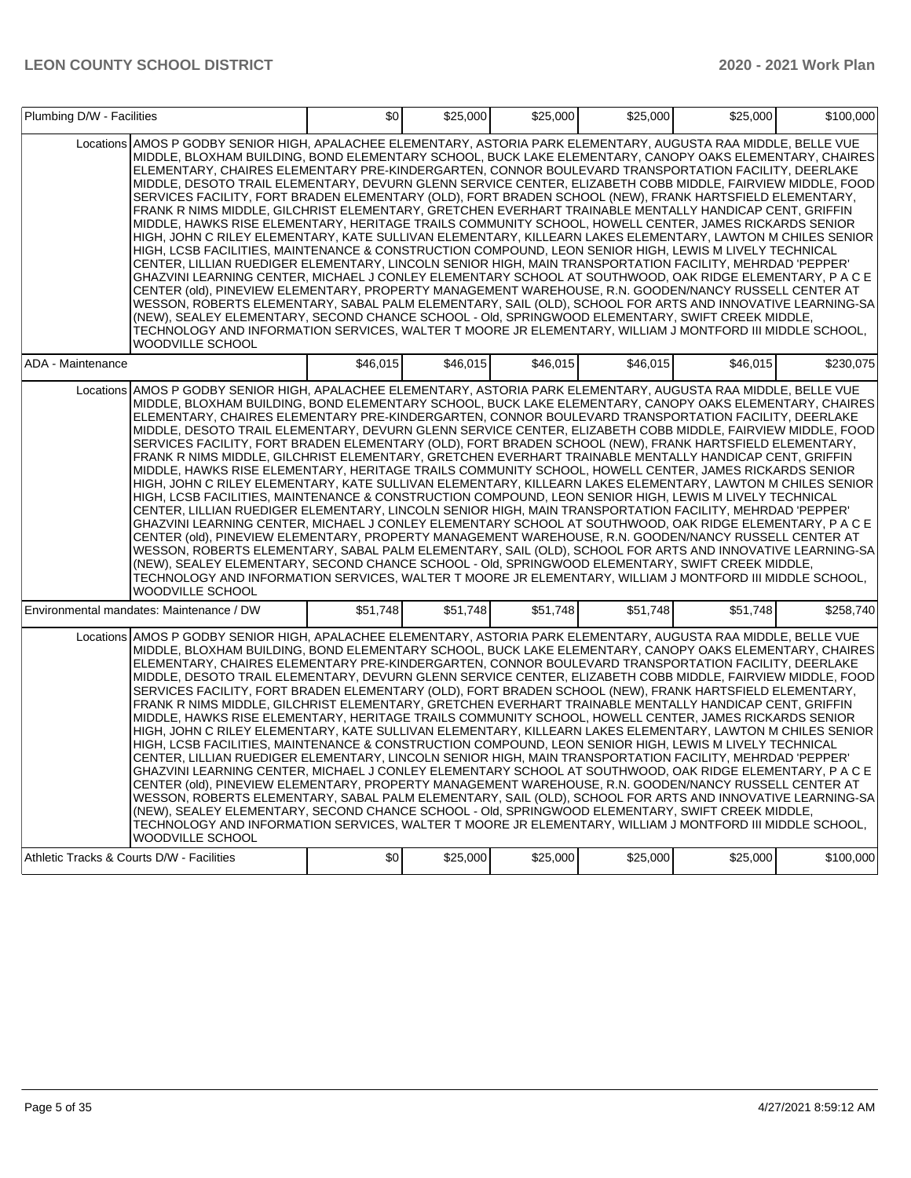|                                           | Plumbing D/W - Facilities                                                                                                                                                                                                                                                                                                                                                                                                                                                                                                                                                                                                                                                                                                                                                                                                                                                                                                                                                                                                                                                                                                                                                                                                                                                                                                                                                                                                                                                                                                                                                                                                                                                                |          | \$0<br>\$25,000 | \$25,000 | \$25,000 | \$25,000 | \$100,000 |
|-------------------------------------------|------------------------------------------------------------------------------------------------------------------------------------------------------------------------------------------------------------------------------------------------------------------------------------------------------------------------------------------------------------------------------------------------------------------------------------------------------------------------------------------------------------------------------------------------------------------------------------------------------------------------------------------------------------------------------------------------------------------------------------------------------------------------------------------------------------------------------------------------------------------------------------------------------------------------------------------------------------------------------------------------------------------------------------------------------------------------------------------------------------------------------------------------------------------------------------------------------------------------------------------------------------------------------------------------------------------------------------------------------------------------------------------------------------------------------------------------------------------------------------------------------------------------------------------------------------------------------------------------------------------------------------------------------------------------------------------|----------|-----------------|----------|----------|----------|-----------|
|                                           | Locations AMOS P GODBY SENIOR HIGH. APALACHEE ELEMENTARY. ASTORIA PARK ELEMENTARY. AUGUSTA RAA MIDDLE. BELLE VUE<br>MIDDLE, BLOXHAM BUILDING, BOND ELEMENTARY SCHOOL, BUCK LAKE ELEMENTARY, CANOPY OAKS ELEMENTARY, CHAIRES<br>ELEMENTARY, CHAIRES ELEMENTARY PRE-KINDERGARTEN, CONNOR BOULEVARD TRANSPORTATION FACILITY, DEERLAKE<br>MIDDLE. DESOTO TRAIL ELEMENTARY. DEVURN GLENN SERVICE CENTER. ELIZABETH COBB MIDDLE. FAIRVIEW MIDDLE. FOOD<br>SERVICES FACILITY, FORT BRADEN ELEMENTARY (OLD), FORT BRADEN SCHOOL (NEW), FRANK HARTSFIELD ELEMENTARY,<br>FRANK R NIMS MIDDLE, GILCHRIST ELEMENTARY, GRETCHEN EVERHART TRAINABLE MENTALLY HANDICAP CENT, GRIFFIN<br>MIDDLE, HAWKS RISE ELEMENTARY, HERITAGE TRAILS COMMUNITY SCHOOL, HOWELL CENTER, JAMES RICKARDS SENIOR<br>HIGH, JOHN C RILEY ELEMENTARY, KATE SULLIVAN ELEMENTARY, KILLEARN LAKES ELEMENTARY, LAWTON M CHILES SENIOR<br>HIGH, LCSB FACILITIES, MAINTENANCE & CONSTRUCTION COMPOUND, LEON SENIOR HIGH, LEWIS M LIVELY TECHNICAL<br>CENTER, LILLIAN RUEDIGER ELEMENTARY, LINCOLN SENIOR HIGH, MAIN TRANSPORTATION FACILITY, MEHRDAD 'PEPPER'<br>GHAZVINI LEARNING CENTER, MICHAEL J CONLEY ELEMENTARY SCHOOL AT SOUTHWOOD, OAK RIDGE ELEMENTARY, P A C E<br>CENTER (old). PINEVIEW ELEMENTARY. PROPERTY MANAGEMENT WAREHOUSE. R.N. GOODEN/NANCY RUSSELL CENTER AT<br>WESSON, ROBERTS ELEMENTARY, SABAL PALM ELEMENTARY, SAIL (OLD), SCHOOL FOR ARTS AND INNOVATIVE LEARNING-SA<br>(NEW), SEALEY ELEMENTARY, SECOND CHANCE SCHOOL - Old, SPRINGWOOD ELEMENTARY, SWIFT CREEK MIDDLE,<br>TECHNOLOGY AND INFORMATION SERVICES, WALTER T MOORE JR ELEMENTARY, WILLIAM J MONTFORD III MIDDLE SCHOOL,<br>WOODVILLE SCHOOL |          |                 |          |          |          |           |
| ADA - Maintenance                         |                                                                                                                                                                                                                                                                                                                                                                                                                                                                                                                                                                                                                                                                                                                                                                                                                                                                                                                                                                                                                                                                                                                                                                                                                                                                                                                                                                                                                                                                                                                                                                                                                                                                                          | \$46,015 | \$46,015        | \$46,015 | \$46,015 | \$46,015 | \$230,075 |
|                                           | Locations AMOS P GODBY SENIOR HIGH, APALACHEE ELEMENTARY, ASTORIA PARK ELEMENTARY, AUGUSTA RAA MIDDLE, BELLE VUE<br>MIDDLE, BLOXHAM BUILDING, BOND ELEMENTARY SCHOOL, BUCK LAKE ELEMENTARY, CANOPY OAKS ELEMENTARY, CHAIRES<br>ELEMENTARY, CHAIRES ELEMENTARY PRE-KINDERGARTEN, CONNOR BOULEVARD TRANSPORTATION FACILITY, DEERLAKE<br>MIDDLE, DESOTO TRAIL ELEMENTARY, DEVURN GLENN SERVICE CENTER, ELIZABETH COBB MIDDLE, FAIRVIEW MIDDLE, FOOD<br>SERVICES FACILITY, FORT BRADEN ELEMENTARY (OLD), FORT BRADEN SCHOOL (NEW), FRANK HARTSFIELD ELEMENTARY,<br>FRANK R NIMS MIDDLE, GILCHRIST ELEMENTARY, GRETCHEN EVERHART TRAINABLE MENTALLY HANDICAP CENT, GRIFFIN<br>MIDDLE, HAWKS RISE ELEMENTARY, HERITAGE TRAILS COMMUNITY SCHOOL, HOWELL CENTER, JAMES RICKARDS SENIOR<br>HIGH, JOHN C RILEY ELEMENTARY, KATE SULLIVAN ELEMENTARY, KILLEARN LAKES ELEMENTARY, LAWTON M CHILES SENIOR<br>HIGH, LCSB FACILITIES, MAINTENANCE & CONSTRUCTION COMPOUND, LEON SENIOR HIGH, LEWIS M LIVELY TECHNICAL<br>CENTER, LILLIAN RUEDIGER ELEMENTARY, LINCOLN SENIOR HIGH, MAIN TRANSPORTATION FACILITY, MEHRDAD 'PEPPER'<br>GHAZVINI LEARNING CENTER, MICHAEL J CONLEY ELEMENTARY SCHOOL AT SOUTHWOOD, OAK RIDGE ELEMENTARY, P A C E<br>CENTER (old), PINEVIEW ELEMENTARY, PROPERTY MANAGEMENT WAREHOUSE, R.N. GOODEN/NANCY RUSSELL CENTER AT<br>WESSON, ROBERTS ELEMENTARY, SABAL PALM ELEMENTARY, SAIL (OLD), SCHOOL FOR ARTS AND INNOVATIVE LEARNING-SA<br>(NEW), SEALEY ELEMENTARY, SECOND CHANCE SCHOOL - Old, SPRINGWOOD ELEMENTARY, SWIFT CREEK MIDDLE,<br>TECHNOLOGY AND INFORMATION SERVICES, WALTER T MOORE JR ELEMENTARY, WILLIAM J MONTFORD III MIDDLE SCHOOL,<br>WOODVILLE SCHOOL |          |                 |          |          |          |           |
|                                           | Environmental mandates: Maintenance / DW                                                                                                                                                                                                                                                                                                                                                                                                                                                                                                                                                                                                                                                                                                                                                                                                                                                                                                                                                                                                                                                                                                                                                                                                                                                                                                                                                                                                                                                                                                                                                                                                                                                 | \$51,748 | \$51.748        | \$51,748 | \$51.748 | \$51.748 | \$258.740 |
|                                           | Locations AMOS P GODBY SENIOR HIGH, APALACHEE ELEMENTARY, ASTORIA PARK ELEMENTARY, AUGUSTA RAA MIDDLE, BELLE VUE<br>MIDDLE, BLOXHAM BUILDING, BOND ELEMENTARY SCHOOL, BUCK LAKE ELEMENTARY, CANOPY OAKS ELEMENTARY, CHAIRES<br>ELEMENTARY, CHAIRES ELEMENTARY PRE-KINDERGARTEN, CONNOR BOULEVARD TRANSPORTATION FACILITY, DEERLAKE<br>MIDDLE, DESOTO TRAIL ELEMENTARY, DEVURN GLENN SERVICE CENTER, ELIZABETH COBB MIDDLE, FAIRVIEW MIDDLE, FOOD<br>SERVICES FACILITY, FORT BRADEN ELEMENTARY (OLD), FORT BRADEN SCHOOL (NEW), FRANK HARTSFIELD ELEMENTARY,<br>FRANK R NIMS MIDDLE, GILCHRIST ELEMENTARY, GRETCHEN EVERHART TRAINABLE MENTALLY HANDICAP CENT, GRIFFIN<br>MIDDLE, HAWKS RISE ELEMENTARY, HERITAGE TRAILS COMMUNITY SCHOOL, HOWELL CENTER, JAMES RICKARDS SENIOR<br>HIGH, JOHN C RILEY ELEMENTARY, KATE SULLIVAN ELEMENTARY, KILLEARN LAKES ELEMENTARY, LAWTON M CHILES SENIOR<br>HIGH, LCSB FACILITIES, MAINTENANCE & CONSTRUCTION COMPOUND, LEON SENIOR HIGH, LEWIS M LIVELY TECHNICAL<br>CENTER, LILLIAN RUEDIGER ELEMENTARY, LINCOLN SENIOR HIGH, MAIN TRANSPORTATION FACILITY, MEHRDAD 'PEPPER'<br>GHAZVINI LEARNING CENTER. MICHAEL J CONLEY ELEMENTARY SCHOOL AT SOUTHWOOD. OAK RIDGE ELEMENTARY. P A C E<br>CENTER (old), PINEVIEW ELEMENTARY, PROPERTY MANAGEMENT WAREHOUSE, R.N. GOODEN/NANCY RUSSELL CENTER AT<br>WESSON, ROBERTS ELEMENTARY, SABAL PALM ELEMENTARY, SAIL (OLD), SCHOOL FOR ARTS AND INNOVATIVE LEARNING-SA<br>(NEW), SEALEY ELEMENTARY, SECOND CHANCE SCHOOL - Old, SPRINGWOOD ELEMENTARY, SWIFT CREEK MIDDLE,<br>TECHNOLOGY AND INFORMATION SERVICES, WALTER T MOORE JR ELEMENTARY, WILLIAM J MONTFORD III MIDDLE SCHOOL,<br>WOODVILLE SCHOOL |          |                 |          |          |          |           |
| Athletic Tracks & Courts D/W - Facilities |                                                                                                                                                                                                                                                                                                                                                                                                                                                                                                                                                                                                                                                                                                                                                                                                                                                                                                                                                                                                                                                                                                                                                                                                                                                                                                                                                                                                                                                                                                                                                                                                                                                                                          | \$0      | \$25,000        | \$25,000 | \$25,000 | \$25,000 | \$100,000 |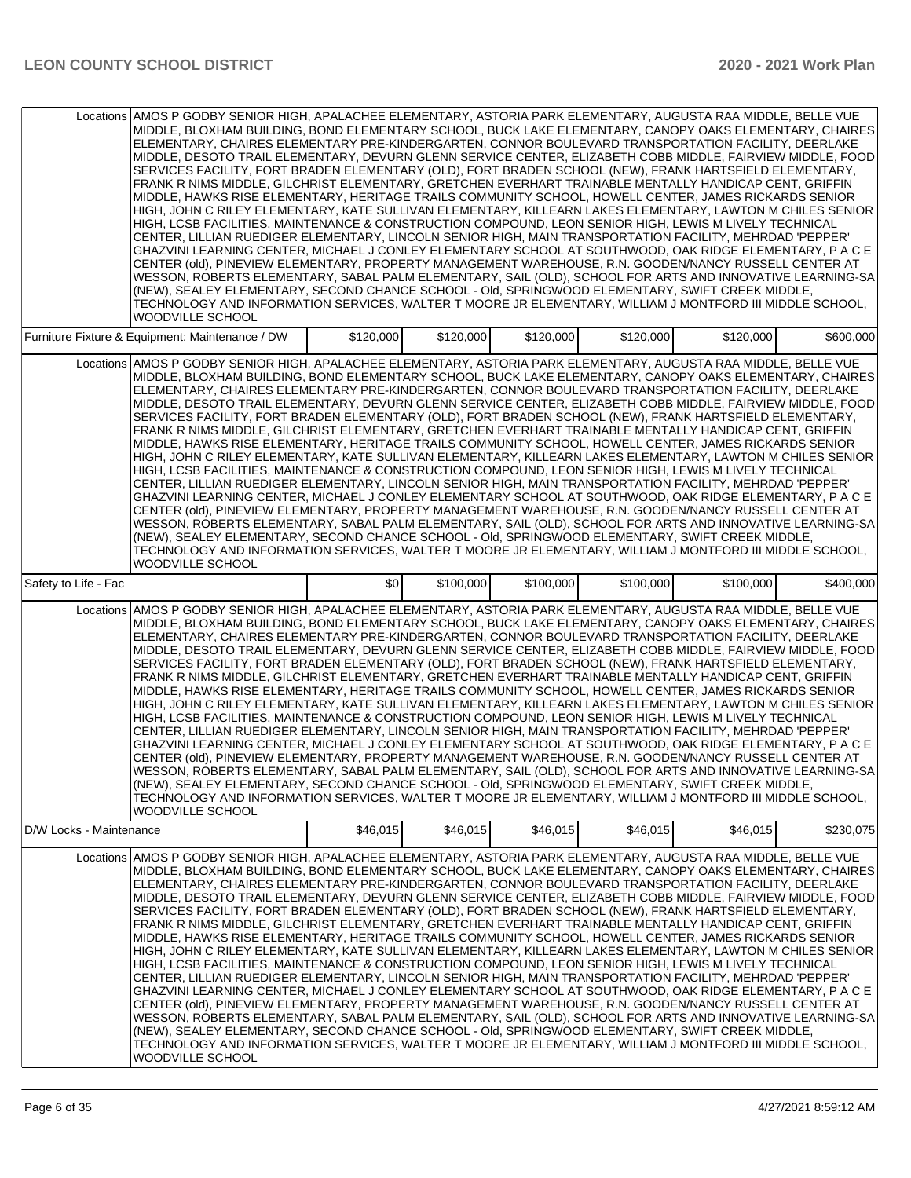|                         | Locations AMOS P GODBY SENIOR HIGH, APALACHEE ELEMENTARY, ASTORIA PARK ELEMENTARY, AUGUSTA RAA MIDDLE, BELLE VUE<br>MIDDLE, BLOXHAM BUILDING, BOND ELEMENTARY SCHOOL, BUCK LAKE ELEMENTARY, CANOPY OAKS ELEMENTARY, CHAIRES<br>ELEMENTARY, CHAIRES ELEMENTARY PRE-KINDERGARTEN, CONNOR BOULEVARD TRANSPORTATION FACILITY, DEERLAKE<br>MIDDLE, DESOTO TRAIL ELEMENTARY, DEVURN GLENN SERVICE CENTER, ELIZABETH COBB MIDDLE, FAIRVIEW MIDDLE, FOOD<br>SERVICES FACILITY, FORT BRADEN ELEMENTARY (OLD), FORT BRADEN SCHOOL (NEW), FRANK HARTSFIELD ELEMENTARY,<br>FRANK R NIMS MIDDLE, GILCHRIST ELEMENTARY, GRETCHEN EVERHART TRAINABLE MENTALLY HANDICAP CENT, GRIFFIN<br>MIDDLE, HAWKS RISE ELEMENTARY, HERITAGE TRAILS COMMUNITY SCHOOL, HOWELL CENTER, JAMES RICKARDS SENIOR<br>HIGH, JOHN C RILEY ELEMENTARY, KATE SULLIVAN ELEMENTARY, KILLEARN LAKES ELEMENTARY, LAWTON M CHILES SENIOR<br>HIGH, LCSB FACILITIES, MAINTENANCE & CONSTRUCTION COMPOUND, LEON SENIOR HIGH, LEWIS M LIVELY TECHNICAL<br>CENTER, LILLIAN RUEDIGER ELEMENTARY, LINCOLN SENIOR HIGH, MAIN TRANSPORTATION FACILITY, MEHRDAD 'PEPPER'<br>GHAZVINI LEARNING CENTER, MICHAEL J CONLEY ELEMENTARY SCHOOL AT SOUTHWOOD, OAK RIDGE ELEMENTARY, P A C E<br>CENTER (old), PINEVIEW ELEMENTARY, PROPERTY MANAGEMENT WAREHOUSE, R.N. GOODEN/NANCY RUSSELL CENTER AT<br>WESSON, ROBERTS ELEMENTARY, SABAL PALM ELEMENTARY, SAIL (OLD), SCHOOL FOR ARTS AND INNOVATIVE LEARNING-SA<br>(NEW), SEALEY ELEMENTARY, SECOND CHANCE SCHOOL - Old, SPRINGWOOD ELEMENTARY, SWIFT CREEK MIDDLE,<br>TECHNOLOGY AND INFORMATION SERVICES, WALTER T MOORE JR ELEMENTARY, WILLIAM J MONTFORD III MIDDLE SCHOOL,<br><b>WOODVILLE SCHOOL</b> |           |           |           |           |           |           |
|-------------------------|-------------------------------------------------------------------------------------------------------------------------------------------------------------------------------------------------------------------------------------------------------------------------------------------------------------------------------------------------------------------------------------------------------------------------------------------------------------------------------------------------------------------------------------------------------------------------------------------------------------------------------------------------------------------------------------------------------------------------------------------------------------------------------------------------------------------------------------------------------------------------------------------------------------------------------------------------------------------------------------------------------------------------------------------------------------------------------------------------------------------------------------------------------------------------------------------------------------------------------------------------------------------------------------------------------------------------------------------------------------------------------------------------------------------------------------------------------------------------------------------------------------------------------------------------------------------------------------------------------------------------------------------------------------------------------------------------|-----------|-----------|-----------|-----------|-----------|-----------|
|                         | Furniture Fixture & Equipment: Maintenance / DW                                                                                                                                                                                                                                                                                                                                                                                                                                                                                                                                                                                                                                                                                                                                                                                                                                                                                                                                                                                                                                                                                                                                                                                                                                                                                                                                                                                                                                                                                                                                                                                                                                                 | \$120,000 | \$120,000 | \$120,000 | \$120,000 | \$120,000 | \$600,000 |
|                         | Locations AMOS P GODBY SENIOR HIGH, APALACHEE ELEMENTARY, ASTORIA PARK ELEMENTARY, AUGUSTA RAA MIDDLE, BELLE VUE<br>MIDDLE, BLOXHAM BUILDING, BOND ELEMENTARY SCHOOL, BUCK LAKE ELEMENTARY, CANOPY OAKS ELEMENTARY, CHAIRES<br>ELEMENTARY, CHAIRES ELEMENTARY PRE-KINDERGARTEN, CONNOR BOULEVARD TRANSPORTATION FACILITY, DEERLAKE<br>MIDDLE, DESOTO TRAIL ELEMENTARY, DEVURN GLENN SERVICE CENTER, ELIZABETH COBB MIDDLE, FAIRVIEW MIDDLE, FOOD<br>SERVICES FACILITY, FORT BRADEN ELEMENTARY (OLD), FORT BRADEN SCHOOL (NEW), FRANK HARTSFIELD ELEMENTARY,<br>FRANK R NIMS MIDDLE, GILCHRIST ELEMENTARY, GRETCHEN EVERHART TRAINABLE MENTALLY HANDICAP CENT, GRIFFIN<br>MIDDLE, HAWKS RISE ELEMENTARY, HERITAGE TRAILS COMMUNITY SCHOOL, HOWELL CENTER, JAMES RICKARDS SENIOR<br>HIGH. JOHN C RILEY ELEMENTARY. KATE SULLIVAN ELEMENTARY. KILLEARN LAKES ELEMENTARY. LAWTON M CHILES SENIOR<br>HIGH, LCSB FACILITIES, MAINTENANCE & CONSTRUCTION COMPOUND, LEON SENIOR HIGH, LEWIS M LIVELY TECHNICAL<br>CENTER, LILLIAN RUEDIGER ELEMENTARY, LINCOLN SENIOR HIGH, MAIN TRANSPORTATION FACILITY, MEHRDAD 'PEPPER'<br>GHAZVINI LEARNING CENTER, MICHAEL J CONLEY ELEMENTARY SCHOOL AT SOUTHWOOD, OAK RIDGE ELEMENTARY, P A C E<br>CENTER (old), PINEVIEW ELEMENTARY, PROPERTY MANAGEMENT WAREHOUSE, R.N. GOODEN/NANCY RUSSELL CENTER AT<br>WESSON, ROBERTS ELEMENTARY, SABAL PALM ELEMENTARY, SAIL (OLD), SCHOOL FOR ARTS AND INNOVATIVE LEARNING-SA<br>(NEW), SEALEY ELEMENTARY, SECOND CHANCE SCHOOL - Old, SPRINGWOOD ELEMENTARY, SWIFT CREEK MIDDLE,<br>TECHNOLOGY AND INFORMATION SERVICES, WALTER T MOORE JR ELEMENTARY, WILLIAM J MONTFORD III MIDDLE SCHOOL,<br><b>WOODVILLE SCHOOL</b> |           |           |           |           |           |           |
| Safety to Life - Fac    |                                                                                                                                                                                                                                                                                                                                                                                                                                                                                                                                                                                                                                                                                                                                                                                                                                                                                                                                                                                                                                                                                                                                                                                                                                                                                                                                                                                                                                                                                                                                                                                                                                                                                                 | \$0       | \$100,000 | \$100,000 | \$100,000 | \$100,000 | \$400,000 |
|                         | Locations AMOS P GODBY SENIOR HIGH, APALACHEE ELEMENTARY, ASTORIA PARK ELEMENTARY, AUGUSTA RAA MIDDLE, BELLE VUE<br>MIDDLE, BLOXHAM BUILDING, BOND ELEMENTARY SCHOOL, BUCK LAKE ELEMENTARY, CANOPY OAKS ELEMENTARY, CHAIRES<br>ELEMENTARY, CHAIRES ELEMENTARY PRE-KINDERGARTEN, CONNOR BOULEVARD TRANSPORTATION FACILITY, DEERLAKE<br>MIDDLE, DESOTO TRAIL ELEMENTARY, DEVURN GLENN SERVICE CENTER, ELIZABETH COBB MIDDLE, FAIRVIEW MIDDLE, FOOD<br>SERVICES FACILITY, FORT BRADEN ELEMENTARY (OLD), FORT BRADEN SCHOOL (NEW), FRANK HARTSFIELD ELEMENTARY,<br>FRANK R NIMS MIDDLE, GILCHRIST ELEMENTARY, GRETCHEN EVERHART TRAINABLE MENTALLY HANDICAP CENT, GRIFFIN<br>MIDDLE, HAWKS RISE ELEMENTARY, HERITAGE TRAILS COMMUNITY SCHOOL, HOWELL CENTER, JAMES RICKARDS SENIOR<br>HIGH, JOHN C RILEY ELEMENTARY, KATE SULLIVAN ELEMENTARY, KILLEARN LAKES ELEMENTARY, LAWTON M CHILES SENIOR<br>HIGH, LCSB FACILITIES, MAINTENANCE & CONSTRUCTION COMPOUND, LEON SENIOR HIGH, LEWIS M LIVELY TECHNICAL<br>CENTER, LILLIAN RUEDIGER ELEMENTARY, LINCOLN SENIOR HIGH, MAIN TRANSPORTATION FACILITY, MEHRDAD 'PEPPER'<br>GHAZVINI LEARNING CENTER, MICHAEL J CONLEY ELEMENTARY SCHOOL AT SOUTHWOOD, OAK RIDGE ELEMENTARY, P A C E<br>CENTER (old), PINEVIEW ELEMENTARY, PROPERTY MANAGEMENT WAREHOUSE, R.N. GOODEN/NANCY RUSSELL CENTER AT<br>WESSON, ROBERTS ELEMENTARY, SABAL PALM ELEMENTARY, SAIL (OLD), SCHOOL FOR ARTS AND INNOVATIVE LEARNING-SA<br>(NEW), SEALEY ELEMENTARY, SECOND CHANCE SCHOOL - Old, SPRINGWOOD ELEMENTARY, SWIFT CREEK MIDDLE,<br>TECHNOLOGY AND INFORMATION SERVICES, WALTER T MOORE JR ELEMENTARY, WILLIAM J MONTFORD III MIDDLE SCHOOL,<br>WOODVILLE SCHOOL        |           |           |           |           |           |           |
| D/W Locks - Maintenance |                                                                                                                                                                                                                                                                                                                                                                                                                                                                                                                                                                                                                                                                                                                                                                                                                                                                                                                                                                                                                                                                                                                                                                                                                                                                                                                                                                                                                                                                                                                                                                                                                                                                                                 | \$46,015  | \$46,015  | \$46,015  | \$46,015  | \$46,015  | \$230,075 |
|                         | Locations AMOS P GODBY SENIOR HIGH. APALACHEE ELEMENTARY. ASTORIA PARK ELEMENTARY. AUGUSTA RAA MIDDLE. BELLE VUE<br>MIDDLE. BLOXHAM BUILDING. BOND ELEMENTARY SCHOOL. BUCK LAKE ELEMENTARY. CANOPY OAKS ELEMENTARY. CHAIRES<br>ELEMENTARY, CHAIRES ELEMENTARY PRE-KINDERGARTEN, CONNOR BOULEVARD TRANSPORTATION FACILITY, DEERLAKE<br>MIDDLE, DESOTO TRAIL ELEMENTARY, DEVURN GLENN SERVICE CENTER, ELIZABETH COBB MIDDLE, FAIRVIEW MIDDLE, FOOD<br>SERVICES FACILITY, FORT BRADEN ELEMENTARY (OLD), FORT BRADEN SCHOOL (NEW), FRANK HARTSFIELD ELEMENTARY,<br>FRANK R NIMS MIDDLE, GILCHRIST ELEMENTARY, GRETCHEN EVERHART TRAINABLE MENTALLY HANDICAP CENT, GRIFFIN<br>MIDDLE, HAWKS RISE ELEMENTARY, HERITAGE TRAILS COMMUNITY SCHOOL, HOWELL CENTER, JAMES RICKARDS SENIOR<br>HIGH, JOHN C RILEY ELEMENTARY, KATE SULLIVAN ELEMENTARY, KILLEARN LAKES ELEMENTARY, LAWTON M CHILES SENIOR<br>HIGH, LCSB FACILITIES, MAINTENANCE & CONSTRUCTION COMPOUND, LEON SENIOR HIGH, LEWIS M LIVELY TECHNICAL<br>CENTER, LILLIAN RUEDIGER ELEMENTARY, LINCOLN SENIOR HIGH, MAIN TRANSPORTATION FACILITY, MEHRDAD 'PEPPER'<br>GHAZVINI LEARNING CENTER, MICHAEL J CONLEY ELEMENTARY SCHOOL AT SOUTHWOOD, OAK RIDGE ELEMENTARY, P A C E<br>CENTER (old), PINEVIEW ELEMENTARY, PROPERTY MANAGEMENT WAREHOUSE, R.N. GOODEN/NANCY RUSSELL CENTER AT<br>WESSON, ROBERTS ELEMENTARY, SABAL PALM ELEMENTARY, SAIL (OLD), SCHOOL FOR ARTS AND INNOVATIVE LEARNING-SA<br>(NEW), SEALEY ELEMENTARY, SECOND CHANCE SCHOOL - Old, SPRINGWOOD ELEMENTARY, SWIFT CREEK MIDDLE,<br>TECHNOLOGY AND INFORMATION SERVICES, WALTER T MOORE JR ELEMENTARY, WILLIAM J MONTFORD III MIDDLE SCHOOL,<br>WOODVILLE SCHOOL        |           |           |           |           |           |           |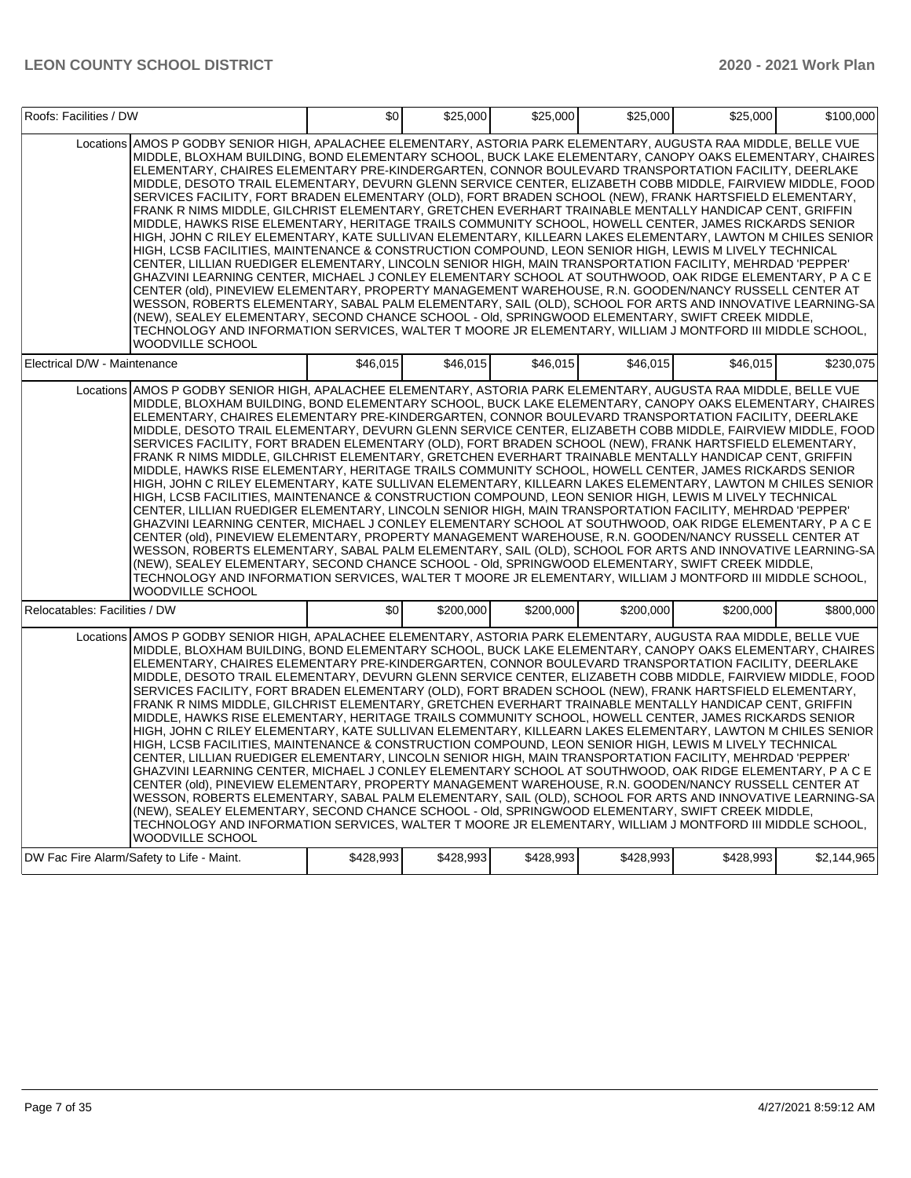| Roofs: Facilities / DW        |                                                                                                                                                                                                                                                                                                                                                                                                                                                                                                                                                                                                                                                                                                                                                                                                                                                                                                                                                                                                                                                                                                                                                                                                                                                                                                                                                                                                                                                                                                                                                                                                                                                                                          | \$0       | \$25,000  | \$25,000  | \$25,000  | \$25,000  | \$100,000   |
|-------------------------------|------------------------------------------------------------------------------------------------------------------------------------------------------------------------------------------------------------------------------------------------------------------------------------------------------------------------------------------------------------------------------------------------------------------------------------------------------------------------------------------------------------------------------------------------------------------------------------------------------------------------------------------------------------------------------------------------------------------------------------------------------------------------------------------------------------------------------------------------------------------------------------------------------------------------------------------------------------------------------------------------------------------------------------------------------------------------------------------------------------------------------------------------------------------------------------------------------------------------------------------------------------------------------------------------------------------------------------------------------------------------------------------------------------------------------------------------------------------------------------------------------------------------------------------------------------------------------------------------------------------------------------------------------------------------------------------|-----------|-----------|-----------|-----------|-----------|-------------|
|                               | Locations AMOS P GODBY SENIOR HIGH. APALACHEE ELEMENTARY. ASTORIA PARK ELEMENTARY. AUGUSTA RAA MIDDLE. BELLE VUE<br>MIDDLE, BLOXHAM BUILDING, BOND ELEMENTARY SCHOOL, BUCK LAKE ELEMENTARY, CANOPY OAKS ELEMENTARY, CHAIRES<br>ELEMENTARY, CHAIRES ELEMENTARY PRE-KINDERGARTEN, CONNOR BOULEVARD TRANSPORTATION FACILITY, DEERLAKE<br>MIDDLE, DESOTO TRAIL ELEMENTARY, DEVURN GLENN SERVICE CENTER, ELIZABETH COBB MIDDLE, FAIRVIEW MIDDLE, FOOD<br>SERVICES FACILITY, FORT BRADEN ELEMENTARY (OLD), FORT BRADEN SCHOOL (NEW), FRANK HARTSFIELD ELEMENTARY,<br>FRANK R NIMS MIDDLE, GILCHRIST ELEMENTARY, GRETCHEN EVERHART TRAINABLE MENTALLY HANDICAP CENT, GRIFFIN<br>MIDDLE, HAWKS RISE ELEMENTARY, HERITAGE TRAILS COMMUNITY SCHOOL, HOWELL CENTER, JAMES RICKARDS SENIOR<br>HIGH, JOHN C RILEY ELEMENTARY, KATE SULLIVAN ELEMENTARY, KILLEARN LAKES ELEMENTARY, LAWTON M CHILES SENIOR<br>HIGH, LCSB FACILITIES, MAINTENANCE & CONSTRUCTION COMPOUND, LEON SENIOR HIGH, LEWIS M LIVELY TECHNICAL<br>CENTER, LILLIAN RUEDIGER ELEMENTARY, LINCOLN SENIOR HIGH, MAIN TRANSPORTATION FACILITY, MEHRDAD 'PEPPER'<br>GHAZVINI LEARNING CENTER, MICHAEL J CONLEY ELEMENTARY SCHOOL AT SOUTHWOOD, OAK RIDGE ELEMENTARY, P A C E<br>CENTER (old), PINEVIEW ELEMENTARY, PROPERTY MANAGEMENT WAREHOUSE, R.N. GOODEN/NANCY RUSSELL CENTER AT<br>WESSON, ROBERTS ELEMENTARY, SABAL PALM ELEMENTARY, SAIL (OLD), SCHOOL FOR ARTS AND INNOVATIVE LEARNING-SA<br>(NEW), SEALEY ELEMENTARY, SECOND CHANCE SCHOOL - Old, SPRINGWOOD ELEMENTARY, SWIFT CREEK MIDDLE,<br>TECHNOLOGY AND INFORMATION SERVICES, WALTER T MOORE JR ELEMENTARY, WILLIAM J MONTFORD III MIDDLE SCHOOL,<br>WOODVILLE SCHOOL |           |           |           |           |           |             |
| Electrical D/W - Maintenance  |                                                                                                                                                                                                                                                                                                                                                                                                                                                                                                                                                                                                                                                                                                                                                                                                                                                                                                                                                                                                                                                                                                                                                                                                                                                                                                                                                                                                                                                                                                                                                                                                                                                                                          | \$46.015  | \$46.015  | \$46.015  | \$46.015  | \$46.015  | \$230.075   |
|                               | Locations AMOS P GODBY SENIOR HIGH, APALACHEE ELEMENTARY, ASTORIA PARK ELEMENTARY, AUGUSTA RAA MIDDLE, BELLE VUE<br>MIDDLE, BLOXHAM BUILDING, BOND ELEMENTARY SCHOOL, BUCK LAKE ELEMENTARY, CANOPY OAKS ELEMENTARY, CHAIRES<br>ELEMENTARY, CHAIRES ELEMENTARY PRE-KINDERGARTEN, CONNOR BOULEVARD TRANSPORTATION FACILITY, DEERLAKE<br>MIDDLE, DESOTO TRAIL ELEMENTARY, DEVURN GLENN SERVICE CENTER, ELIZABETH COBB MIDDLE, FAIRVIEW MIDDLE, FOOD<br>SERVICES FACILITY, FORT BRADEN ELEMENTARY (OLD), FORT BRADEN SCHOOL (NEW), FRANK HARTSFIELD ELEMENTARY,<br>FRANK R NIMS MIDDLE, GILCHRIST ELEMENTARY, GRETCHEN EVERHART TRAINABLE MENTALLY HANDICAP CENT, GRIFFIN<br>MIDDLE, HAWKS RISE ELEMENTARY, HERITAGE TRAILS COMMUNITY SCHOOL, HOWELL CENTER, JAMES RICKARDS SENIOR<br>HIGH, JOHN C RILEY ELEMENTARY, KATE SULLIVAN ELEMENTARY, KILLEARN LAKES ELEMENTARY, LAWTON M CHILES SENIOR<br>HIGH, LCSB FACILITIES, MAINTENANCE & CONSTRUCTION COMPOUND, LEON SENIOR HIGH, LEWIS M LIVELY TECHNICAL<br>CENTER, LILLIAN RUEDIGER ELEMENTARY, LINCOLN SENIOR HIGH, MAIN TRANSPORTATION FACILITY, MEHRDAD 'PEPPER'<br>GHAZVINI LEARNING CENTER, MICHAEL J CONLEY ELEMENTARY SCHOOL AT SOUTHWOOD, OAK RIDGE ELEMENTARY, P A C E<br>CENTER (old), PINEVIEW ELEMENTARY, PROPERTY MANAGEMENT WAREHOUSE, R.N. GOODEN/NANCY RUSSELL CENTER AT<br>WESSON, ROBERTS ELEMENTARY, SABAL PALM ELEMENTARY, SAIL (OLD), SCHOOL FOR ARTS AND INNOVATIVE LEARNING-SA<br>(NEW), SEALEY ELEMENTARY, SECOND CHANCE SCHOOL - Old, SPRINGWOOD ELEMENTARY, SWIFT CREEK MIDDLE,<br>TECHNOLOGY AND INFORMATION SERVICES. WALTER T MOORE JR ELEMENTARY, WILLIAM J MONTFORD III MIDDLE SCHOOL,<br>WOODVILLE SCHOOL |           |           |           |           |           |             |
| Relocatables: Facilities / DW |                                                                                                                                                                                                                                                                                                                                                                                                                                                                                                                                                                                                                                                                                                                                                                                                                                                                                                                                                                                                                                                                                                                                                                                                                                                                                                                                                                                                                                                                                                                                                                                                                                                                                          | \$0       | \$200.000 | \$200,000 | \$200,000 | \$200,000 | \$800,000   |
|                               | Locations AMOS P GODBY SENIOR HIGH, APALACHEE ELEMENTARY, ASTORIA PARK ELEMENTARY, AUGUSTA RAA MIDDLE, BELLE VUE<br>MIDDLE, BLOXHAM BUILDING, BOND ELEMENTARY SCHOOL, BUCK LAKE ELEMENTARY, CANOPY OAKS ELEMENTARY, CHAIRES<br>ELEMENTARY, CHAIRES ELEMENTARY PRE-KINDERGARTEN, CONNOR BOULEVARD TRANSPORTATION FACILITY, DEERLAKE<br>MIDDLE, DESOTO TRAIL ELEMENTARY, DEVURN GLENN SERVICE CENTER, ELIZABETH COBB MIDDLE, FAIRVIEW MIDDLE, FOOD<br>SERVICES FACILITY, FORT BRADEN ELEMENTARY (OLD), FORT BRADEN SCHOOL (NEW), FRANK HARTSFIELD ELEMENTARY,<br>FRANK R NIMS MIDDLE, GILCHRIST ELEMENTARY, GRETCHEN EVERHART TRAINABLE MENTALLY HANDICAP CENT, GRIFFIN<br>MIDDLE, HAWKS RISE ELEMENTARY, HERITAGE TRAILS COMMUNITY SCHOOL, HOWELL CENTER, JAMES RICKARDS SENIOR<br>HIGH, JOHN C RILEY ELEMENTARY, KATE SULLIVAN ELEMENTARY, KILLEARN LAKES ELEMENTARY, LAWTON M CHILES SENIOR<br>HIGH, LCSB FACILITIES, MAINTENANCE & CONSTRUCTION COMPOUND, LEON SENIOR HIGH, LEWIS M LIVELY TECHNICAL<br>CENTER, LILLIAN RUEDIGER ELEMENTARY, LINCOLN SENIOR HIGH, MAIN TRANSPORTATION FACILITY, MEHRDAD 'PEPPER'<br>GHAZVINI LEARNING CENTER. MICHAEL J CONLEY ELEMENTARY SCHOOL AT SOUTHWOOD. OAK RIDGE ELEMENTARY. P A C E<br>CENTER (old), PINEVIEW ELEMENTARY, PROPERTY MANAGEMENT WAREHOUSE, R.N. GOODEN/NANCY RUSSELL CENTER AT<br>WESSON, ROBERTS ELEMENTARY, SABAL PALM ELEMENTARY, SAIL (OLD), SCHOOL FOR ARTS AND INNOVATIVE LEARNING-SA<br>(NEW), SEALEY ELEMENTARY, SECOND CHANCE SCHOOL - Old, SPRINGWOOD ELEMENTARY, SWIFT CREEK MIDDLE,<br>TECHNOLOGY AND INFORMATION SERVICES, WALTER T MOORE JR ELEMENTARY, WILLIAM J MONTFORD III MIDDLE SCHOOL,<br>WOODVILLE SCHOOL |           |           |           |           |           |             |
|                               | DW Fac Fire Alarm/Safety to Life - Maint.                                                                                                                                                                                                                                                                                                                                                                                                                                                                                                                                                                                                                                                                                                                                                                                                                                                                                                                                                                                                                                                                                                                                                                                                                                                                                                                                                                                                                                                                                                                                                                                                                                                | \$428,993 | \$428,993 | \$428,993 | \$428,993 | \$428,993 | \$2,144,965 |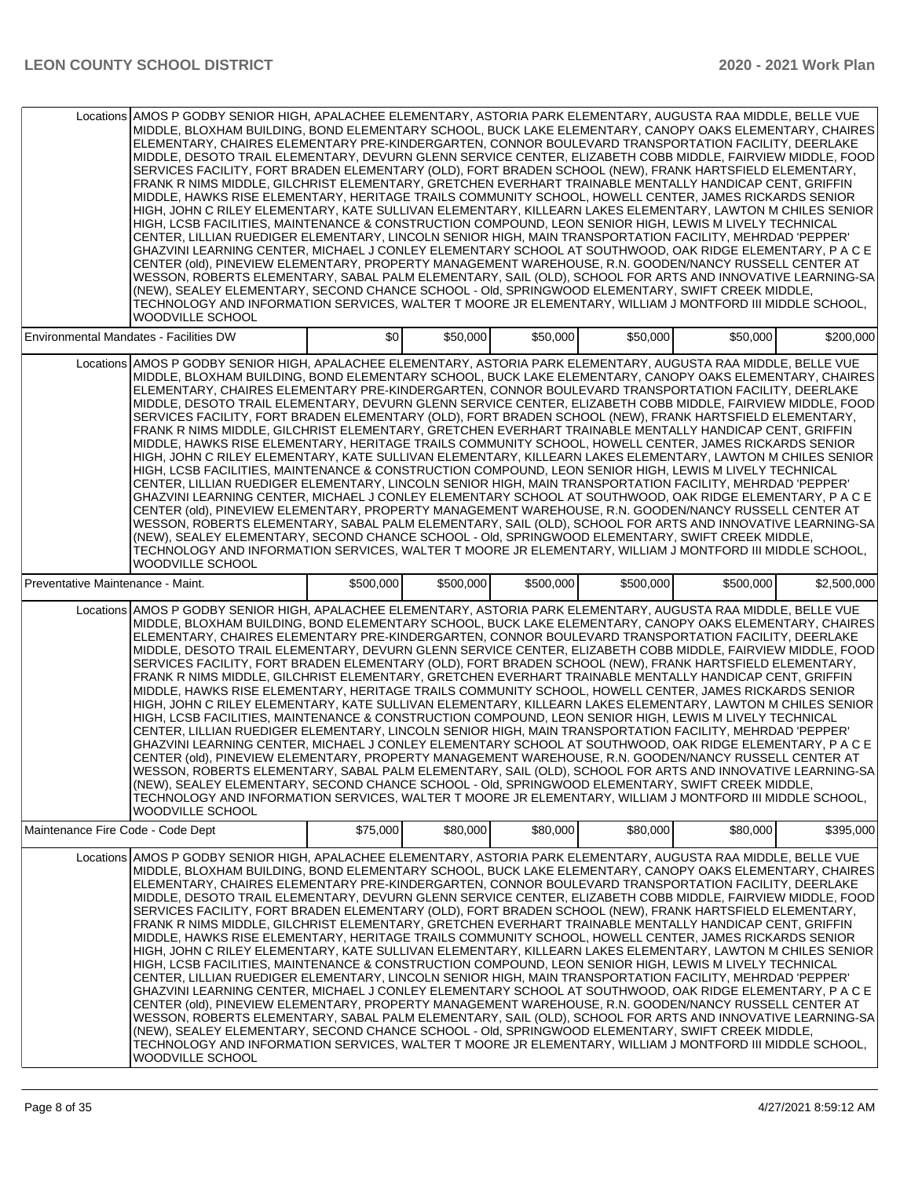| Locations AMOS P GODBY SENIOR HIGH, APALACHEE ELEMENTARY, ASTORIA PARK ELEMENTARY, AUGUSTA RAA MIDDLE, BELLE VUE<br>MIDDLE, BLOXHAM BUILDING, BOND ELEMENTARY SCHOOL, BUCK LAKE ELEMENTARY, CANOPY OAKS ELEMENTARY, CHAIRES<br>ELEMENTARY, CHAIRES ELEMENTARY PRE-KINDERGARTEN, CONNOR BOULEVARD TRANSPORTATION FACILITY, DEERLAKE<br>MIDDLE, DESOTO TRAIL ELEMENTARY, DEVURN GLENN SERVICE CENTER, ELIZABETH COBB MIDDLE, FAIRVIEW MIDDLE, FOOD<br>SERVICES FACILITY, FORT BRADEN ELEMENTARY (OLD), FORT BRADEN SCHOOL (NEW), FRANK HARTSFIELD ELEMENTARY,<br>FRANK R NIMS MIDDLE, GILCHRIST ELEMENTARY, GRETCHEN EVERHART TRAINABLE MENTALLY HANDICAP CENT, GRIFFIN<br>MIDDLE, HAWKS RISE ELEMENTARY, HERITAGE TRAILS COMMUNITY SCHOOL, HOWELL CENTER, JAMES RICKARDS SENIOR<br>HIGH, JOHN C RILEY ELEMENTARY, KATE SULLIVAN ELEMENTARY, KILLEARN LAKES ELEMENTARY, LAWTON M CHILES SENIOR<br>HIGH, LCSB FACILITIES, MAINTENANCE & CONSTRUCTION COMPOUND, LEON SENIOR HIGH, LEWIS M LIVELY TECHNICAL<br>CENTER, LILLIAN RUEDIGER ELEMENTARY, LINCOLN SENIOR HIGH, MAIN TRANSPORTATION FACILITY, MEHRDAD 'PEPPER'<br>GHAZVINI LEARNING CENTER, MICHAEL J CONLEY ELEMENTARY SCHOOL AT SOUTHWOOD, OAK RIDGE ELEMENTARY, P A C E<br>CENTER (old), PINEVIEW ELEMENTARY, PROPERTY MANAGEMENT WAREHOUSE, R.N. GOODEN/NANCY RUSSELL CENTER AT<br>WESSON, ROBERTS ELEMENTARY, SABAL PALM ELEMENTARY, SAIL (OLD), SCHOOL FOR ARTS AND INNOVATIVE LEARNING-SA<br>(NEW), SEALEY ELEMENTARY, SECOND CHANCE SCHOOL - Old, SPRINGWOOD ELEMENTARY, SWIFT CREEK MIDDLE,<br>TECHNOLOGY AND INFORMATION SERVICES, WALTER T MOORE JR ELEMENTARY, WILLIAM J MONTFORD III MIDDLE SCHOOL,<br>WOODVILLE SCHOOL        |           |           |           |           |           |             |
|-------------------------------------------------------------------------------------------------------------------------------------------------------------------------------------------------------------------------------------------------------------------------------------------------------------------------------------------------------------------------------------------------------------------------------------------------------------------------------------------------------------------------------------------------------------------------------------------------------------------------------------------------------------------------------------------------------------------------------------------------------------------------------------------------------------------------------------------------------------------------------------------------------------------------------------------------------------------------------------------------------------------------------------------------------------------------------------------------------------------------------------------------------------------------------------------------------------------------------------------------------------------------------------------------------------------------------------------------------------------------------------------------------------------------------------------------------------------------------------------------------------------------------------------------------------------------------------------------------------------------------------------------------------------------------------------------|-----------|-----------|-----------|-----------|-----------|-------------|
| Environmental Mandates - Facilities DW                                                                                                                                                                                                                                                                                                                                                                                                                                                                                                                                                                                                                                                                                                                                                                                                                                                                                                                                                                                                                                                                                                                                                                                                                                                                                                                                                                                                                                                                                                                                                                                                                                                          | \$0       | \$50,000  | \$50,000  | \$50,000  | \$50,000  | \$200,000   |
| Locations AMOS P GODBY SENIOR HIGH, APALACHEE ELEMENTARY, ASTORIA PARK ELEMENTARY, AUGUSTA RAA MIDDLE, BELLE VUE<br>MIDDLE, BLOXHAM BUILDING, BOND ELEMENTARY SCHOOL, BUCK LAKE ELEMENTARY, CANOPY OAKS ELEMENTARY, CHAIRES<br>ELEMENTARY, CHAIRES ELEMENTARY PRE-KINDERGARTEN, CONNOR BOULEVARD TRANSPORTATION FACILITY, DEERLAKE<br>MIDDLE, DESOTO TRAIL ELEMENTARY, DEVURN GLENN SERVICE CENTER, ELIZABETH COBB MIDDLE, FAIRVIEW MIDDLE, FOOD<br>SERVICES FACILITY, FORT BRADEN ELEMENTARY (OLD), FORT BRADEN SCHOOL (NEW), FRANK HARTSFIELD ELEMENTARY,<br>FRANK R NIMS MIDDLE, GILCHRIST ELEMENTARY, GRETCHEN EVERHART TRAINABLE MENTALLY HANDICAP CENT, GRIFFIN<br>MIDDLE, HAWKS RISE ELEMENTARY, HERITAGE TRAILS COMMUNITY SCHOOL, HOWELL CENTER, JAMES RICKARDS SENIOR<br>HIGH, JOHN C RILEY ELEMENTARY, KATE SULLIVAN ELEMENTARY, KILLEARN LAKES ELEMENTARY, LAWTON M CHILES SENIOR<br>HIGH, LCSB FACILITIES, MAINTENANCE & CONSTRUCTION COMPOUND, LEON SENIOR HIGH, LEWIS M LIVELY TECHNICAL<br>CENTER. LILLIAN RUEDIGER ELEMENTARY. LINCOLN SENIOR HIGH, MAIN TRANSPORTATION FACILITY, MEHRDAD 'PEPPER'<br>GHAZVINI LEARNING CENTER. MICHAEL J CONLEY ELEMENTARY SCHOOL AT SOUTHWOOD, OAK RIDGE ELEMENTARY, P A C E<br>CENTER (old), PINEVIEW ELEMENTARY, PROPERTY MANAGEMENT WAREHOUSE, R.N. GOODEN/NANCY RUSSELL CENTER AT<br>WESSON, ROBERTS ELEMENTARY, SABAL PALM ELEMENTARY, SAIL (OLD), SCHOOL FOR ARTS AND INNOVATIVE LEARNING-SA<br>(NEW), SEALEY ELEMENTARY, SECOND CHANCE SCHOOL - Old, SPRINGWOOD ELEMENTARY, SWIFT CREEK MIDDLE,<br>TECHNOLOGY AND INFORMATION SERVICES, WALTER T MOORE JR ELEMENTARY, WILLIAM J MONTFORD III MIDDLE SCHOOL,<br><b>WOODVILLE SCHOOL</b> |           |           |           |           |           |             |
| Preventative Maintenance - Maint.                                                                                                                                                                                                                                                                                                                                                                                                                                                                                                                                                                                                                                                                                                                                                                                                                                                                                                                                                                                                                                                                                                                                                                                                                                                                                                                                                                                                                                                                                                                                                                                                                                                               | \$500,000 | \$500,000 | \$500,000 | \$500,000 | \$500,000 | \$2,500,000 |
| Locations AMOS P GODBY SENIOR HIGH, APALACHEE ELEMENTARY, ASTORIA PARK ELEMENTARY, AUGUSTA RAA MIDDLE, BELLE VUE<br>MIDDLE, BLOXHAM BUILDING, BOND ELEMENTARY SCHOOL, BUCK LAKE ELEMENTARY, CANOPY OAKS ELEMENTARY, CHAIRES<br>ELEMENTARY, CHAIRES ELEMENTARY PRE-KINDERGARTEN, CONNOR BOULEVARD TRANSPORTATION FACILITY, DEERLAKE<br>MIDDLE, DESOTO TRAIL ELEMENTARY, DEVURN GLENN SERVICE CENTER, ELIZABETH COBB MIDDLE, FAIRVIEW MIDDLE, FOOD<br>SERVICES FACILITY, FORT BRADEN ELEMENTARY (OLD), FORT BRADEN SCHOOL (NEW), FRANK HARTSFIELD ELEMENTARY,<br>FRANK R NIMS MIDDLE, GILCHRIST ELEMENTARY, GRETCHEN EVERHART TRAINABLE MENTALLY HANDICAP CENT, GRIFFIN<br>MIDDLE, HAWKS RISE ELEMENTARY, HERITAGE TRAILS COMMUNITY SCHOOL, HOWELL CENTER, JAMES RICKARDS SENIOR<br>HIGH, JOHN C RILEY ELEMENTARY, KATE SULLIVAN ELEMENTARY, KILLEARN LAKES ELEMENTARY, LAWTON M CHILES SENIOR<br>HIGH, LCSB FACILITIES, MAINTENANCE & CONSTRUCTION COMPOUND, LEON SENIOR HIGH, LEWIS M LIVELY TECHNICAL<br>CENTER, LILLIAN RUEDIGER ELEMENTARY, LINCOLN SENIOR HIGH, MAIN TRANSPORTATION FACILITY, MEHRDAD 'PEPPER'<br>GHAZVINI LEARNING CENTER, MICHAEL J CONLEY ELEMENTARY SCHOOL AT SOUTHWOOD, OAK RIDGE ELEMENTARY, P A C E<br>CENTER (old). PINEVIEW ELEMENTARY, PROPERTY MANAGEMENT WAREHOUSE, R.N. GOODEN/NANCY RUSSELL CENTER AT<br>WESSON, ROBERTS ELEMENTARY, SABAL PALM ELEMENTARY, SAIL (OLD), SCHOOL FOR ARTS AND INNOVATIVE LEARNING-SA<br>(NEW), SEALEY ELEMENTARY, SECOND CHANCE SCHOOL - Old, SPRINGWOOD ELEMENTARY, SWIFT CREEK MIDDLE,<br>TECHNOLOGY AND INFORMATION SERVICES. WALTER T MOORE JR ELEMENTARY. WILLIAM J MONTFORD III MIDDLE SCHOOL.<br><b>WOODVILLE SCHOOL</b> |           |           |           |           |           |             |
| Maintenance Fire Code - Code Dept                                                                                                                                                                                                                                                                                                                                                                                                                                                                                                                                                                                                                                                                                                                                                                                                                                                                                                                                                                                                                                                                                                                                                                                                                                                                                                                                                                                                                                                                                                                                                                                                                                                               | \$75.000  | \$80,000  | \$80,000  | \$80,000  | \$80,000  | \$395,000   |
| AMOS P GODBY SENIOR HIGH, APALACHEE ELEMENTARY, ASTORIA PARK ELEMENTARY, AUGUSTA RAA MIDDLE, BELLE VUE<br>Locations<br>MIDDLE, BLOXHAM BUILDING, BOND ELEMENTARY SCHOOL, BUCK LAKE ELEMENTARY, CANOPY OAKS ELEMENTARY, CHAIRES<br>ELEMENTARY, CHAIRES ELEMENTARY PRE-KINDERGARTEN, CONNOR BOULEVARD TRANSPORTATION FACILITY, DEERLAKE<br>MIDDLE, DESOTO TRAIL ELEMENTARY, DEVURN GLENN SERVICE CENTER, ELIZABETH COBB MIDDLE, FAIRVIEW MIDDLE, FOOD<br>SERVICES FACILITY, FORT BRADEN ELEMENTARY (OLD), FORT BRADEN SCHOOL (NEW), FRANK HARTSFIELD ELEMENTARY,<br>FRANK R NIMS MIDDLE, GILCHRIST ELEMENTARY, GRETCHEN EVERHART TRAINABLE MENTALLY HANDICAP CENT, GRIFFIN<br>MIDDLE, HAWKS RISE ELEMENTARY, HERITAGE TRAILS COMMUNITY SCHOOL, HOWELL CENTER, JAMES RICKARDS SENIOR<br>HIGH, JOHN C RILEY ELEMENTARY, KATE SULLIVAN ELEMENTARY, KILLEARN LAKES ELEMENTARY, LAWTON M CHILES SENIOR<br>HIGH, LCSB FACILITIES, MAINTENANCE & CONSTRUCTION COMPOUND, LEON SENIOR HIGH, LEWIS M LIVELY TECHNICAL<br>CENTER, LILLIAN RUEDIGER ELEMENTARY, LINCOLN SENIOR HIGH, MAIN TRANSPORTATION FACILITY, MEHRDAD 'PEPPER'<br>GHAZVINI LEARNING CENTER, MICHAEL J CONLEY ELEMENTARY SCHOOL AT SOUTHWOOD, OAK RIDGE ELEMENTARY, P A C E<br>CENTER (old), PINEVIEW ELEMENTARY, PROPERTY MANAGEMENT WAREHOUSE, R.N. GOODEN/NANCY RUSSELL CENTER AT<br>WESSON, ROBERTS ELEMENTARY, SABAL PALM ELEMENTARY, SAIL (OLD), SCHOOL FOR ARTS AND INNOVATIVE LEARNING-SA<br>(NEW), SEALEY ELEMENTARY, SECOND CHANCE SCHOOL - Old, SPRINGWOOD ELEMENTARY, SWIFT CREEK MIDDLE,<br>TECHNOLOGY AND INFORMATION SERVICES, WALTER T MOORE JR ELEMENTARY, WILLIAM J MONTFORD III MIDDLE SCHOOL,<br>WOODVILLE SCHOOL     |           |           |           |           |           |             |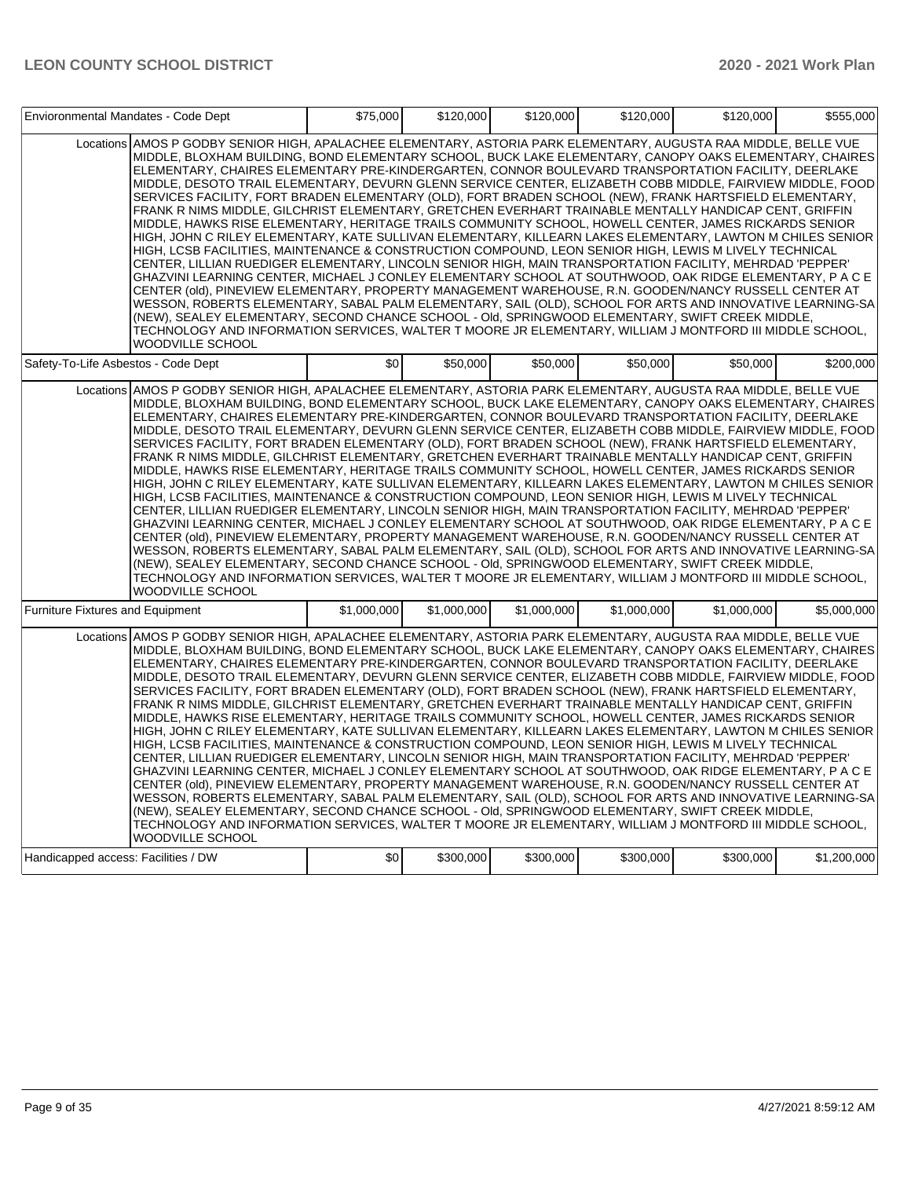| Envioronmental Mandates - Code Dept     |                                                                                                                                                                                                                                                                                                                                                                                                                                                                                                                                                                                                                                                                                                                                                                                                                                                                                                                                                                                                                                                                                                                                                                                                                                                                                                                                                                                                                                                                                                                                                                                                                                                                                                 | \$75,000    | \$120,000   | \$120,000   | \$120,000   | \$120,000   | \$555,000   |
|-----------------------------------------|-------------------------------------------------------------------------------------------------------------------------------------------------------------------------------------------------------------------------------------------------------------------------------------------------------------------------------------------------------------------------------------------------------------------------------------------------------------------------------------------------------------------------------------------------------------------------------------------------------------------------------------------------------------------------------------------------------------------------------------------------------------------------------------------------------------------------------------------------------------------------------------------------------------------------------------------------------------------------------------------------------------------------------------------------------------------------------------------------------------------------------------------------------------------------------------------------------------------------------------------------------------------------------------------------------------------------------------------------------------------------------------------------------------------------------------------------------------------------------------------------------------------------------------------------------------------------------------------------------------------------------------------------------------------------------------------------|-------------|-------------|-------------|-------------|-------------|-------------|
|                                         | Locations AMOS P GODBY SENIOR HIGH, APALACHEE ELEMENTARY, ASTORIA PARK ELEMENTARY, AUGUSTA RAA MIDDLE, BELLE VUE<br>MIDDLE, BLOXHAM BUILDING, BOND ELEMENTARY SCHOOL, BUCK LAKE ELEMENTARY, CANOPY OAKS ELEMENTARY, CHAIRES<br>ELEMENTARY, CHAIRES ELEMENTARY PRE-KINDERGARTEN, CONNOR BOULEVARD TRANSPORTATION FACILITY, DEERLAKE<br>MIDDLE, DESOTO TRAIL ELEMENTARY, DEVURN GLENN SERVICE CENTER, ELIZABETH COBB MIDDLE, FAIRVIEW MIDDLE, FOOD<br>SERVICES FACILITY, FORT BRADEN ELEMENTARY (OLD), FORT BRADEN SCHOOL (NEW), FRANK HARTSFIELD ELEMENTARY,<br>FRANK R NIMS MIDDLE, GILCHRIST ELEMENTARY, GRETCHEN EVERHART TRAINABLE MENTALLY HANDICAP CENT, GRIFFIN<br>MIDDLE, HAWKS RISE ELEMENTARY, HERITAGE TRAILS COMMUNITY SCHOOL, HOWELL CENTER, JAMES RICKARDS SENIOR<br>HIGH, JOHN C RILEY ELEMENTARY, KATE SULLIVAN ELEMENTARY, KILLEARN LAKES ELEMENTARY, LAWTON M CHILES SENIOR<br>HIGH, LCSB FACILITIES, MAINTENANCE & CONSTRUCTION COMPOUND, LEON SENIOR HIGH, LEWIS M LIVELY TECHNICAL<br>CENTER, LILLIAN RUEDIGER ELEMENTARY, LINCOLN SENIOR HIGH, MAIN TRANSPORTATION FACILITY, MEHRDAD 'PEPPER'<br>GHAZVINI LEARNING CENTER, MICHAEL J CONLEY ELEMENTARY SCHOOL AT SOUTHWOOD, OAK RIDGE ELEMENTARY, P A C E<br>CENTER (old), PINEVIEW ELEMENTARY, PROPERTY MANAGEMENT WAREHOUSE, R.N. GOODEN/NANCY RUSSELL CENTER AT<br>WESSON, ROBERTS ELEMENTARY, SABAL PALM ELEMENTARY, SAIL (OLD), SCHOOL FOR ARTS AND INNOVATIVE LEARNING-SA<br>(NEW), SEALEY ELEMENTARY, SECOND CHANCE SCHOOL - Old, SPRINGWOOD ELEMENTARY, SWIFT CREEK MIDDLE,<br>TECHNOLOGY AND INFORMATION SERVICES, WALTER T MOORE JR ELEMENTARY, WILLIAM J MONTFORD III MIDDLE SCHOOL,<br>WOODVILLE SCHOOL        |             |             |             |             |             |             |
| Safety-To-Life Asbestos - Code Dept     |                                                                                                                                                                                                                                                                                                                                                                                                                                                                                                                                                                                                                                                                                                                                                                                                                                                                                                                                                                                                                                                                                                                                                                                                                                                                                                                                                                                                                                                                                                                                                                                                                                                                                                 | \$0         | \$50,000    | \$50,000    | \$50,000    | \$50,000    | \$200.000   |
|                                         | Locations AMOS P GODBY SENIOR HIGH, APALACHEE ELEMENTARY, ASTORIA PARK ELEMENTARY, AUGUSTA RAA MIDDLE, BELLE VUE<br>MIDDLE, BLOXHAM BUILDING, BOND ELEMENTARY SCHOOL, BUCK LAKE ELEMENTARY, CANOPY OAKS ELEMENTARY, CHAIRES<br>ELEMENTARY, CHAIRES ELEMENTARY PRE-KINDERGARTEN, CONNOR BOULEVARD TRANSPORTATION FACILITY, DEERLAKE<br>MIDDLE, DESOTO TRAIL ELEMENTARY, DEVURN GLENN SERVICE CENTER, ELIZABETH COBB MIDDLE, FAIRVIEW MIDDLE, FOOD<br>SERVICES FACILITY, FORT BRADEN ELEMENTARY (OLD), FORT BRADEN SCHOOL (NEW), FRANK HARTSFIELD ELEMENTARY,<br>FRANK R NIMS MIDDLE, GILCHRIST ELEMENTARY, GRETCHEN EVERHART TRAINABLE MENTALLY HANDICAP CENT, GRIFFIN<br>MIDDLE, HAWKS RISE ELEMENTARY, HERITAGE TRAILS COMMUNITY SCHOOL, HOWELL CENTER, JAMES RICKARDS SENIOR<br>HIGH, JOHN C RILEY ELEMENTARY, KATE SULLIVAN ELEMENTARY, KILLEARN LAKES ELEMENTARY, LAWTON M CHILES SENIOR<br>HIGH, LCSB FACILITIES, MAINTENANCE & CONSTRUCTION COMPOUND, LEON SENIOR HIGH, LEWIS M LIVELY TECHNICAL<br>CENTER, LILLIAN RUEDIGER ELEMENTARY, LINCOLN SENIOR HIGH, MAIN TRANSPORTATION FACILITY, MEHRDAD 'PEPPER'<br>GHAZVINI LEARNING CENTER, MICHAEL J CONLEY ELEMENTARY SCHOOL AT SOUTHWOOD, OAK RIDGE ELEMENTARY, P A C E<br>CENTER (old), PINEVIEW ELEMENTARY, PROPERTY MANAGEMENT WAREHOUSE, R.N. GOODEN/NANCY RUSSELL CENTER AT<br>WESSON, ROBERTS ELEMENTARY, SABAL PALM ELEMENTARY, SAIL (OLD), SCHOOL FOR ARTS AND INNOVATIVE LEARNING-SA<br>(NEW), SEALEY ELEMENTARY, SECOND CHANCE SCHOOL - Old, SPRINGWOOD ELEMENTARY, SWIFT CREEK MIDDLE,<br>TECHNOLOGY AND INFORMATION SERVICES, WALTER T MOORE JR ELEMENTARY, WILLIAM J MONTFORD III MIDDLE SCHOOL,<br><b>WOODVILLE SCHOOL</b> |             |             |             |             |             |             |
| <b>Furniture Fixtures and Equipment</b> |                                                                                                                                                                                                                                                                                                                                                                                                                                                                                                                                                                                                                                                                                                                                                                                                                                                                                                                                                                                                                                                                                                                                                                                                                                                                                                                                                                                                                                                                                                                                                                                                                                                                                                 | \$1,000,000 | \$1.000.000 | \$1,000,000 | \$1.000.000 | \$1,000,000 | \$5.000.000 |
|                                         | Locations AMOS P GODBY SENIOR HIGH, APALACHEE ELEMENTARY, ASTORIA PARK ELEMENTARY, AUGUSTA RAA MIDDLE, BELLE VUE<br>MIDDLE, BLOXHAM BUILDING, BOND ELEMENTARY SCHOOL, BUCK LAKE ELEMENTARY, CANOPY OAKS ELEMENTARY, CHAIRES<br>ELEMENTARY, CHAIRES ELEMENTARY PRE-KINDERGARTEN, CONNOR BOULEVARD TRANSPORTATION FACILITY, DEERLAKE<br>MIDDLE, DESOTO TRAIL ELEMENTARY, DEVURN GLENN SERVICE CENTER, ELIZABETH COBB MIDDLE, FAIRVIEW MIDDLE, FOOD<br>SERVICES FACILITY, FORT BRADEN ELEMENTARY (OLD), FORT BRADEN SCHOOL (NEW), FRANK HARTSFIELD ELEMENTARY,<br>FRANK R NIMS MIDDLE, GILCHRIST ELEMENTARY, GRETCHEN EVERHART TRAINABLE MENTALLY HANDICAP CENT, GRIFFIN<br>MIDDLE, HAWKS RISE ELEMENTARY, HERITAGE TRAILS COMMUNITY SCHOOL, HOWELL CENTER, JAMES RICKARDS SENIOR<br>HIGH, JOHN C RILEY ELEMENTARY, KATE SULLIVAN ELEMENTARY, KILLEARN LAKES ELEMENTARY, LAWTON M CHILES SENIOR<br>HIGH, LCSB FACILITIES, MAINTENANCE & CONSTRUCTION COMPOUND, LEON SENIOR HIGH, LEWIS M LIVELY TECHNICAL<br>CENTER, LILLIAN RUEDIGER ELEMENTARY, LINCOLN SENIOR HIGH, MAIN TRANSPORTATION FACILITY, MEHRDAD 'PEPPER'<br>GHAZVINI LEARNING CENTER, MICHAEL J CONLEY ELEMENTARY SCHOOL AT SOUTHWOOD, OAK RIDGE ELEMENTARY, P A C E<br>CENTER (old), PINEVIEW ELEMENTARY, PROPERTY MANAGEMENT WAREHOUSE, R.N. GOODEN/NANCY RUSSELL CENTER AT<br>WESSON, ROBERTS ELEMENTARY, SABAL PALM ELEMENTARY, SAIL (OLD), SCHOOL FOR ARTS AND INNOVATIVE LEARNING-SA<br>(NEW), SEALEY ELEMENTARY, SECOND CHANCE SCHOOL - Old, SPRINGWOOD ELEMENTARY, SWIFT CREEK MIDDLE,<br>TECHNOLOGY AND INFORMATION SERVICES, WALTER T MOORE JR ELEMENTARY, WILLIAM J MONTFORD III MIDDLE SCHOOL,<br>WOODVILLE SCHOOL        |             |             |             |             |             |             |
| Handicapped access: Facilities / DW     |                                                                                                                                                                                                                                                                                                                                                                                                                                                                                                                                                                                                                                                                                                                                                                                                                                                                                                                                                                                                                                                                                                                                                                                                                                                                                                                                                                                                                                                                                                                                                                                                                                                                                                 | \$0         | \$300,000   | \$300,000   | \$300,000   | \$300,000   | \$1,200,000 |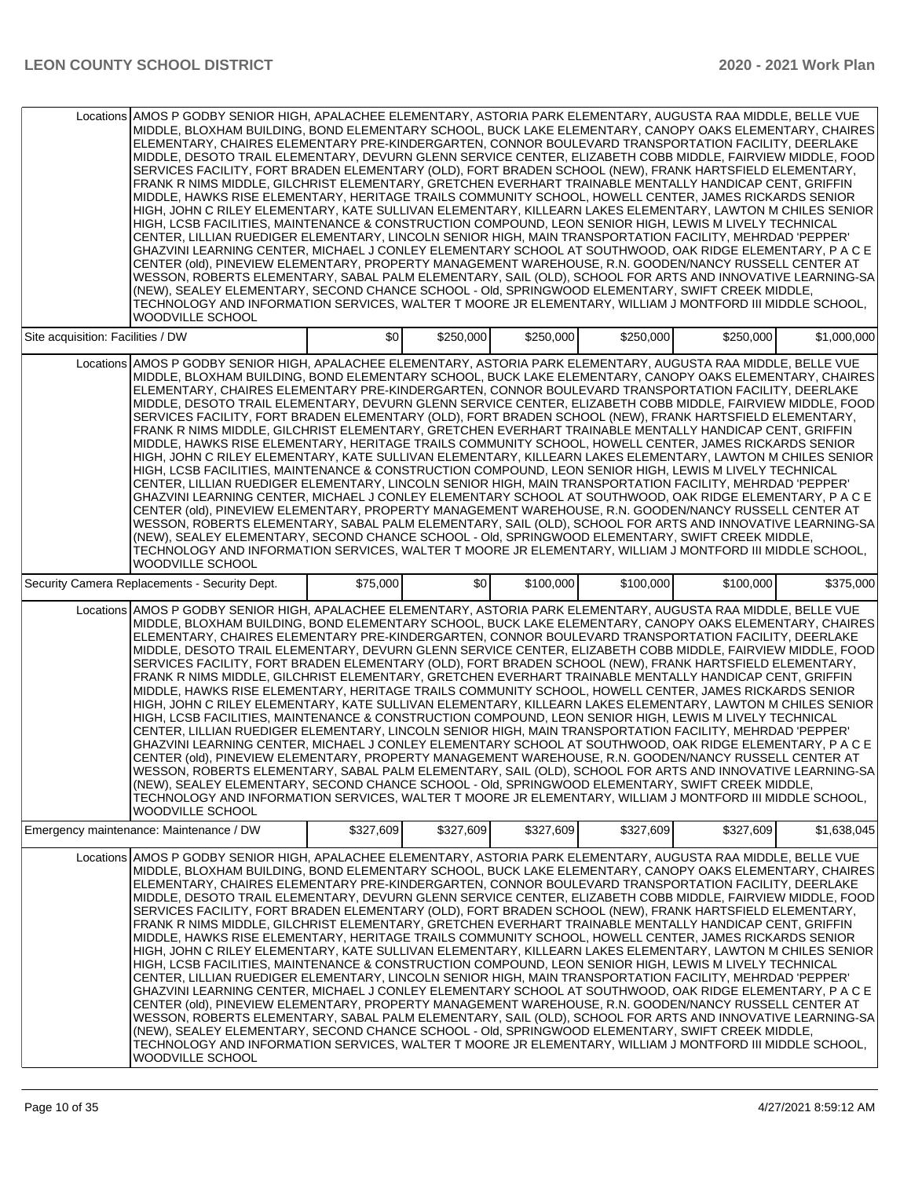|                                   | Locations AMOS P GODBY SENIOR HIGH, APALACHEE ELEMENTARY, ASTORIA PARK ELEMENTARY, AUGUSTA RAA MIDDLE, BELLE VUE<br>MIDDLE, BLOXHAM BUILDING, BOND ELEMENTARY SCHOOL, BUCK LAKE ELEMENTARY, CANOPY OAKS ELEMENTARY, CHAIRES<br>ELEMENTARY, CHAIRES ELEMENTARY PRE-KINDERGARTEN, CONNOR BOULEVARD TRANSPORTATION FACILITY, DEERLAKE<br>MIDDLE, DESOTO TRAIL ELEMENTARY, DEVURN GLENN SERVICE CENTER, ELIZABETH COBB MIDDLE, FAIRVIEW MIDDLE, FOOD<br>SERVICES FACILITY, FORT BRADEN ELEMENTARY (OLD), FORT BRADEN SCHOOL (NEW), FRANK HARTSFIELD ELEMENTARY,<br>FRANK R NIMS MIDDLE, GILCHRIST ELEMENTARY, GRETCHEN EVERHART TRAINABLE MENTALLY HANDICAP CENT, GRIFFIN<br>MIDDLE, HAWKS RISE ELEMENTARY, HERITAGE TRAILS COMMUNITY SCHOOL, HOWELL CENTER, JAMES RICKARDS SENIOR<br>HIGH, JOHN C RILEY ELEMENTARY, KATE SULLIVAN ELEMENTARY, KILLEARN LAKES ELEMENTARY, LAWTON M CHILES SENIOR<br>HIGH, LCSB FACILITIES, MAINTENANCE & CONSTRUCTION COMPOUND, LEON SENIOR HIGH, LEWIS M LIVELY TECHNICAL<br>CENTER, LILLIAN RUEDIGER ELEMENTARY, LINCOLN SENIOR HIGH, MAIN TRANSPORTATION FACILITY, MEHRDAD 'PEPPER'<br>GHAZVINI LEARNING CENTER, MICHAEL J CONLEY ELEMENTARY SCHOOL AT SOUTHWOOD, OAK RIDGE ELEMENTARY, P A C E<br>CENTER (old), PINEVIEW ELEMENTARY, PROPERTY MANAGEMENT WAREHOUSE, R.N. GOODEN/NANCY RUSSELL CENTER AT<br>WESSON, ROBERTS ELEMENTARY, SABAL PALM ELEMENTARY, SAIL (OLD), SCHOOL FOR ARTS AND INNOVATIVE LEARNING-SA<br>(NEW), SEALEY ELEMENTARY, SECOND CHANCE SCHOOL - Old, SPRINGWOOD ELEMENTARY, SWIFT CREEK MIDDLE,<br>TECHNOLOGY AND INFORMATION SERVICES, WALTER T MOORE JR ELEMENTARY, WILLIAM J MONTFORD III MIDDLE SCHOOL,<br><b>WOODVILLE SCHOOL</b><br>\$250,000<br>\$250,000<br>\$250,000<br>\$0 <sub>1</sub><br>\$250,000<br>\$1,000,000 |           |           |           |           |           |             |  |  |  |
|-----------------------------------|----------------------------------------------------------------------------------------------------------------------------------------------------------------------------------------------------------------------------------------------------------------------------------------------------------------------------------------------------------------------------------------------------------------------------------------------------------------------------------------------------------------------------------------------------------------------------------------------------------------------------------------------------------------------------------------------------------------------------------------------------------------------------------------------------------------------------------------------------------------------------------------------------------------------------------------------------------------------------------------------------------------------------------------------------------------------------------------------------------------------------------------------------------------------------------------------------------------------------------------------------------------------------------------------------------------------------------------------------------------------------------------------------------------------------------------------------------------------------------------------------------------------------------------------------------------------------------------------------------------------------------------------------------------------------------------------------------------------------------------------------------------------------------------|-----------|-----------|-----------|-----------|-----------|-------------|--|--|--|
| Site acquisition: Facilities / DW |                                                                                                                                                                                                                                                                                                                                                                                                                                                                                                                                                                                                                                                                                                                                                                                                                                                                                                                                                                                                                                                                                                                                                                                                                                                                                                                                                                                                                                                                                                                                                                                                                                                                                                                                                                                        |           |           |           |           |           |             |  |  |  |
|                                   | Locations AMOS P GODBY SENIOR HIGH, APALACHEE ELEMENTARY, ASTORIA PARK ELEMENTARY, AUGUSTA RAA MIDDLE, BELLE VUE<br>MIDDLE, BLOXHAM BUILDING, BOND ELEMENTARY SCHOOL, BUCK LAKE ELEMENTARY, CANOPY OAKS ELEMENTARY, CHAIRES<br>ELEMENTARY, CHAIRES ELEMENTARY PRE-KINDERGARTEN, CONNOR BOULEVARD TRANSPORTATION FACILITY, DEERLAKE<br>MIDDLE, DESOTO TRAIL ELEMENTARY, DEVURN GLENN SERVICE CENTER, ELIZABETH COBB MIDDLE, FAIRVIEW MIDDLE, FOOD<br>SERVICES FACILITY, FORT BRADEN ELEMENTARY (OLD), FORT BRADEN SCHOOL (NEW), FRANK HARTSFIELD ELEMENTARY,<br>FRANK R NIMS MIDDLE, GILCHRIST ELEMENTARY, GRETCHEN EVERHART TRAINABLE MENTALLY HANDICAP CENT, GRIFFIN<br>MIDDLE. HAWKS RISE ELEMENTARY. HERITAGE TRAILS COMMUNITY SCHOOL. HOWELL CENTER. JAMES RICKARDS SENIOR<br>HIGH, JOHN C RILEY ELEMENTARY, KATE SULLIVAN ELEMENTARY, KILLEARN LAKES ELEMENTARY, LAWTON M CHILES SENIOR<br>HIGH, LCSB FACILITIES, MAINTENANCE & CONSTRUCTION COMPOUND, LEON SENIOR HIGH, LEWIS M LIVELY TECHNICAL<br>CENTER, LILLIAN RUEDIGER ELEMENTARY, LINCOLN SENIOR HIGH, MAIN TRANSPORTATION FACILITY, MEHRDAD 'PEPPER'<br>GHAZVINI LEARNING CENTER, MICHAEL J CONLEY ELEMENTARY SCHOOL AT SOUTHWOOD, OAK RIDGE ELEMENTARY, P A C E<br>CENTER (old), PINEVIEW ELEMENTARY, PROPERTY MANAGEMENT WAREHOUSE, R.N. GOODEN/NANCY RUSSELL CENTER AT<br>WESSON, ROBERTS ELEMENTARY, SABAL PALM ELEMENTARY, SAIL (OLD), SCHOOL FOR ARTS AND INNOVATIVE LEARNING-SA<br>(NEW), SEALEY ELEMENTARY, SECOND CHANCE SCHOOL - Old, SPRINGWOOD ELEMENTARY, SWIFT CREEK MIDDLE,<br>TECHNOLOGY AND INFORMATION SERVICES, WALTER T MOORE JR ELEMENTARY, WILLIAM J MONTFORD III MIDDLE SCHOOL,<br><b>WOODVILLE SCHOOL</b>                                                                                        |           |           |           |           |           |             |  |  |  |
|                                   | Security Camera Replacements - Security Dept.                                                                                                                                                                                                                                                                                                                                                                                                                                                                                                                                                                                                                                                                                                                                                                                                                                                                                                                                                                                                                                                                                                                                                                                                                                                                                                                                                                                                                                                                                                                                                                                                                                                                                                                                          | \$75,000  | \$0       | \$100,000 | \$100,000 | \$100,000 | \$375,000   |  |  |  |
|                                   | Locations AMOS P GODBY SENIOR HIGH, APALACHEE ELEMENTARY, ASTORIA PARK ELEMENTARY, AUGUSTA RAA MIDDLE, BELLE VUE<br>MIDDLE, BLOXHAM BUILDING, BOND ELEMENTARY SCHOOL, BUCK LAKE ELEMENTARY, CANOPY OAKS ELEMENTARY, CHAIRES<br>ELEMENTARY, CHAIRES ELEMENTARY PRE-KINDERGARTEN, CONNOR BOULEVARD TRANSPORTATION FACILITY, DEERLAKE<br>MIDDLE, DESOTO TRAIL ELEMENTARY, DEVURN GLENN SERVICE CENTER, ELIZABETH COBB MIDDLE, FAIRVIEW MIDDLE, FOOD<br>SERVICES FACILITY, FORT BRADEN ELEMENTARY (OLD), FORT BRADEN SCHOOL (NEW), FRANK HARTSFIELD ELEMENTARY,<br>FRANK R NIMS MIDDLE, GILCHRIST ELEMENTARY, GRETCHEN EVERHART TRAINABLE MENTALLY HANDICAP CENT, GRIFFIN<br>MIDDLE, HAWKS RISE ELEMENTARY, HERITAGE TRAILS COMMUNITY SCHOOL, HOWELL CENTER, JAMES RICKARDS SENIOR<br>HIGH, JOHN C RILEY ELEMENTARY, KATE SULLIVAN ELEMENTARY, KILLEARN LAKES ELEMENTARY, LAWTON M CHILES SENIOR<br>HIGH, LCSB FACILITIES, MAINTENANCE & CONSTRUCTION COMPOUND, LEON SENIOR HIGH, LEWIS M LIVELY TECHNICAL<br>CENTER, LILLIAN RUEDIGER ELEMENTARY, LINCOLN SENIOR HIGH, MAIN TRANSPORTATION FACILITY, MEHRDAD 'PEPPER'<br>GHAZVINI LEARNING CENTER, MICHAEL J CONLEY ELEMENTARY SCHOOL AT SOUTHWOOD, OAK RIDGE ELEMENTARY, P A C E<br>CENTER (old). PINEVIEW ELEMENTARY, PROPERTY MANAGEMENT WAREHOUSE, R.N. GOODEN/NANCY RUSSELL CENTER AT<br>WESSON, ROBERTS ELEMENTARY, SABAL PALM ELEMENTARY, SAIL (OLD), SCHOOL FOR ARTS AND INNOVATIVE LEARNING-SA<br>(NEW), SEALEY ELEMENTARY, SECOND CHANCE SCHOOL - Old, SPRINGWOOD ELEMENTARY, SWIFT CREEK MIDDLE,<br>TECHNOLOGY AND INFORMATION SERVICES, WALTER T MOORE JR ELEMENTARY, WILLIAM J MONTFORD III MIDDLE SCHOOL,<br>WOODVILLE SCHOOL                                                                                               |           |           |           |           |           |             |  |  |  |
|                                   | Emergency maintenance: Maintenance / DW                                                                                                                                                                                                                                                                                                                                                                                                                                                                                                                                                                                                                                                                                                                                                                                                                                                                                                                                                                                                                                                                                                                                                                                                                                                                                                                                                                                                                                                                                                                                                                                                                                                                                                                                                | \$327,609 | \$327,609 | \$327,609 | \$327,609 | \$327,609 | \$1,638,045 |  |  |  |
|                                   | Locations AMOS P GODBY SENIOR HIGH, APALACHEE ELEMENTARY, ASTORIA PARK ELEMENTARY, AUGUSTA RAA MIDDLE, BELLE VUE<br>MIDDLE, BLOXHAM BUILDING, BOND ELEMENTARY SCHOOL, BUCK LAKE ELEMENTARY, CANOPY OAKS ELEMENTARY, CHAIRES<br>ELEMENTARY, CHAIRES ELEMENTARY PRE-KINDERGARTEN, CONNOR BOULEVARD TRANSPORTATION FACILITY, DEERLAKE<br>MIDDLE, DESOTO TRAIL ELEMENTARY, DEVURN GLENN SERVICE CENTER, ELIZABETH COBB MIDDLE, FAIRVIEW MIDDLE, FOOD<br>SERVICES FACILITY, FORT BRADEN ELEMENTARY (OLD), FORT BRADEN SCHOOL (NEW), FRANK HARTSFIELD ELEMENTARY,<br>FRANK R NIMS MIDDLE, GILCHRIST ELEMENTARY, GRETCHEN EVERHART TRAINABLE MENTALLY HANDICAP CENT, GRIFFIN<br>MIDDLE, HAWKS RISE ELEMENTARY, HERITAGE TRAILS COMMUNITY SCHOOL, HOWELL CENTER, JAMES RICKARDS SENIOR<br>HIGH, JOHN C RILEY ELEMENTARY, KATE SULLIVAN ELEMENTARY, KILLEARN LAKES ELEMENTARY, LAWTON M CHILES SENIOR<br>HIGH, LCSB FACILITIES, MAINTENANCE & CONSTRUCTION COMPOUND, LEON SENIOR HIGH, LEWIS M LIVELY TECHNICAL<br>CENTER, LILLIAN RUEDIGER ELEMENTARY, LINCOLN SENIOR HIGH, MAIN TRANSPORTATION FACILITY, MEHRDAD 'PEPPER'<br>GHAZVINI LEARNING CENTER, MICHAEL J CONLEY ELEMENTARY SCHOOL AT SOUTHWOOD, OAK RIDGE ELEMENTARY, P A C E<br>CENTER (old), PINEVIEW ELEMENTARY, PROPERTY MANAGEMENT WAREHOUSE, R.N. GOODEN/NANCY RUSSELL CENTER AT<br>WESSON, ROBERTS ELEMENTARY, SABAL PALM ELEMENTARY, SAIL (OLD), SCHOOL FOR ARTS AND INNOVATIVE LEARNING-SA<br>(NEW), SEALEY ELEMENTARY, SECOND CHANCE SCHOOL - Old, SPRINGWOOD ELEMENTARY, SWIFT CREEK MIDDLE,<br>TECHNOLOGY AND INFORMATION SERVICES, WALTER T MOORE JR ELEMENTARY, WILLIAM J MONTFORD III MIDDLE SCHOOL,<br>WOODVILLE SCHOOL                                                                                               |           |           |           |           |           |             |  |  |  |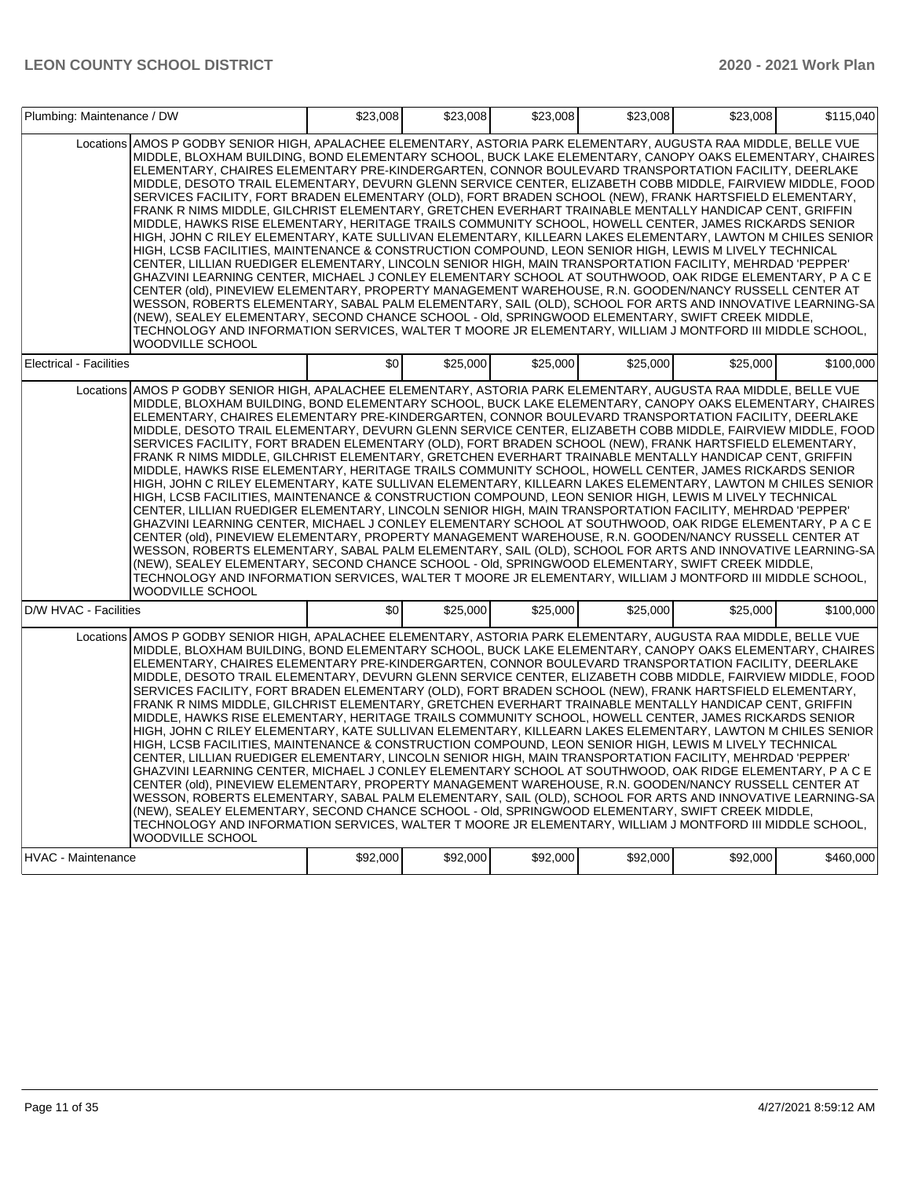| Plumbing: Maintenance / DW                                                                                                                                                                                                                                                                                                                                                                                                                                                                                                                                                                                                                                                                                                                                                                                                                                                                                                                                                                                                                                                                                                                                                                                                                                                                                                                                                                                                                                                                                                                                                                                                                                                                      | \$23,008 | \$23,008 | \$23,008 | \$23,008 | \$23,008 | \$115,040 |
|-------------------------------------------------------------------------------------------------------------------------------------------------------------------------------------------------------------------------------------------------------------------------------------------------------------------------------------------------------------------------------------------------------------------------------------------------------------------------------------------------------------------------------------------------------------------------------------------------------------------------------------------------------------------------------------------------------------------------------------------------------------------------------------------------------------------------------------------------------------------------------------------------------------------------------------------------------------------------------------------------------------------------------------------------------------------------------------------------------------------------------------------------------------------------------------------------------------------------------------------------------------------------------------------------------------------------------------------------------------------------------------------------------------------------------------------------------------------------------------------------------------------------------------------------------------------------------------------------------------------------------------------------------------------------------------------------|----------|----------|----------|----------|----------|-----------|
| Locations AMOS P GODBY SENIOR HIGH, APALACHEE ELEMENTARY, ASTORIA PARK ELEMENTARY, AUGUSTA RAA MIDDLE, BELLE VUE<br>MIDDLE, BLOXHAM BUILDING, BOND ELEMENTARY SCHOOL, BUCK LAKE ELEMENTARY, CANOPY OAKS ELEMENTARY, CHAIRES<br>ELEMENTARY, CHAIRES ELEMENTARY PRE-KINDERGARTEN, CONNOR BOULEVARD TRANSPORTATION FACILITY, DEERLAKE<br>MIDDLE, DESOTO TRAIL ELEMENTARY, DEVURN GLENN SERVICE CENTER, ELIZABETH COBB MIDDLE, FAIRVIEW MIDDLE, FOOD<br>SERVICES FACILITY, FORT BRADEN ELEMENTARY (OLD), FORT BRADEN SCHOOL (NEW), FRANK HARTSFIELD ELEMENTARY,<br>FRANK R NIMS MIDDLE, GILCHRIST ELEMENTARY, GRETCHEN EVERHART TRAINABLE MENTALLY HANDICAP CENT, GRIFFIN<br>MIDDLE, HAWKS RISE ELEMENTARY, HERITAGE TRAILS COMMUNITY SCHOOL, HOWELL CENTER, JAMES RICKARDS SENIOR<br>HIGH, JOHN C RILEY ELEMENTARY, KATE SULLIVAN ELEMENTARY, KILLEARN LAKES ELEMENTARY, LAWTON M CHILES SENIOR<br>HIGH, LCSB FACILITIES, MAINTENANCE & CONSTRUCTION COMPOUND, LEON SENIOR HIGH, LEWIS M LIVELY TECHNICAL<br>CENTER, LILLIAN RUEDIGER ELEMENTARY, LINCOLN SENIOR HIGH, MAIN TRANSPORTATION FACILITY, MEHRDAD 'PEPPER'<br>GHAZVINI LEARNING CENTER, MICHAEL J CONLEY ELEMENTARY SCHOOL AT SOUTHWOOD, OAK RIDGE ELEMENTARY, P A C E<br>CENTER (old), PINEVIEW ELEMENTARY, PROPERTY MANAGEMENT WAREHOUSE, R.N. GOODEN/NANCY RUSSELL CENTER AT<br>WESSON, ROBERTS ELEMENTARY, SABAL PALM ELEMENTARY, SAIL (OLD), SCHOOL FOR ARTS AND INNOVATIVE LEARNING-SA<br>(NEW), SEALEY ELEMENTARY, SECOND CHANCE SCHOOL - Old, SPRINGWOOD ELEMENTARY, SWIFT CREEK MIDDLE,<br>TECHNOLOGY AND INFORMATION SERVICES, WALTER T MOORE JR ELEMENTARY, WILLIAM J MONTFORD III MIDDLE SCHOOL,<br><b>WOODVILLE SCHOOL</b> |          |          |          |          |          |           |
| <b>Electrical - Facilities</b>                                                                                                                                                                                                                                                                                                                                                                                                                                                                                                                                                                                                                                                                                                                                                                                                                                                                                                                                                                                                                                                                                                                                                                                                                                                                                                                                                                                                                                                                                                                                                                                                                                                                  | \$0      | \$25,000 | \$25,000 | \$25,000 | \$25,000 | \$100.000 |
| Locations AMOS P GODBY SENIOR HIGH, APALACHEE ELEMENTARY, ASTORIA PARK ELEMENTARY, AUGUSTA RAA MIDDLE, BELLE VUE<br>MIDDLE, BLOXHAM BUILDING, BOND ELEMENTARY SCHOOL, BUCK LAKE ELEMENTARY, CANOPY OAKS ELEMENTARY, CHAIRES<br>ELEMENTARY, CHAIRES ELEMENTARY PRE-KINDERGARTEN, CONNOR BOULEVARD TRANSPORTATION FACILITY, DEERLAKE<br>MIDDLE. DESOTO TRAIL ELEMENTARY. DEVURN GLENN SERVICE CENTER. ELIZABETH COBB MIDDLE. FAIRVIEW MIDDLE. FOOD<br>SERVICES FACILITY, FORT BRADEN ELEMENTARY (OLD), FORT BRADEN SCHOOL (NEW), FRANK HARTSFIELD ELEMENTARY,<br>FRANK R NIMS MIDDLE, GILCHRIST ELEMENTARY, GRETCHEN EVERHART TRAINABLE MENTALLY HANDICAP CENT, GRIFFIN<br>MIDDLE, HAWKS RISE ELEMENTARY, HERITAGE TRAILS COMMUNITY SCHOOL, HOWELL CENTER, JAMES RICKARDS SENIOR<br>HIGH, JOHN C RILEY ELEMENTARY, KATE SULLIVAN ELEMENTARY, KILLEARN LAKES ELEMENTARY, LAWTON M CHILES SENIOR<br>HIGH, LCSB FACILITIES, MAINTENANCE & CONSTRUCTION COMPOUND, LEON SENIOR HIGH, LEWIS M LIVELY TECHNICAL<br>CENTER, LILLIAN RUEDIGER ELEMENTARY, LINCOLN SENIOR HIGH, MAIN TRANSPORTATION FACILITY, MEHRDAD 'PEPPER'<br>GHAZVINI LEARNING CENTER, MICHAEL J CONLEY ELEMENTARY SCHOOL AT SOUTHWOOD, OAK RIDGE ELEMENTARY, P A C E<br>CENTER (old), PINEVIEW ELEMENTARY, PROPERTY MANAGEMENT WAREHOUSE, R.N. GOODEN/NANCY RUSSELL CENTER AT<br>WESSON, ROBERTS ELEMENTARY, SABAL PALM ELEMENTARY, SAIL (OLD), SCHOOL FOR ARTS AND INNOVATIVE LEARNING-SA<br>(NEW), SEALEY ELEMENTARY, SECOND CHANCE SCHOOL - Old, SPRINGWOOD ELEMENTARY, SWIFT CREEK MIDDLE,<br>TECHNOLOGY AND INFORMATION SERVICES, WALTER T MOORE JR ELEMENTARY, WILLIAM J MONTFORD III MIDDLE SCHOOL,<br><b>WOODVILLE SCHOOL</b> |          |          |          |          |          |           |
| D/W HVAC - Facilities                                                                                                                                                                                                                                                                                                                                                                                                                                                                                                                                                                                                                                                                                                                                                                                                                                                                                                                                                                                                                                                                                                                                                                                                                                                                                                                                                                                                                                                                                                                                                                                                                                                                           | \$0      | \$25,000 | \$25,000 | \$25,000 | \$25,000 | \$100.000 |
| Locations AMOS P GODBY SENIOR HIGH, APALACHEE ELEMENTARY, ASTORIA PARK ELEMENTARY, AUGUSTA RAA MIDDLE, BELLE VUE<br>MIDDLE, BLOXHAM BUILDING, BOND ELEMENTARY SCHOOL, BUCK LAKE ELEMENTARY, CANOPY OAKS ELEMENTARY, CHAIRES<br>ELEMENTARY, CHAIRES ELEMENTARY PRE-KINDERGARTEN, CONNOR BOULEVARD TRANSPORTATION FACILITY, DEERLAKE<br>MIDDLE, DESOTO TRAIL ELEMENTARY, DEVURN GLENN SERVICE CENTER, ELIZABETH COBB MIDDLE, FAIRVIEW MIDDLE, FOOD<br>SERVICES FACILITY, FORT BRADEN ELEMENTARY (OLD), FORT BRADEN SCHOOL (NEW), FRANK HARTSFIELD ELEMENTARY,<br>FRANK R NIMS MIDDLE, GILCHRIST ELEMENTARY, GRETCHEN EVERHART TRAINABLE MENTALLY HANDICAP CENT, GRIFFIN<br>MIDDLE, HAWKS RISE ELEMENTARY, HERITAGE TRAILS COMMUNITY SCHOOL, HOWELL CENTER, JAMES RICKARDS SENIOR<br>HIGH, JOHN C RILEY ELEMENTARY, KATE SULLIVAN ELEMENTARY, KILLEARN LAKES ELEMENTARY, LAWTON M CHILES SENIOR<br>HIGH, LCSB FACILITIES, MAINTENANCE & CONSTRUCTION COMPOUND, LEON SENIOR HIGH, LEWIS M LIVELY TECHNICAL<br>CENTER, LILLIAN RUEDIGER ELEMENTARY, LINCOLN SENIOR HIGH, MAIN TRANSPORTATION FACILITY, MEHRDAD 'PEPPER'<br>GHAZVINI LEARNING CENTER, MICHAEL J CONLEY ELEMENTARY SCHOOL AT SOUTHWOOD, OAK RIDGE ELEMENTARY, P A C E<br>CENTER (old), PINEVIEW ELEMENTARY, PROPERTY MANAGEMENT WAREHOUSE, R.N. GOODEN/NANCY RUSSELL CENTER AT<br>WESSON, ROBERTS ELEMENTARY, SABAL PALM ELEMENTARY, SAIL (OLD), SCHOOL FOR ARTS AND INNOVATIVE LEARNING-SA<br>(NEW), SEALEY ELEMENTARY, SECOND CHANCE SCHOOL - Old, SPRINGWOOD ELEMENTARY, SWIFT CREEK MIDDLE,<br>TECHNOLOGY AND INFORMATION SERVICES, WALTER T MOORE JR ELEMENTARY, WILLIAM J MONTFORD III MIDDLE SCHOOL,<br>WOODVILLE SCHOOL        |          |          |          |          |          |           |
| <b>HVAC - Maintenance</b>                                                                                                                                                                                                                                                                                                                                                                                                                                                                                                                                                                                                                                                                                                                                                                                                                                                                                                                                                                                                                                                                                                                                                                                                                                                                                                                                                                                                                                                                                                                                                                                                                                                                       | \$92,000 | \$92,000 | \$92,000 | \$92,000 | \$92,000 | \$460,000 |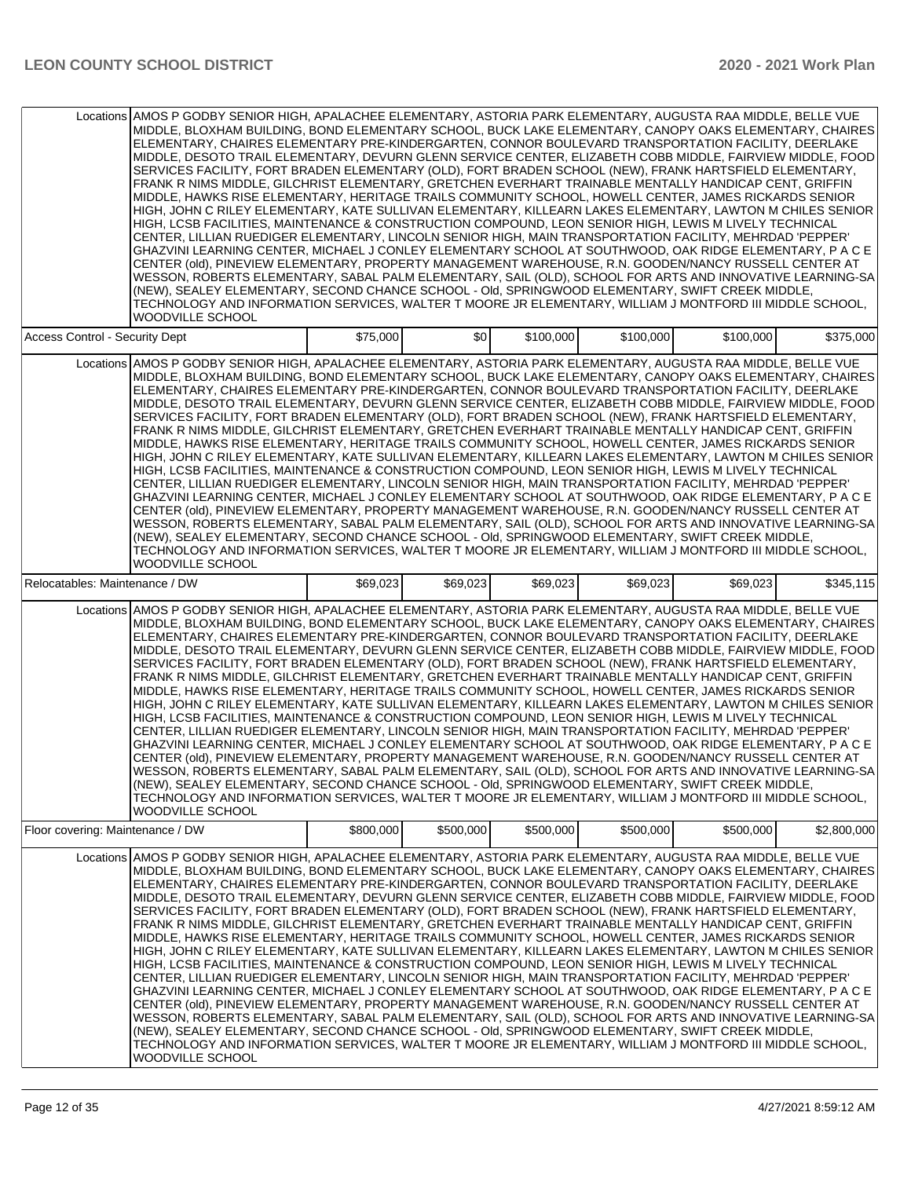|                                  | Locations AMOS P GODBY SENIOR HIGH, APALACHEE ELEMENTARY, ASTORIA PARK ELEMENTARY, AUGUSTA RAA MIDDLE, BELLE VUE<br>MIDDLE, BLOXHAM BUILDING, BOND ELEMENTARY SCHOOL, BUCK LAKE ELEMENTARY, CANOPY OAKS ELEMENTARY, CHAIRES<br>ELEMENTARY, CHAIRES ELEMENTARY PRE-KINDERGARTEN, CONNOR BOULEVARD TRANSPORTATION FACILITY, DEERLAKE<br>MIDDLE, DESOTO TRAIL ELEMENTARY, DEVURN GLENN SERVICE CENTER, ELIZABETH COBB MIDDLE, FAIRVIEW MIDDLE, FOOD<br>SERVICES FACILITY, FORT BRADEN ELEMENTARY (OLD), FORT BRADEN SCHOOL (NEW), FRANK HARTSFIELD ELEMENTARY,<br>FRANK R NIMS MIDDLE, GILCHRIST ELEMENTARY, GRETCHEN EVERHART TRAINABLE MENTALLY HANDICAP CENT, GRIFFIN<br>MIDDLE, HAWKS RISE ELEMENTARY, HERITAGE TRAILS COMMUNITY SCHOOL, HOWELL CENTER, JAMES RICKARDS SENIOR<br>HIGH. JOHN C RILEY ELEMENTARY. KATE SULLIVAN ELEMENTARY. KILLEARN LAKES ELEMENTARY. LAWTON M CHILES SENIOR<br>HIGH, LCSB FACILITIES, MAINTENANCE & CONSTRUCTION COMPOUND, LEON SENIOR HIGH, LEWIS M LIVELY TECHNICAL<br>CENTER, LILLIAN RUEDIGER ELEMENTARY, LINCOLN SENIOR HIGH, MAIN TRANSPORTATION FACILITY, MEHRDAD 'PEPPER'<br>GHAZVINI LEARNING CENTER, MICHAEL J CONLEY ELEMENTARY SCHOOL AT SOUTHWOOD, OAK RIDGE ELEMENTARY, P A C E<br>CENTER (old), PINEVIEW ELEMENTARY, PROPERTY MANAGEMENT WAREHOUSE, R.N. GOODEN/NANCY RUSSELL CENTER AT<br>WESSON, ROBERTS ELEMENTARY, SABAL PALM ELEMENTARY, SAIL (OLD), SCHOOL FOR ARTS AND INNOVATIVE LEARNING-SA<br>(NEW), SEALEY ELEMENTARY, SECOND CHANCE SCHOOL - Old, SPRINGWOOD ELEMENTARY, SWIFT CREEK MIDDLE,<br>TECHNOLOGY AND INFORMATION SERVICES, WALTER T MOORE JR ELEMENTARY, WILLIAM J MONTFORD III MIDDLE SCHOOL,<br><b>WOODVILLE SCHOOL</b> |           |                  |           |           |           |             |
|----------------------------------|-------------------------------------------------------------------------------------------------------------------------------------------------------------------------------------------------------------------------------------------------------------------------------------------------------------------------------------------------------------------------------------------------------------------------------------------------------------------------------------------------------------------------------------------------------------------------------------------------------------------------------------------------------------------------------------------------------------------------------------------------------------------------------------------------------------------------------------------------------------------------------------------------------------------------------------------------------------------------------------------------------------------------------------------------------------------------------------------------------------------------------------------------------------------------------------------------------------------------------------------------------------------------------------------------------------------------------------------------------------------------------------------------------------------------------------------------------------------------------------------------------------------------------------------------------------------------------------------------------------------------------------------------------------------------------------------------|-----------|------------------|-----------|-----------|-----------|-------------|
| Access Control - Security Dept   |                                                                                                                                                                                                                                                                                                                                                                                                                                                                                                                                                                                                                                                                                                                                                                                                                                                                                                                                                                                                                                                                                                                                                                                                                                                                                                                                                                                                                                                                                                                                                                                                                                                                                                 | \$75,000  | \$0 <sub>1</sub> | \$100,000 | \$100,000 | \$100,000 | \$375,000   |
|                                  | Locations AMOS P GODBY SENIOR HIGH, APALACHEE ELEMENTARY, ASTORIA PARK ELEMENTARY, AUGUSTA RAA MIDDLE, BELLE VUE<br>MIDDLE, BLOXHAM BUILDING, BOND ELEMENTARY SCHOOL, BUCK LAKE ELEMENTARY, CANOPY OAKS ELEMENTARY, CHAIRES<br>ELEMENTARY, CHAIRES ELEMENTARY PRE-KINDERGARTEN, CONNOR BOULEVARD TRANSPORTATION FACILITY, DEERLAKE<br>MIDDLE, DESOTO TRAIL ELEMENTARY, DEVURN GLENN SERVICE CENTER, ELIZABETH COBB MIDDLE, FAIRVIEW MIDDLE, FOOD<br>SERVICES FACILITY, FORT BRADEN ELEMENTARY (OLD), FORT BRADEN SCHOOL (NEW), FRANK HARTSFIELD ELEMENTARY,<br>FRANK R NIMS MIDDLE, GILCHRIST ELEMENTARY, GRETCHEN EVERHART TRAINABLE MENTALLY HANDICAP CENT, GRIFFIN<br>MIDDLE, HAWKS RISE ELEMENTARY, HERITAGE TRAILS COMMUNITY SCHOOL, HOWELL CENTER, JAMES RICKARDS SENIOR<br>HIGH, JOHN C RILEY ELEMENTARY, KATE SULLIVAN ELEMENTARY, KILLEARN LAKES ELEMENTARY, LAWTON M CHILES SENIOR<br>HIGH, LCSB FACILITIES, MAINTENANCE & CONSTRUCTION COMPOUND, LEON SENIOR HIGH, LEWIS M LIVELY TECHNICAL<br>CENTER, LILLIAN RUEDIGER ELEMENTARY, LINCOLN SENIOR HIGH, MAIN TRANSPORTATION FACILITY, MEHRDAD 'PEPPER'<br>GHAZVINI LEARNING CENTER, MICHAEL J CONLEY ELEMENTARY SCHOOL AT SOUTHWOOD, OAK RIDGE ELEMENTARY, P A C E<br>CENTER (old), PINEVIEW ELEMENTARY, PROPERTY MANAGEMENT WAREHOUSE, R.N. GOODEN/NANCY RUSSELL CENTER AT<br>WESSON, ROBERTS ELEMENTARY, SABAL PALM ELEMENTARY, SAIL (OLD), SCHOOL FOR ARTS AND INNOVATIVE LEARNING-SA<br>(NEW), SEALEY ELEMENTARY, SECOND CHANCE SCHOOL - Old, SPRINGWOOD ELEMENTARY, SWIFT CREEK MIDDLE,<br>TECHNOLOGY AND INFORMATION SERVICES, WALTER T MOORE JR ELEMENTARY, WILLIAM J MONTFORD III MIDDLE SCHOOL,<br><b>WOODVILLE SCHOOL</b> |           |                  |           |           |           |             |
| Relocatables: Maintenance / DW   |                                                                                                                                                                                                                                                                                                                                                                                                                                                                                                                                                                                                                                                                                                                                                                                                                                                                                                                                                                                                                                                                                                                                                                                                                                                                                                                                                                                                                                                                                                                                                                                                                                                                                                 | \$69,023  | \$69,023         | \$69,023  | \$69,023  | \$69.023  | \$345,115   |
|                                  | Locations AMOS P GODBY SENIOR HIGH, APALACHEE ELEMENTARY, ASTORIA PARK ELEMENTARY, AUGUSTA RAA MIDDLE, BELLE VUE<br>MIDDLE, BLOXHAM BUILDING, BOND ELEMENTARY SCHOOL, BUCK LAKE ELEMENTARY, CANOPY OAKS ELEMENTARY, CHAIRES<br>ELEMENTARY, CHAIRES ELEMENTARY PRE-KINDERGARTEN, CONNOR BOULEVARD TRANSPORTATION FACILITY, DEERLAKE<br>MIDDLE, DESOTO TRAIL ELEMENTARY, DEVURN GLENN SERVICE CENTER, ELIZABETH COBB MIDDLE, FAIRVIEW MIDDLE, FOOD<br>SERVICES FACILITY, FORT BRADEN ELEMENTARY (OLD), FORT BRADEN SCHOOL (NEW), FRANK HARTSFIELD ELEMENTARY,<br>FRANK R NIMS MIDDLE, GILCHRIST ELEMENTARY, GRETCHEN EVERHART TRAINABLE MENTALLY HANDICAP CENT, GRIFFIN<br>MIDDLE, HAWKS RISE ELEMENTARY, HERITAGE TRAILS COMMUNITY SCHOOL, HOWELL CENTER, JAMES RICKARDS SENIOR<br>HIGH, JOHN C RILEY ELEMENTARY, KATE SULLIVAN ELEMENTARY, KILLEARN LAKES ELEMENTARY, LAWTON M CHILES SENIOR<br>HIGH, LCSB FACILITIES, MAINTENANCE & CONSTRUCTION COMPOUND, LEON SENIOR HIGH, LEWIS M LIVELY TECHNICAL<br>CENTER, LILLIAN RUEDIGER ELEMENTARY, LINCOLN SENIOR HIGH, MAIN TRANSPORTATION FACILITY, MEHRDAD 'PEPPER'<br>GHAZVINI LEARNING CENTER, MICHAEL J CONLEY ELEMENTARY SCHOOL AT SOUTHWOOD, OAK RIDGE ELEMENTARY, P A C E<br>CENTER (old), PINEVIEW ELEMENTARY, PROPERTY MANAGEMENT WAREHOUSE, R.N. GOODEN/NANCY RUSSELL CENTER AT<br>WESSON, ROBERTS ELEMENTARY, SABAL PALM ELEMENTARY, SAIL (OLD), SCHOOL FOR ARTS AND INNOVATIVE LEARNING-SA<br>(NEW), SEALEY ELEMENTARY, SECOND CHANCE SCHOOL - Old, SPRINGWOOD ELEMENTARY, SWIFT CREEK MIDDLE,<br>TECHNOLOGY AND INFORMATION SERVICES, WALTER T MOORE JR ELEMENTARY, WILLIAM J MONTFORD III MIDDLE SCHOOL,<br>WOODVILLE SCHOOL        |           |                  |           |           |           |             |
| Floor covering: Maintenance / DW |                                                                                                                                                                                                                                                                                                                                                                                                                                                                                                                                                                                                                                                                                                                                                                                                                                                                                                                                                                                                                                                                                                                                                                                                                                                                                                                                                                                                                                                                                                                                                                                                                                                                                                 | \$800,000 | \$500,000        | \$500,000 | \$500,000 | \$500,000 | \$2,800,000 |
| Locations                        | AMOS P GODBY SENIOR HIGH, APALACHEE ELEMENTARY, ASTORIA PARK ELEMENTARY, AUGUSTA RAA MIDDLE, BELLE VUE<br>MIDDLE, BLOXHAM BUILDING, BOND ELEMENTARY SCHOOL, BUCK LAKE ELEMENTARY, CANOPY OAKS ELEMENTARY, CHAIRES<br>ELEMENTARY, CHAIRES ELEMENTARY PRE-KINDERGARTEN, CONNOR BOULEVARD TRANSPORTATION FACILITY, DEERLAKE <br>MIDDLE, DESOTO TRAIL ELEMENTARY, DEVURN GLENN SERVICE CENTER, ELIZABETH COBB MIDDLE, FAIRVIEW MIDDLE, FOOD<br>SERVICES FACILITY, FORT BRADEN ELEMENTARY (OLD), FORT BRADEN SCHOOL (NEW), FRANK HARTSFIELD ELEMENTARY,<br>FRANK R NIMS MIDDLE, GILCHRIST ELEMENTARY, GRETCHEN EVERHART TRAINABLE MENTALLY HANDICAP CENT, GRIFFIN<br>MIDDLE, HAWKS RISE ELEMENTARY, HERITAGE TRAILS COMMUNITY SCHOOL, HOWELL CENTER, JAMES RICKARDS SENIOR<br>HIGH, JOHN C RILEY ELEMENTARY, KATE SULLIVAN ELEMENTARY, KILLEARN LAKES ELEMENTARY, LAWTON M CHILES SENIOR<br>HIGH, LCSB FACILITIES, MAINTENANCE & CONSTRUCTION COMPOUND, LEON SENIOR HIGH, LEWIS M LIVELY TECHNICAL<br>CENTER, LILLIAN RUEDIGER ELEMENTARY, LINCOLN SENIOR HIGH, MAIN TRANSPORTATION FACILITY, MEHRDAD 'PEPPER'<br>GHAZVINI LEARNING CENTER, MICHAEL J CONLEY ELEMENTARY SCHOOL AT SOUTHWOOD, OAK RIDGE ELEMENTARY, P A C E<br>CENTER (old), PINEVIEW ELEMENTARY, PROPERTY MANAGEMENT WAREHOUSE, R.N. GOODEN/NANCY RUSSELL CENTER AT<br>WESSON, ROBERTS ELEMENTARY, SABAL PALM ELEMENTARY, SAIL (OLD), SCHOOL FOR ARTS AND INNOVATIVE LEARNING-SA<br>(NEW), SEALEY ELEMENTARY, SECOND CHANCE SCHOOL - Old, SPRINGWOOD ELEMENTARY, SWIFT CREEK MIDDLE,<br>TECHNOLOGY AND INFORMATION SERVICES, WALTER T MOORE JR ELEMENTARY, WILLIAM J MONTFORD III MIDDLE SCHOOL,<br>WOODVILLE SCHOOL                 |           |                  |           |           |           |             |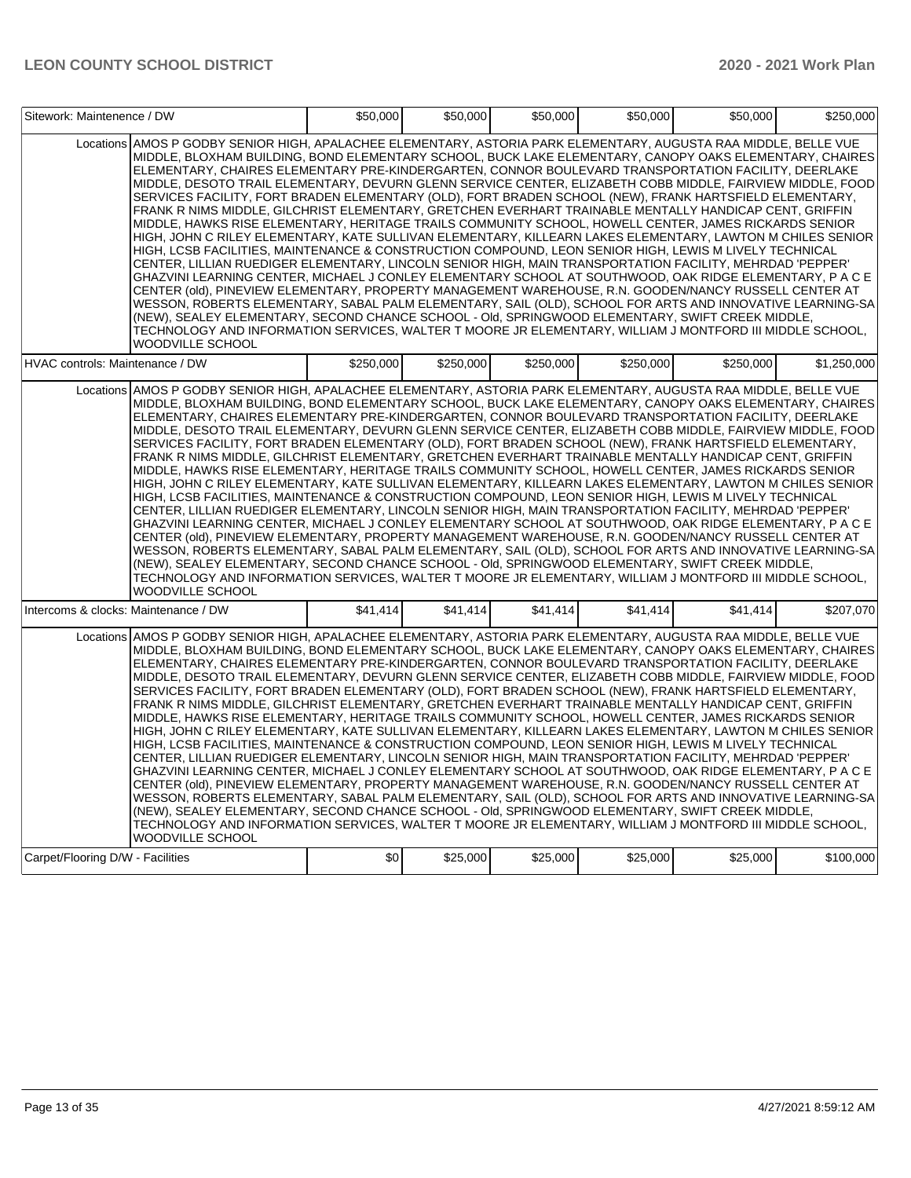| Sitework: Maintenence / DW                                                                                                                                                                                                                                                                                                                                                                                                                                                                                                                                                                                                                                                                                                                                                                                                                                                                                                                                                                                                                                                                                                                                                                                                                                                                                                                                                                                                                                                                                                                                                                                                                                                                      | \$50,000  | \$50,000  | \$50,000  | \$50,000  | \$50,000  | \$250,000   |
|-------------------------------------------------------------------------------------------------------------------------------------------------------------------------------------------------------------------------------------------------------------------------------------------------------------------------------------------------------------------------------------------------------------------------------------------------------------------------------------------------------------------------------------------------------------------------------------------------------------------------------------------------------------------------------------------------------------------------------------------------------------------------------------------------------------------------------------------------------------------------------------------------------------------------------------------------------------------------------------------------------------------------------------------------------------------------------------------------------------------------------------------------------------------------------------------------------------------------------------------------------------------------------------------------------------------------------------------------------------------------------------------------------------------------------------------------------------------------------------------------------------------------------------------------------------------------------------------------------------------------------------------------------------------------------------------------|-----------|-----------|-----------|-----------|-----------|-------------|
| Locations AMOS P GODBY SENIOR HIGH, APALACHEE ELEMENTARY, ASTORIA PARK ELEMENTARY, AUGUSTA RAA MIDDLE, BELLE VUE<br>MIDDLE, BLOXHAM BUILDING, BOND ELEMENTARY SCHOOL, BUCK LAKE ELEMENTARY, CANOPY OAKS ELEMENTARY, CHAIRES<br>ELEMENTARY, CHAIRES ELEMENTARY PRE-KINDERGARTEN, CONNOR BOULEVARD TRANSPORTATION FACILITY, DEERLAKE<br>MIDDLE, DESOTO TRAIL ELEMENTARY, DEVURN GLENN SERVICE CENTER, ELIZABETH COBB MIDDLE, FAIRVIEW MIDDLE, FOOD<br>SERVICES FACILITY, FORT BRADEN ELEMENTARY (OLD), FORT BRADEN SCHOOL (NEW), FRANK HARTSFIELD ELEMENTARY,<br>FRANK R NIMS MIDDLE, GILCHRIST ELEMENTARY, GRETCHEN EVERHART TRAINABLE MENTALLY HANDICAP CENT, GRIFFIN<br>MIDDLE, HAWKS RISE ELEMENTARY, HERITAGE TRAILS COMMUNITY SCHOOL, HOWELL CENTER, JAMES RICKARDS SENIOR<br>HIGH, JOHN C RILEY ELEMENTARY, KATE SULLIVAN ELEMENTARY, KILLEARN LAKES ELEMENTARY, LAWTON M CHILES SENIOR<br>HIGH, LCSB FACILITIES, MAINTENANCE & CONSTRUCTION COMPOUND, LEON SENIOR HIGH, LEWIS M LIVELY TECHNICAL<br>CENTER, LILLIAN RUEDIGER ELEMENTARY, LINCOLN SENIOR HIGH, MAIN TRANSPORTATION FACILITY, MEHRDAD 'PEPPER'<br>GHAZVINI LEARNING CENTER, MICHAEL J CONLEY ELEMENTARY SCHOOL AT SOUTHWOOD, OAK RIDGE ELEMENTARY, P A C E<br>CENTER (old), PINEVIEW ELEMENTARY, PROPERTY MANAGEMENT WAREHOUSE, R.N. GOODEN/NANCY RUSSELL CENTER AT<br>WESSON, ROBERTS ELEMENTARY, SABAL PALM ELEMENTARY, SAIL (OLD), SCHOOL FOR ARTS AND INNOVATIVE LEARNING-SA<br>(NEW), SEALEY ELEMENTARY, SECOND CHANCE SCHOOL - Old, SPRINGWOOD ELEMENTARY, SWIFT CREEK MIDDLE,<br>TECHNOLOGY AND INFORMATION SERVICES, WALTER T MOORE JR ELEMENTARY, WILLIAM J MONTFORD III MIDDLE SCHOOL,<br><b>WOODVILLE SCHOOL</b> |           |           |           |           |           |             |
| HVAC controls: Maintenance / DW                                                                                                                                                                                                                                                                                                                                                                                                                                                                                                                                                                                                                                                                                                                                                                                                                                                                                                                                                                                                                                                                                                                                                                                                                                                                                                                                                                                                                                                                                                                                                                                                                                                                 | \$250,000 | \$250,000 | \$250,000 | \$250,000 | \$250,000 | \$1,250,000 |
| Locations AMOS P GODBY SENIOR HIGH, APALACHEE ELEMENTARY, ASTORIA PARK ELEMENTARY, AUGUSTA RAA MIDDLE, BELLE VUE<br>MIDDLE, BLOXHAM BUILDING, BOND ELEMENTARY SCHOOL, BUCK LAKE ELEMENTARY, CANOPY OAKS ELEMENTARY, CHAIRES<br>ELEMENTARY, CHAIRES ELEMENTARY PRE-KINDERGARTEN, CONNOR BOULEVARD TRANSPORTATION FACILITY, DEERLAKE<br>MIDDLE, DESOTO TRAIL ELEMENTARY, DEVURN GLENN SERVICE CENTER, ELIZABETH COBB MIDDLE, FAIRVIEW MIDDLE, FOOD<br>SERVICES FACILITY, FORT BRADEN ELEMENTARY (OLD), FORT BRADEN SCHOOL (NEW), FRANK HARTSFIELD ELEMENTARY,<br>FRANK R NIMS MIDDLE, GILCHRIST ELEMENTARY, GRETCHEN EVERHART TRAINABLE MENTALLY HANDICAP CENT, GRIFFIN<br>MIDDLE, HAWKS RISE ELEMENTARY, HERITAGE TRAILS COMMUNITY SCHOOL, HOWELL CENTER, JAMES RICKARDS SENIOR<br>HIGH, JOHN C RILEY ELEMENTARY, KATE SULLIVAN ELEMENTARY, KILLEARN LAKES ELEMENTARY, LAWTON M CHILES SENIOR<br>HIGH, LCSB FACILITIES, MAINTENANCE & CONSTRUCTION COMPOUND, LEON SENIOR HIGH, LEWIS M LIVELY TECHNICAL<br>CENTER, LILLIAN RUEDIGER ELEMENTARY, LINCOLN SENIOR HIGH, MAIN TRANSPORTATION FACILITY, MEHRDAD 'PEPPER'<br>GHAZVINI LEARNING CENTER, MICHAEL J CONLEY ELEMENTARY SCHOOL AT SOUTHWOOD, OAK RIDGE ELEMENTARY, P A C E<br>CENTER (old), PINEVIEW ELEMENTARY, PROPERTY MANAGEMENT WAREHOUSE, R.N. GOODEN/NANCY RUSSELL CENTER AT<br>WESSON, ROBERTS ELEMENTARY, SABAL PALM ELEMENTARY, SAIL (OLD), SCHOOL FOR ARTS AND INNOVATIVE LEARNING-SA<br>(NEW), SEALEY ELEMENTARY, SECOND CHANCE SCHOOL - Old, SPRINGWOOD ELEMENTARY, SWIFT CREEK MIDDLE,<br>TECHNOLOGY AND INFORMATION SERVICES, WALTER T MOORE JR ELEMENTARY, WILLIAM J MONTFORD III MIDDLE SCHOOL,<br><b>WOODVILLE SCHOOL</b> |           |           |           |           |           |             |
| Intercoms & clocks: Maintenance / DW                                                                                                                                                                                                                                                                                                                                                                                                                                                                                                                                                                                                                                                                                                                                                                                                                                                                                                                                                                                                                                                                                                                                                                                                                                                                                                                                                                                                                                                                                                                                                                                                                                                            | \$41.414  | \$41.414  | \$41,414  | \$41.414  | \$41.414  | \$207,070   |
| Locations AMOS P GODBY SENIOR HIGH, APALACHEE ELEMENTARY, ASTORIA PARK ELEMENTARY, AUGUSTA RAA MIDDLE, BELLE VUE<br>MIDDLE, BLOXHAM BUILDING, BOND ELEMENTARY SCHOOL, BUCK LAKE ELEMENTARY, CANOPY OAKS ELEMENTARY, CHAIRES<br>ELEMENTARY, CHAIRES ELEMENTARY PRE-KINDERGARTEN, CONNOR BOULEVARD TRANSPORTATION FACILITY, DEERLAKE<br>MIDDLE, DESOTO TRAIL ELEMENTARY, DEVURN GLENN SERVICE CENTER, ELIZABETH COBB MIDDLE, FAIRVIEW MIDDLE, FOOD<br>SERVICES FACILITY, FORT BRADEN ELEMENTARY (OLD), FORT BRADEN SCHOOL (NEW), FRANK HARTSFIELD ELEMENTARY,<br>FRANK R NIMS MIDDLE, GILCHRIST ELEMENTARY, GRETCHEN EVERHART TRAINABLE MENTALLY HANDICAP CENT, GRIFFIN<br>MIDDLE, HAWKS RISE ELEMENTARY, HERITAGE TRAILS COMMUNITY SCHOOL, HOWELL CENTER, JAMES RICKARDS SENIOR<br>HIGH, JOHN C RILEY ELEMENTARY, KATE SULLIVAN ELEMENTARY, KILLEARN LAKES ELEMENTARY, LAWTON M CHILES SENIOR<br>HIGH, LCSB FACILITIES, MAINTENANCE & CONSTRUCTION COMPOUND, LEON SENIOR HIGH, LEWIS M LIVELY TECHNICAL<br>CENTER, LILLIAN RUEDIGER ELEMENTARY, LINCOLN SENIOR HIGH, MAIN TRANSPORTATION FACILITY, MEHRDAD 'PEPPER'<br>GHAZVINI LEARNING CENTER, MICHAEL J CONLEY ELEMENTARY SCHOOL AT SOUTHWOOD, OAK RIDGE ELEMENTARY, P A C E<br>CENTER (old), PINEVIEW ELEMENTARY, PROPERTY MANAGEMENT WAREHOUSE, R.N. GOODEN/NANCY RUSSELL CENTER AT<br>WESSON, ROBERTS ELEMENTARY, SABAL PALM ELEMENTARY, SAIL (OLD), SCHOOL FOR ARTS AND INNOVATIVE LEARNING-SA<br>(NEW), SEALEY ELEMENTARY, SECOND CHANCE SCHOOL - Old, SPRINGWOOD ELEMENTARY, SWIFT CREEK MIDDLE,<br>TECHNOLOGY AND INFORMATION SERVICES, WALTER T MOORE JR ELEMENTARY, WILLIAM J MONTFORD III MIDDLE SCHOOL,<br><b>WOODVILLE SCHOOL</b> |           |           |           |           |           |             |
| Carpet/Flooring D/W - Facilities                                                                                                                                                                                                                                                                                                                                                                                                                                                                                                                                                                                                                                                                                                                                                                                                                                                                                                                                                                                                                                                                                                                                                                                                                                                                                                                                                                                                                                                                                                                                                                                                                                                                | \$0       | \$25,000  | \$25,000  | \$25,000  | \$25,000  | \$100,000   |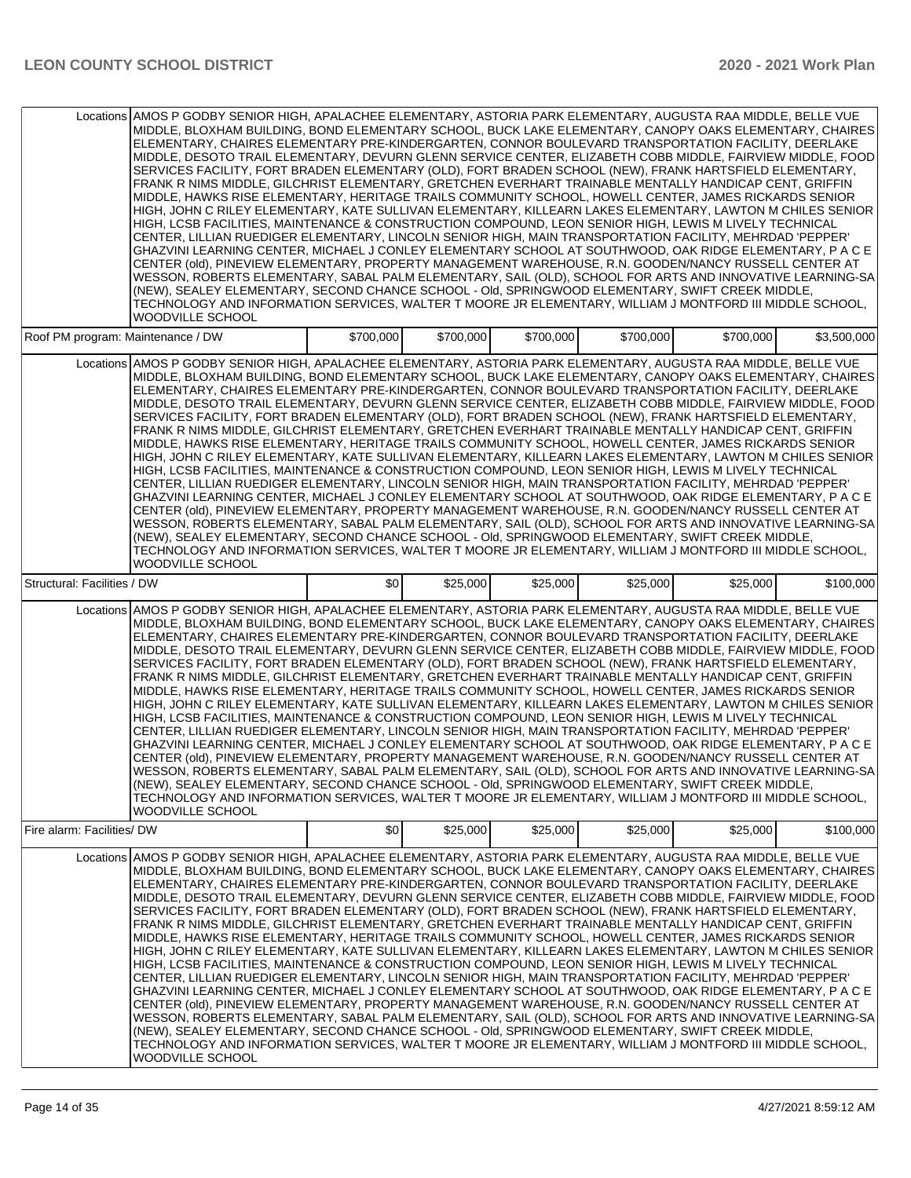|                                   | Locations AMOS P GODBY SENIOR HIGH, APALACHEE ELEMENTARY, ASTORIA PARK ELEMENTARY, AUGUSTA RAA MIDDLE, BELLE VUE<br>MIDDLE, BLOXHAM BUILDING, BOND ELEMENTARY SCHOOL, BUCK LAKE ELEMENTARY, CANOPY OAKS ELEMENTARY, CHAIRES<br>ELEMENTARY, CHAIRES ELEMENTARY PRE-KINDERGARTEN, CONNOR BOULEVARD TRANSPORTATION FACILITY, DEERLAKE<br>MIDDLE, DESOTO TRAIL ELEMENTARY, DEVURN GLENN SERVICE CENTER, ELIZABETH COBB MIDDLE, FAIRVIEW MIDDLE, FOOD<br>SERVICES FACILITY, FORT BRADEN ELEMENTARY (OLD), FORT BRADEN SCHOOL (NEW), FRANK HARTSFIELD ELEMENTARY,<br>FRANK R NIMS MIDDLE, GILCHRIST ELEMENTARY, GRETCHEN EVERHART TRAINABLE MENTALLY HANDICAP CENT, GRIFFIN<br>MIDDLE. HAWKS RISE ELEMENTARY. HERITAGE TRAILS COMMUNITY SCHOOL. HOWELL CENTER. JAMES RICKARDS SENIOR<br>HIGH, JOHN C RILEY ELEMENTARY, KATE SULLIVAN ELEMENTARY, KILLEARN LAKES ELEMENTARY, LAWTON M CHILES SENIOR<br>HIGH, LCSB FACILITIES, MAINTENANCE & CONSTRUCTION COMPOUND, LEON SENIOR HIGH, LEWIS M LIVELY TECHNICAL<br>CENTER, LILLIAN RUEDIGER ELEMENTARY, LINCOLN SENIOR HIGH, MAIN TRANSPORTATION FACILITY, MEHRDAD 'PEPPER'<br>GHAZVINI LEARNING CENTER, MICHAEL J CONLEY ELEMENTARY SCHOOL AT SOUTHWOOD, OAK RIDGE ELEMENTARY, P A C E<br>CENTER (old), PINEVIEW ELEMENTARY, PROPERTY MANAGEMENT WAREHOUSE, R.N. GOODEN/NANCY RUSSELL CENTER AT<br>WESSON, ROBERTS ELEMENTARY, SABAL PALM ELEMENTARY, SAIL (OLD), SCHOOL FOR ARTS AND INNOVATIVE LEARNING-SA<br>(NEW), SEALEY ELEMENTARY, SECOND CHANCE SCHOOL - Old, SPRINGWOOD ELEMENTARY, SWIFT CREEK MIDDLE,<br>TECHNOLOGY AND INFORMATION SERVICES, WALTER T MOORE JR ELEMENTARY, WILLIAM J MONTFORD III MIDDLE SCHOOL,<br>WOODVILLE SCHOOL        |                  |           |           |           |           |             |
|-----------------------------------|-------------------------------------------------------------------------------------------------------------------------------------------------------------------------------------------------------------------------------------------------------------------------------------------------------------------------------------------------------------------------------------------------------------------------------------------------------------------------------------------------------------------------------------------------------------------------------------------------------------------------------------------------------------------------------------------------------------------------------------------------------------------------------------------------------------------------------------------------------------------------------------------------------------------------------------------------------------------------------------------------------------------------------------------------------------------------------------------------------------------------------------------------------------------------------------------------------------------------------------------------------------------------------------------------------------------------------------------------------------------------------------------------------------------------------------------------------------------------------------------------------------------------------------------------------------------------------------------------------------------------------------------------------------------------------------------------|------------------|-----------|-----------|-----------|-----------|-------------|
| Roof PM program: Maintenance / DW |                                                                                                                                                                                                                                                                                                                                                                                                                                                                                                                                                                                                                                                                                                                                                                                                                                                                                                                                                                                                                                                                                                                                                                                                                                                                                                                                                                                                                                                                                                                                                                                                                                                                                                 | \$700,000        | \$700,000 | \$700,000 | \$700,000 | \$700,000 | \$3,500,000 |
|                                   | Locations AMOS P GODBY SENIOR HIGH, APALACHEE ELEMENTARY, ASTORIA PARK ELEMENTARY, AUGUSTA RAA MIDDLE, BELLE VUE<br>MIDDLE, BLOXHAM BUILDING, BOND ELEMENTARY SCHOOL, BUCK LAKE ELEMENTARY, CANOPY OAKS ELEMENTARY, CHAIRES<br>ELEMENTARY, CHAIRES ELEMENTARY PRE-KINDERGARTEN, CONNOR BOULEVARD TRANSPORTATION FACILITY, DEERLAKE<br>MIDDLE, DESOTO TRAIL ELEMENTARY, DEVURN GLENN SERVICE CENTER, ELIZABETH COBB MIDDLE, FAIRVIEW MIDDLE, FOOD<br>SERVICES FACILITY, FORT BRADEN ELEMENTARY (OLD), FORT BRADEN SCHOOL (NEW), FRANK HARTSFIELD ELEMENTARY,<br>FRANK R NIMS MIDDLE, GILCHRIST ELEMENTARY, GRETCHEN EVERHART TRAINABLE MENTALLY HANDICAP CENT, GRIFFIN<br>MIDDLE, HAWKS RISE ELEMENTARY, HERITAGE TRAILS COMMUNITY SCHOOL, HOWELL CENTER, JAMES RICKARDS SENIOR<br>HIGH, JOHN C RILEY ELEMENTARY, KATE SULLIVAN ELEMENTARY, KILLEARN LAKES ELEMENTARY, LAWTON M CHILES SENIOR<br>HIGH, LCSB FACILITIES, MAINTENANCE & CONSTRUCTION COMPOUND, LEON SENIOR HIGH, LEWIS M LIVELY TECHNICAL<br>CENTER, LILLIAN RUEDIGER ELEMENTARY, LINCOLN SENIOR HIGH, MAIN TRANSPORTATION FACILITY, MEHRDAD 'PEPPER'<br>GHAZVINI LEARNING CENTER, MICHAEL J CONLEY ELEMENTARY SCHOOL AT SOUTHWOOD, OAK RIDGE ELEMENTARY, P A C E<br>CENTER (old), PINEVIEW ELEMENTARY, PROPERTY MANAGEMENT WAREHOUSE, R.N. GOODEN/NANCY RUSSELL CENTER AT<br>WESSON, ROBERTS ELEMENTARY, SABAL PALM ELEMENTARY, SAIL (OLD), SCHOOL FOR ARTS AND INNOVATIVE LEARNING-SA<br>(NEW), SEALEY ELEMENTARY, SECOND CHANCE SCHOOL - Old, SPRINGWOOD ELEMENTARY, SWIFT CREEK MIDDLE,<br>TECHNOLOGY AND INFORMATION SERVICES, WALTER T MOORE JR ELEMENTARY, WILLIAM J MONTFORD III MIDDLE SCHOOL,<br><b>WOODVILLE SCHOOL</b> |                  |           |           |           |           |             |
| Structural: Facilities / DW       |                                                                                                                                                                                                                                                                                                                                                                                                                                                                                                                                                                                                                                                                                                                                                                                                                                                                                                                                                                                                                                                                                                                                                                                                                                                                                                                                                                                                                                                                                                                                                                                                                                                                                                 | \$0 <sub>l</sub> | \$25,000  | \$25,000  | \$25,000  | \$25,000  | \$100,000   |
|                                   | Locations AMOS P GODBY SENIOR HIGH, APALACHEE ELEMENTARY, ASTORIA PARK ELEMENTARY, AUGUSTA RAA MIDDLE, BELLE VUE<br>MIDDLE, BLOXHAM BUILDING, BOND ELEMENTARY SCHOOL, BUCK LAKE ELEMENTARY, CANOPY OAKS ELEMENTARY, CHAIRES<br>ELEMENTARY, CHAIRES ELEMENTARY PRE-KINDERGARTEN, CONNOR BOULEVARD TRANSPORTATION FACILITY, DEERLAKE<br>MIDDLE, DESOTO TRAIL ELEMENTARY, DEVURN GLENN SERVICE CENTER, ELIZABETH COBB MIDDLE, FAIRVIEW MIDDLE, FOOD<br>SERVICES FACILITY, FORT BRADEN ELEMENTARY (OLD), FORT BRADEN SCHOOL (NEW), FRANK HARTSFIELD ELEMENTARY,<br>FRANK R NIMS MIDDLE, GILCHRIST ELEMENTARY, GRETCHEN EVERHART TRAINABLE MENTALLY HANDICAP CENT, GRIFFIN<br>MIDDLE, HAWKS RISE ELEMENTARY, HERITAGE TRAILS COMMUNITY SCHOOL, HOWELL CENTER, JAMES RICKARDS SENIOR<br>HIGH. JOHN C RILEY ELEMENTARY. KATE SULLIVAN ELEMENTARY. KILLEARN LAKES ELEMENTARY. LAWTON M CHILES SENIOR<br>HIGH, LCSB FACILITIES, MAINTENANCE & CONSTRUCTION COMPOUND, LEON SENIOR HIGH, LEWIS M LIVELY TECHNICAL<br>CENTER, LILLIAN RUEDIGER ELEMENTARY, LINCOLN SENIOR HIGH, MAIN TRANSPORTATION FACILITY, MEHRDAD 'PEPPER'<br>GHAZVINI LEARNING CENTER, MICHAEL J CONLEY ELEMENTARY SCHOOL AT SOUTHWOOD, OAK RIDGE ELEMENTARY, P A C E<br>CENTER (old), PINEVIEW ELEMENTARY, PROPERTY MANAGEMENT WAREHOUSE, R.N. GOODEN/NANCY RUSSELL CENTER AT<br>WESSON, RÓBERTS ELEMENTARY, SABAL PALM ELEMENTARY, SAIL (OLD), SCHOOL FOR ARTS AND INNOVATIVE LEARNING-SA<br>(NEW), SEALEY ELEMENTARY, SECOND CHANCE SCHOOL - Old, SPRINGWOOD ELEMENTARY, SWIFT CREEK MIDDLE,<br>TECHNOLOGY AND INFORMATION SERVICES, WALTER T MOORE JR ELEMENTARY, WILLIAM J MONTFORD III MIDDLE SCHOOL,<br><b>WOODVILLE SCHOOL</b> |                  |           |           |           |           |             |
| Fire alarm: Facilities/DW         |                                                                                                                                                                                                                                                                                                                                                                                                                                                                                                                                                                                                                                                                                                                                                                                                                                                                                                                                                                                                                                                                                                                                                                                                                                                                                                                                                                                                                                                                                                                                                                                                                                                                                                 | \$0              | \$25,000  | \$25,000  | \$25,000  | \$25,000  | \$100,000   |
| Locations                         | AMOS P GODBY SENIOR HIGH, APALACHEE ELEMENTARY, ASTORIA PARK ELEMENTARY, AUGUSTA RAA MIDDLE, BELLE VUE<br>MIDDLE, BLOXHAM BUILDING, BOND ELEMENTARY SCHOOL, BUCK LAKE ELEMENTARY, CANOPY OAKS ELEMENTARY, CHAIRES<br>ELEMENTARY, CHAIRES ELEMENTARY PRE-KINDERGARTEN, CONNOR BOULEVARD TRANSPORTATION FACILITY, DEERLAKE<br>MIDDLE, DESOTO TRAIL ELEMENTARY, DEVURN GLENN SERVICE CENTER, ELIZABETH COBB MIDDLE, FAIRVIEW MIDDLE, FOOD<br>SERVICES FACILITY, FORT BRADEN ELEMENTARY (OLD), FORT BRADEN SCHOOL (NEW), FRANK HARTSFIELD ELEMENTARY,<br>FRANK R NIMS MIDDLE, GILCHRIST ELEMENTARY, GRETCHEN EVERHART TRAINABLE MENTALLY HANDICAP CENT, GRIFFIN<br>MIDDLE, HAWKS RISE ELEMENTARY, HERITAGE TRAILS COMMUNITY SCHOOL, HOWELL CENTER, JAMES RICKARDS SENIOR<br>HIGH, JOHN C RILEY ELEMENTARY, KATE SULLIVAN ELEMENTARY, KILLEARN LAKES ELEMENTARY, LAWTON M CHILES SENIOR<br>HIGH, LCSB FACILITIES, MAINTENANCE & CONSTRUCTION COMPOUND, LEON SENIOR HIGH, LEWIS M LIVELY TECHNICAL<br>CENTER, LILLIAN RUEDIGER ELEMENTARY, LINCOLN SENIOR HIGH, MAIN TRANSPORTATION FACILITY, MEHRDAD 'PEPPER'<br>GHAZVINI LEARNING CENTER, MICHAEL J CONLEY ELEMENTARY SCHOOL AT SOUTHWOOD, OAK RIDGE ELEMENTARY, P A C E<br>CENTER (old), PINEVIEW ELEMENTARY, PROPERTY MANAGEMENT WAREHOUSE, R.N. GOODEN/NANCY RUSSELL CENTER AT<br>WESSON, ROBERTS ELEMENTARY, SABAL PALM ELEMENTARY, SAIL (OLD), SCHOOL FOR ARTS AND INNOVATIVE LEARNING-SA<br>(NEW), SEALEY ELEMENTARY, SECOND CHANCE SCHOOL - Old, SPRINGWOOD ELEMENTARY, SWIFT CREEK MIDDLE,<br>TECHNOLOGY AND INFORMATION SERVICES, WALTER T MOORE JR ELEMENTARY, WILLIAM J MONTFORD III MIDDLE SCHOOL,<br>WOODVILLE SCHOOL                  |                  |           |           |           |           |             |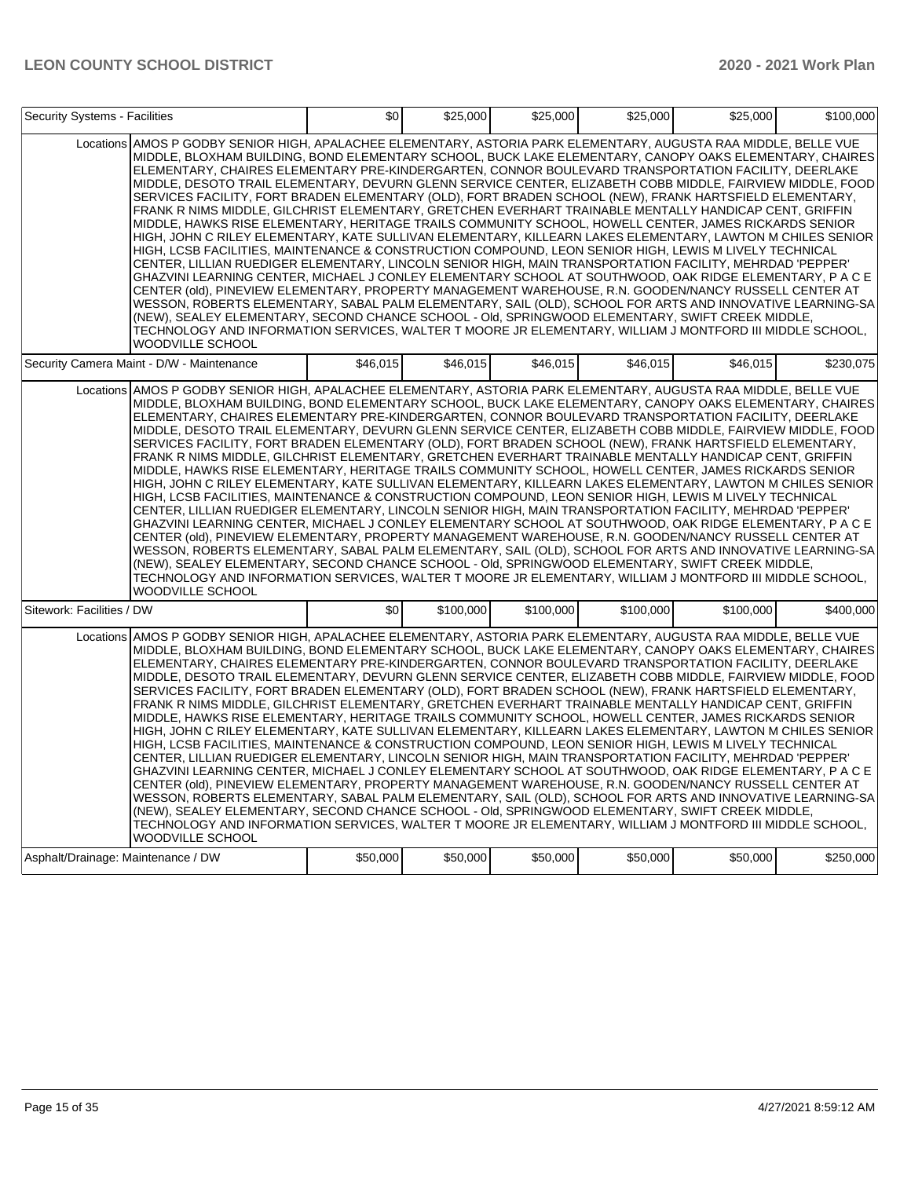| <b>Security Systems - Facilities</b> |                                                                                                                                                                                                                                                                                                                                                                                                                                                                                                                                                                                                                                                                                                                                                                                                                                                                                                                                                                                                                                                                                                                                                                                                                                                                                                                                                                                                                                                                                                                                                                                                                                                                                          | \$0      | \$25,000  | \$25,000  | \$25,000  | \$25,000  | \$100,000 |
|--------------------------------------|------------------------------------------------------------------------------------------------------------------------------------------------------------------------------------------------------------------------------------------------------------------------------------------------------------------------------------------------------------------------------------------------------------------------------------------------------------------------------------------------------------------------------------------------------------------------------------------------------------------------------------------------------------------------------------------------------------------------------------------------------------------------------------------------------------------------------------------------------------------------------------------------------------------------------------------------------------------------------------------------------------------------------------------------------------------------------------------------------------------------------------------------------------------------------------------------------------------------------------------------------------------------------------------------------------------------------------------------------------------------------------------------------------------------------------------------------------------------------------------------------------------------------------------------------------------------------------------------------------------------------------------------------------------------------------------|----------|-----------|-----------|-----------|-----------|-----------|
|                                      | Locations AMOS P GODBY SENIOR HIGH, APALACHEE ELEMENTARY, ASTORIA PARK ELEMENTARY, AUGUSTA RAA MIDDLE, BELLE VUE<br>MIDDLE, BLOXHAM BUILDING, BOND ELEMENTARY SCHOOL, BUCK LAKE ELEMENTARY, CANOPY OAKS ELEMENTARY, CHAIRES<br>ELEMENTARY, CHAIRES ELEMENTARY PRE-KINDERGARTEN, CONNOR BOULEVARD TRANSPORTATION FACILITY, DEERLAKE<br>MIDDLE, DESOTO TRAIL ELEMENTARY, DEVURN GLENN SERVICE CENTER, ELIZABETH COBB MIDDLE, FAIRVIEW MIDDLE, FOOD<br>SERVICES FACILITY, FORT BRADEN ELEMENTARY (OLD), FORT BRADEN SCHOOL (NEW), FRANK HARTSFIELD ELEMENTARY,<br>FRANK R NIMS MIDDLE, GILCHRIST ELEMENTARY, GRETCHEN EVERHART TRAINABLE MENTALLY HANDICAP CENT, GRIFFIN<br>MIDDLE, HAWKS RISE ELEMENTARY, HERITAGE TRAILS COMMUNITY SCHOOL, HOWELL CENTER, JAMES RICKARDS SENIOR<br>HIGH, JOHN C RILEY ELEMENTARY, KATE SULLIVAN ELEMENTARY, KILLEARN LAKES ELEMENTARY, LAWTON M CHILES SENIOR<br>HIGH, LCSB FACILITIES, MAINTENANCE & CONSTRUCTION COMPOUND, LEON SENIOR HIGH, LEWIS M LIVELY TECHNICAL<br>CENTER, LILLIAN RUEDIGER ELEMENTARY, LINCOLN SENIOR HIGH, MAIN TRANSPORTATION FACILITY, MEHRDAD 'PEPPER'<br>GHAZVINI LEARNING CENTER, MICHAEL J CONLEY ELEMENTARY SCHOOL AT SOUTHWOOD, OAK RIDGE ELEMENTARY, P A C E<br>CENTER (old), PINEVIEW ELEMENTARY, PROPERTY MANAGEMENT WAREHOUSE, R.N. GOODEN/NANCY RUSSELL CENTER AT<br>WESSON, ROBERTS ELEMENTARY, SABAL PALM ELEMENTARY, SAIL (OLD), SCHOOL FOR ARTS AND INNOVATIVE LEARNING-SA<br>(NEW), SEALEY ELEMENTARY, SECOND CHANCE SCHOOL - Old, SPRINGWOOD ELEMENTARY, SWIFT CREEK MIDDLE,<br>TECHNOLOGY AND INFORMATION SERVICES, WALTER T MOORE JR ELEMENTARY, WILLIAM J MONTFORD III MIDDLE SCHOOL,<br>WOODVILLE SCHOOL |          |           |           |           |           |           |
|                                      | Security Camera Maint - D/W - Maintenance                                                                                                                                                                                                                                                                                                                                                                                                                                                                                                                                                                                                                                                                                                                                                                                                                                                                                                                                                                                                                                                                                                                                                                                                                                                                                                                                                                                                                                                                                                                                                                                                                                                | \$46.015 | \$46.015  | \$46,015  | \$46,015  | \$46.015  | \$230,075 |
|                                      | Locations AMOS P GODBY SENIOR HIGH, APALACHEE ELEMENTARY, ASTORIA PARK ELEMENTARY, AUGUSTA RAA MIDDLE, BELLE VUE<br>MIDDLE, BLOXHAM BUILDING, BOND ELEMENTARY SCHOOL, BUCK LAKE ELEMENTARY, CANOPY OAKS ELEMENTARY, CHAIRES<br>ELEMENTARY, CHAIRES ELEMENTARY PRE-KINDERGARTEN, CONNOR BOULEVARD TRANSPORTATION FACILITY, DEERLAKE<br>MIDDLE, DESOTO TRAIL ELEMENTARY, DEVURN GLENN SERVICE CENTER, ELIZABETH COBB MIDDLE, FAIRVIEW MIDDLE, FOOD<br>SERVICES FACILITY, FORT BRADEN ELEMENTARY (OLD), FORT BRADEN SCHOOL (NEW), FRANK HARTSFIELD ELEMENTARY,<br>FRANK R NIMS MIDDLE, GILCHRIST ELEMENTARY, GRETCHEN EVERHART TRAINABLE MENTALLY HANDICAP CENT, GRIFFIN<br>MIDDLE, HAWKS RISE ELEMENTARY, HERITAGE TRAILS COMMUNITY SCHOOL, HOWELL CENTER, JAMES RICKARDS SENIOR<br>HIGH, JOHN C RILEY ELEMENTARY, KATE SULLIVAN ELEMENTARY, KILLEARN LAKES ELEMENTARY, LAWTON M CHILES SENIOR<br>HIGH, LCSB FACILITIES, MAINTENANCE & CONSTRUCTION COMPOUND, LEON SENIOR HIGH, LEWIS M LIVELY TECHNICAL<br>CENTER, LILLIAN RUEDIGER ELEMENTARY, LINCOLN SENIOR HIGH, MAIN TRANSPORTATION FACILITY, MEHRDAD 'PEPPER'<br>GHAZVINI LEARNING CENTER, MICHAEL J CONLEY ELEMENTARY SCHOOL AT SOUTHWOOD, OAK RIDGE ELEMENTARY, P A C E<br>CENTER (old), PINEVIEW ELEMENTARY, PROPERTY MANAGEMENT WAREHOUSE, R.N. GOODEN/NANCY RUSSELL CENTER AT<br>WESSON, ROBERTS ELEMENTARY, SABAL PALM ELEMENTARY, SAIL (OLD), SCHOOL FOR ARTS AND INNOVATIVE LEARNING-SA<br>(NEW), SEALEY ELEMENTARY, SECOND CHANCE SCHOOL - Old, SPRINGWOOD ELEMENTARY, SWIFT CREEK MIDDLE,<br>TECHNOLOGY AND INFORMATION SERVICES, WALTER T MOORE JR ELEMENTARY, WILLIAM J MONTFORD III MIDDLE SCHOOL,<br>WOODVILLE SCHOOL |          |           |           |           |           |           |
| Sitework: Facilities / DW            |                                                                                                                                                                                                                                                                                                                                                                                                                                                                                                                                                                                                                                                                                                                                                                                                                                                                                                                                                                                                                                                                                                                                                                                                                                                                                                                                                                                                                                                                                                                                                                                                                                                                                          | \$0      | \$100,000 | \$100,000 | \$100,000 | \$100,000 | \$400.000 |
|                                      | Locations AMOS P GODBY SENIOR HIGH, APALACHEE ELEMENTARY, ASTORIA PARK ELEMENTARY, AUGUSTA RAA MIDDLE, BELLE VUE<br>MIDDLE, BLOXHAM BUILDING, BOND ELEMENTARY SCHOOL, BUCK LAKE ELEMENTARY, CANOPY OAKS ELEMENTARY, CHAIRES<br>ELEMENTARY, CHAIRES ELEMENTARY PRE-KINDERGARTEN, CONNOR BOULEVARD TRANSPORTATION FACILITY, DEERLAKE<br>MIDDLE, DESOTO TRAIL ELEMENTARY, DEVURN GLENN SERVICE CENTER, ELIZABETH COBB MIDDLE, FAIRVIEW MIDDLE, FOOD<br>SERVICES FACILITY, FORT BRADEN ELEMENTARY (OLD), FORT BRADEN SCHOOL (NEW), FRANK HARTSFIELD ELEMENTARY,<br>FRANK R NIMS MIDDLE, GILCHRIST ELEMENTARY, GRETCHEN EVERHART TRAINABLE MENTALLY HANDICAP CENT, GRIFFIN<br>MIDDLE, HAWKS RISE ELEMENTARY, HERITAGE TRAILS COMMUNITY SCHOOL, HOWELL CENTER, JAMES RICKARDS SENIOR<br>HIGH, JOHN C RILEY ELEMENTARY, KATE SULLIVAN ELEMENTARY, KILLEARN LAKES ELEMENTARY, LAWTON M CHILES SENIOR<br>HIGH, LCSB FACILITIES, MAINTENANCE & CONSTRUCTION COMPOUND, LEON SENIOR HIGH, LEWIS M LIVELY TECHNICAL<br>CENTER, LILLIAN RUEDIGER ELEMENTARY, LINCOLN SENIOR HIGH, MAIN TRANSPORTATION FACILITY, MEHRDAD 'PEPPER'<br>GHAZVINI LEARNING CENTER, MICHAEL J CONLEY ELEMENTARY SCHOOL AT SOUTHWOOD, OAK RIDGE ELEMENTARY, P A C E<br>CENTER (old), PINEVIEW ELEMENTARY, PROPERTY MANAGEMENT WAREHOUSE, R.N. GOODEN/NANCY RUSSELL CENTER AT<br>WESSON, ROBERTS ELEMENTARY, SABAL PALM ELEMENTARY, SAIL (OLD), SCHOOL FOR ARTS AND INNOVATIVE LEARNING-SA<br>(NEW), SEALEY ELEMENTARY, SECOND CHANCE SCHOOL - Old, SPRINGWOOD ELEMENTARY, SWIFT CREEK MIDDLE,<br>TECHNOLOGY AND INFORMATION SERVICES, WALTER T MOORE JR ELEMENTARY, WILLIAM J MONTFORD III MIDDLE SCHOOL,<br>WOODVILLE SCHOOL |          |           |           |           |           |           |
| Asphalt/Drainage: Maintenance / DW   |                                                                                                                                                                                                                                                                                                                                                                                                                                                                                                                                                                                                                                                                                                                                                                                                                                                                                                                                                                                                                                                                                                                                                                                                                                                                                                                                                                                                                                                                                                                                                                                                                                                                                          | \$50,000 | \$50,000  | \$50,000  | \$50,000  | \$50,000  | \$250,000 |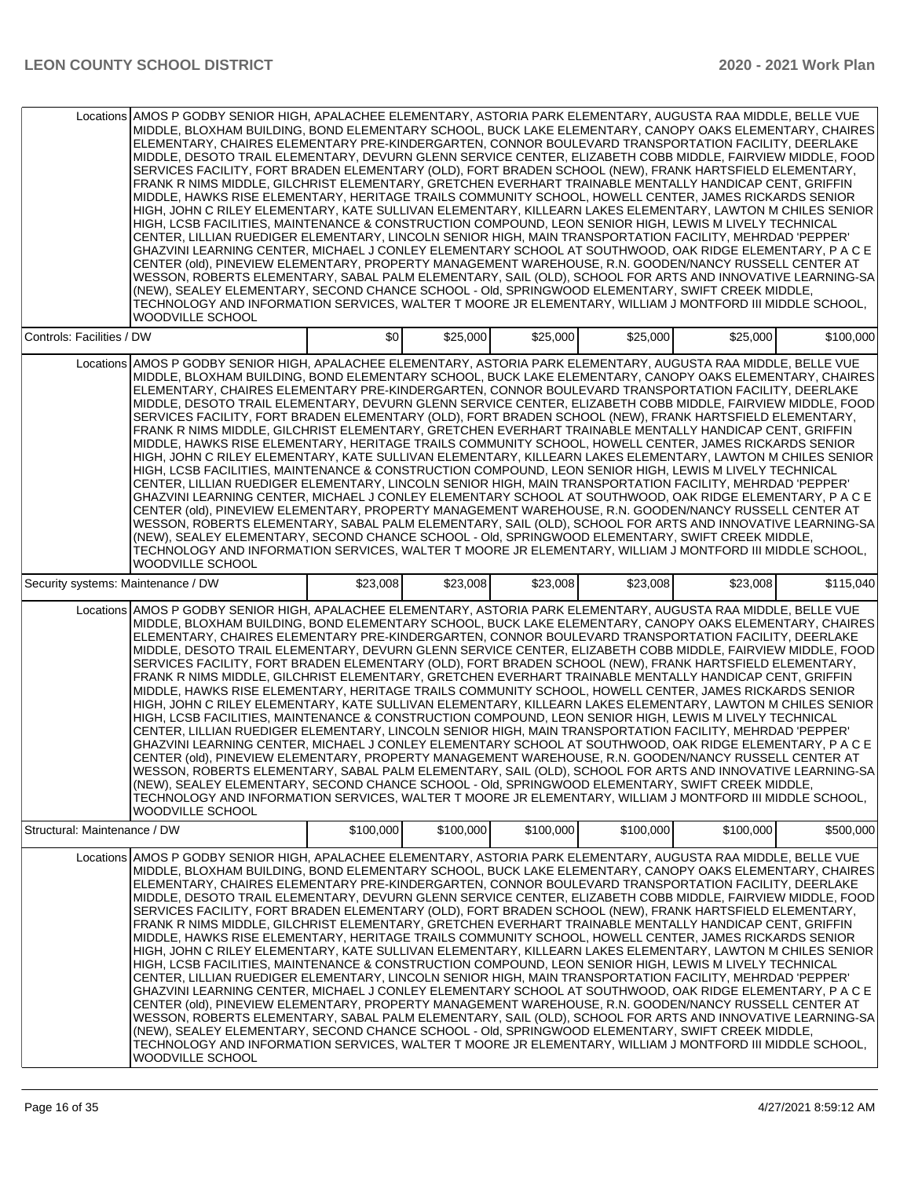|                                    | Locations AMOS P GODBY SENIOR HIGH, APALACHEE ELEMENTARY, ASTORIA PARK ELEMENTARY, AUGUSTA RAA MIDDLE, BELLE VUE<br>MIDDLE, BLOXHAM BUILDING, BOND ELEMENTARY SCHOOL, BUCK LAKE ELEMENTARY, CANOPY OAKS ELEMENTARY, CHAIRES<br>ELEMENTARY, CHAIRES ELEMENTARY PRE-KINDERGARTEN, CONNOR BOULEVARD TRANSPORTATION FACILITY, DEERLAKE<br>MIDDLE, DESOTO TRAIL ELEMENTARY, DEVURN GLENN SERVICE CENTER, ELIZABETH COBB MIDDLE, FAIRVIEW MIDDLE, FOOD<br>SERVICES FACILITY, FORT BRADEN ELEMENTARY (OLD), FORT BRADEN SCHOOL (NEW), FRANK HARTSFIELD ELEMENTARY,<br>FRANK R NIMS MIDDLE, GILCHRIST ELEMENTARY, GRETCHEN EVERHART TRAINABLE MENTALLY HANDICAP CENT, GRIFFIN<br>MIDDLE, HAWKS RISE ELEMENTARY, HERITAGE TRAILS COMMUNITY SCHOOL, HOWELL CENTER, JAMES RICKARDS SENIOR<br>HIGH, JOHN C RILEY ELEMENTARY, KATE SULLIVAN ELEMENTARY, KILLEARN LAKES ELEMENTARY, LAWTON M CHILES SENIOR<br>HIGH, LCSB FACILITIES, MAINTENANCE & CONSTRUCTION COMPOUND, LEON SENIOR HIGH, LEWIS M LIVELY TECHNICAL<br>CENTER, LILLIAN RUEDIGER ELEMENTARY, LINCOLN SENIOR HIGH, MAIN TRANSPORTATION FACILITY, MEHRDAD 'PEPPER'<br>GHAZVINI LEARNING CENTER, MICHAEL J CONLEY ELEMENTARY SCHOOL AT SOUTHWOOD, OAK RIDGE ELEMENTARY, P A C E<br>CENTER (old), PINEVIEW ELEMENTARY, PROPERTY MANAGEMENT WAREHOUSE, R.N. GOODEN/NANCY RUSSELL CENTER AT<br>WESSON, ROBERTS ELEMENTARY, SABAL PALM ELEMENTARY, SAIL (OLD), SCHOOL FOR ARTS AND INNOVATIVE LEARNING-SA<br>(NEW), SEALEY ELEMENTARY, SECOND CHANCE SCHOOL - Old, SPRINGWOOD ELEMENTARY, SWIFT CREEK MIDDLE,<br>TECHNOLOGY AND INFORMATION SERVICES, WALTER T MOORE JR ELEMENTARY, WILLIAM J MONTFORD III MIDDLE SCHOOL,<br>WOODVILLE SCHOOL        |           |           |           |           |           |           |
|------------------------------------|-------------------------------------------------------------------------------------------------------------------------------------------------------------------------------------------------------------------------------------------------------------------------------------------------------------------------------------------------------------------------------------------------------------------------------------------------------------------------------------------------------------------------------------------------------------------------------------------------------------------------------------------------------------------------------------------------------------------------------------------------------------------------------------------------------------------------------------------------------------------------------------------------------------------------------------------------------------------------------------------------------------------------------------------------------------------------------------------------------------------------------------------------------------------------------------------------------------------------------------------------------------------------------------------------------------------------------------------------------------------------------------------------------------------------------------------------------------------------------------------------------------------------------------------------------------------------------------------------------------------------------------------------------------------------------------------------|-----------|-----------|-----------|-----------|-----------|-----------|
| Controls: Facilities / DW          |                                                                                                                                                                                                                                                                                                                                                                                                                                                                                                                                                                                                                                                                                                                                                                                                                                                                                                                                                                                                                                                                                                                                                                                                                                                                                                                                                                                                                                                                                                                                                                                                                                                                                                 | \$0       | \$25,000  | \$25,000  | \$25,000  | \$25,000  | \$100,000 |
|                                    | Locations AMOS P GODBY SENIOR HIGH, APALACHEE ELEMENTARY, ASTORIA PARK ELEMENTARY, AUGUSTA RAA MIDDLE, BELLE VUE<br>MIDDLE, BLOXHAM BUILDING, BOND ELEMENTARY SCHOOL, BUCK LAKE ELEMENTARY, CANOPY OAKS ELEMENTARY, CHAIRES<br>ELEMENTARY, CHAIRES ELEMENTARY PRE-KINDERGARTEN, CONNOR BOULEVARD TRANSPORTATION FACILITY, DEERLAKE<br>MIDDLE, DESOTO TRAIL ELEMENTARY, DEVURN GLENN SERVICE CENTER, ELIZABETH COBB MIDDLE, FAIRVIEW MIDDLE, FOOD<br>SERVICES FACILITY, FORT BRADEN ELEMENTARY (OLD), FORT BRADEN SCHOOL (NEW), FRANK HARTSFIELD ELEMENTARY,<br>FRANK R NIMS MIDDLE, GILCHRIST ELEMENTARY, GRETCHEN EVERHART TRAINABLE MENTALLY HANDICAP CENT, GRIFFIN<br>MIDDLE. HAWKS RISE ELEMENTARY. HERITAGE TRAILS COMMUNITY SCHOOL. HOWELL CENTER. JAMES RICKARDS SENIOR<br>HIGH. JOHN C RILEY ELEMENTARY. KATE SULLIVAN ELEMENTARY. KILLEARN LAKES ELEMENTARY. LAWTON M CHILES SENIOR<br>HIGH, LCSB FACILITIES, MAINTENANCE & CONSTRUCTION COMPOUND, LEON SENIOR HIGH, LEWIS M LIVELY TECHNICAL<br>CENTER. LILLIAN RUEDIGER ELEMENTARY. LINCOLN SENIOR HIGH. MAIN TRANSPORTATION FACILITY. MEHRDAD 'PEPPER'<br>GHAZVINI LEARNING CENTER, MICHAEL J CONLEY ELEMENTARY SCHOOL AT SOUTHWOOD, OAK RIDGE ELEMENTARY, P A C E<br>CENTER (old), PINEVIEW ELEMENTARY, PROPERTY MANAGEMENT WAREHOUSE, R.N. GOODEN/NANCY RUSSELL CENTER AT<br>WESSON, ROBERTS ELEMENTARY, SABAL PALM ELEMENTARY, SAIL (OLD), SCHOOL FOR ARTS AND INNOVATIVE LEARNING-SA<br>(NEW), SEALEY ELEMENTARY, SECOND CHANCE SCHOOL - Old, SPRINGWOOD ELEMENTARY, SWIFT CREEK MIDDLE,<br>TECHNOLOGY AND INFORMATION SERVICES, WALTER T MOORE JR ELEMENTARY, WILLIAM J MONTFORD III MIDDLE SCHOOL,<br><b>WOODVILLE SCHOOL</b> |           |           |           |           |           |           |
| Security systems: Maintenance / DW |                                                                                                                                                                                                                                                                                                                                                                                                                                                                                                                                                                                                                                                                                                                                                                                                                                                                                                                                                                                                                                                                                                                                                                                                                                                                                                                                                                                                                                                                                                                                                                                                                                                                                                 | \$23,008  | \$23,008  | \$23,008  | \$23,008  | \$23,008  | \$115,040 |
|                                    | Locations AMOS P GODBY SENIOR HIGH, APALACHEE ELEMENTARY, ASTORIA PARK ELEMENTARY, AUGUSTA RAA MIDDLE, BELLE VUE<br>MIDDLE, BLOXHAM BUILDING, BOND ELEMENTARY SCHOOL, BUCK LAKE ELEMENTARY, CANOPY OAKS ELEMENTARY, CHAIRES<br>ELEMENTARY, CHAIRES ELEMENTARY PRE-KINDERGARTEN, CONNOR BOULEVARD TRANSPORTATION FACILITY, DEERLAKE<br>MIDDLE, DESOTO TRAIL ELEMENTARY, DEVURN GLENN SERVICE CENTER, ELIZABETH COBB MIDDLE, FAIRVIEW MIDDLE, FOOD<br>SERVICES FACILITY, FORT BRADEN ELEMENTARY (OLD), FORT BRADEN SCHOOL (NEW), FRANK HARTSFIELD ELEMENTARY,<br>FRANK R NIMS MIDDLE, GILCHRIST ELEMENTARY, GRETCHEN EVERHART TRAINABLE MENTALLY HANDICAP CENT, GRIFFIN<br>MIDDLE, HAWKS RISE ELEMENTARY, HERITAGE TRAILS COMMUNITY SCHOOL, HOWELL CENTER, JAMES RICKARDS SENIOR<br>HIGH, JOHN C RILEY ELEMENTARY, KATE SULLIVAN ELEMENTARY, KILLEARN LAKES ELEMENTARY, LAWTON M CHILES SENIOR<br>HIGH, LCSB FACILITIES, MAINTENANCE & CONSTRUCTION COMPOUND, LEON SENIOR HIGH, LEWIS M LIVELY TECHNICAL<br>CENTER, LILLIAN RUEDIGER ELEMENTARY, LINCOLN SENIOR HIGH, MAIN TRANSPORTATION FACILITY, MEHRDAD 'PEPPER'<br>GHAZVINI LEARNING CENTER, MICHAEL J CONLEY ELEMENTARY SCHOOL AT SOUTHWOOD, OAK RIDGE ELEMENTARY, P A C E<br>CENTER (old), PINEVIEW ELEMENTARY, PROPERTY MANAGEMENT WAREHOUSE, R.N. GOODEN/NANCY RUSSELL CENTER AT<br>WESSON, ROBERTS ELEMENTARY, SABAL PALM ELEMENTARY, SAIL (OLD), SCHOOL FOR ARTS AND INNOVATIVE LEARNING-SA<br>(NEW), SEALEY ELEMENTARY, SECOND CHANCE SCHOOL - Old, SPRINGWOOD ELEMENTARY, SWIFT CREEK MIDDLE,<br>TECHNOLOGY AND INFORMATION SERVICES, WALTER T MOORE JR ELEMENTARY, WILLIAM J MONTFORD III MIDDLE SCHOOL,<br><b>WOODVILLE SCHOOL</b> |           |           |           |           |           |           |
| Structural: Maintenance / DW       |                                                                                                                                                                                                                                                                                                                                                                                                                                                                                                                                                                                                                                                                                                                                                                                                                                                                                                                                                                                                                                                                                                                                                                                                                                                                                                                                                                                                                                                                                                                                                                                                                                                                                                 | \$100,000 | \$100,000 | \$100,000 | \$100,000 | \$100,000 | \$500,000 |
|                                    | Locations AMOS P GODBY SENIOR HIGH. APALACHEE ELEMENTARY. ASTORIA PARK ELEMENTARY. AUGUSTA RAA MIDDLE. BELLE VUE<br>MIDDLE, BLOXHAM BUILDING, BOND ELEMENTARY SCHOOL, BUCK LAKE ELEMENTARY, CANOPY OAKS ELEMENTARY, CHAIRES<br>ELEMENTARY, CHAIRES ELEMENTARY PRE-KINDERGARTEN, CONNOR BOULEVARD TRANSPORTATION FACILITY, DEERLAKE<br>MIDDLE, DESOTO TRAIL ELEMENTARY, DEVURN GLENN SERVICE CENTER, ELIZABETH COBB MIDDLE, FAIRVIEW MIDDLE, FOOD<br>SERVICES FACILITY, FORT BRADEN ELEMENTARY (OLD), FORT BRADEN SCHOOL (NEW), FRANK HARTSFIELD ELEMENTARY,<br>FRANK R NIMS MIDDLE, GILCHRIST ELEMENTARY, GRETCHEN EVERHART TRAINABLE MENTALLY HANDICAP CENT, GRIFFIN<br>MIDDLE, HAWKS RISE ELEMENTARY, HERITAGE TRAILS COMMUNITY SCHOOL, HOWELL CENTER, JAMES RICKARDS SENIOR<br>HIGH, JOHN C RILEY ELEMENTARY, KATE SULLIVAN ELEMENTARY, KILLEARN LAKES ELEMENTARY, LAWTON M CHILES SENIOR<br>HIGH, LCSB FACILITIES, MAINTENANCE & CONSTRUCTION COMPOUND, LEON SENIOR HIGH, LEWIS M LIVELY TECHNICAL<br>CENTER, LILLIAN RUEDIGER ELEMENTARY, LINCOLN SENIOR HIGH, MAIN TRANSPORTATION FACILITY, MEHRDAD 'PEPPER'<br>GHAZVINI LEARNING CENTER, MICHAEL J CONLEY ELEMENTARY SCHOOL AT SOUTHWOOD, OAK RIDGE ELEMENTARY, P A C E<br>CENTER (old), PINEVIEW ELEMENTARY, PROPERTY MANAGEMENT WAREHOUSE, R.N. GOODEN/NANCY RUSSELL CENTER AT<br>WESSON, ROBERTS ELEMENTARY, SABAL PALM ELEMENTARY, SAIL (OLD), SCHOOL FOR ARTS AND INNOVATIVE LEARNING-SA<br>(NEW), SEALEY ELEMENTARY, SECOND CHANCE SCHOOL - Old, SPRINGWOOD ELEMENTARY, SWIFT CREEK MIDDLE,<br>TECHNOLOGY AND INFORMATION SERVICES, WALTER T MOORE JR ELEMENTARY, WILLIAM J MONTFORD III MIDDLE SCHOOL,<br>WOODVILLE SCHOOL        |           |           |           |           |           |           |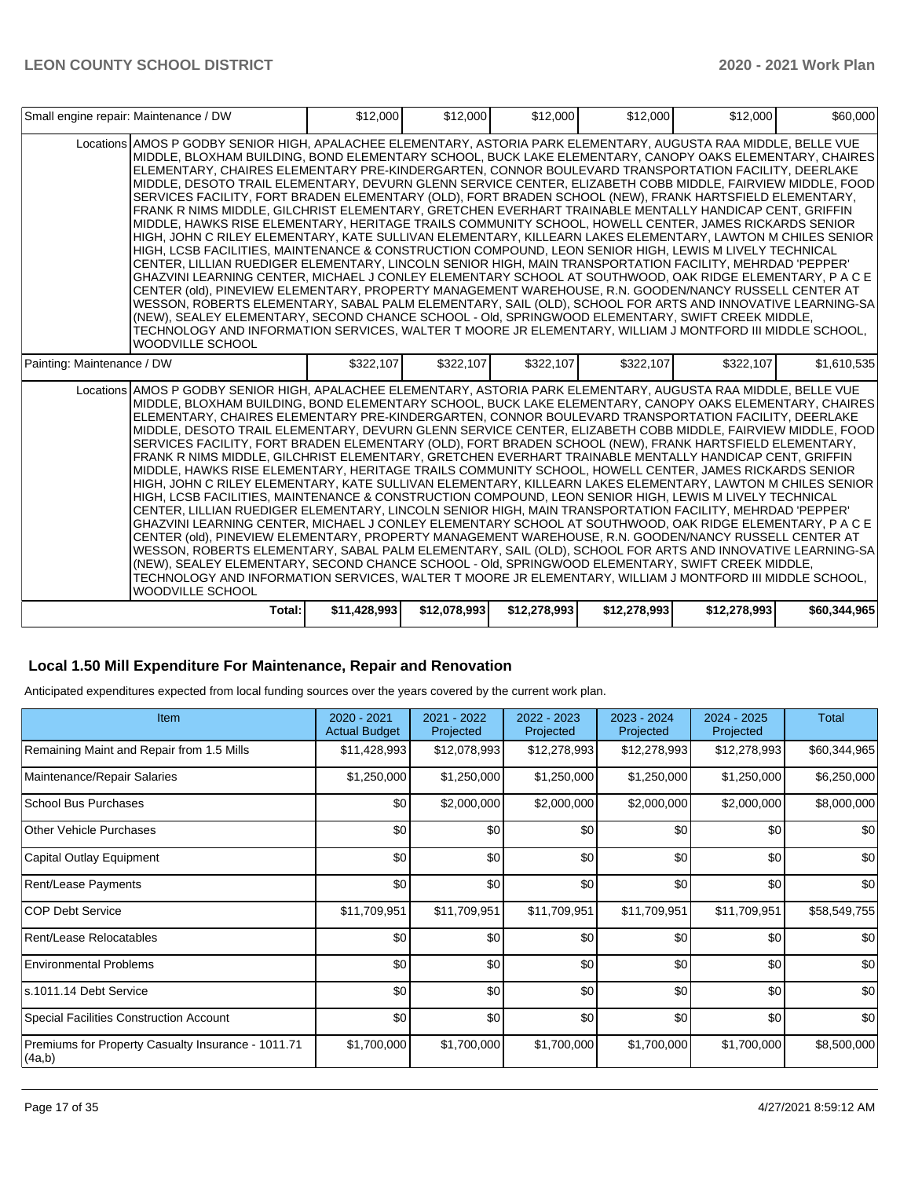| Small engine repair: Maintenance / DW |                                                                                                                                                                                                                                                                                                                                                                                                                                                                                                                                                                                                                                                                                                                                                                                                                                                                                                                                                                                                                                                                                                                                                                                                                                                                                                                                                                                                                                                                                                                                                                                                                                                                                                    | \$12,000     | \$12,000     | \$12,000     | \$12,000     | \$12,000     | \$60,000     |
|---------------------------------------|----------------------------------------------------------------------------------------------------------------------------------------------------------------------------------------------------------------------------------------------------------------------------------------------------------------------------------------------------------------------------------------------------------------------------------------------------------------------------------------------------------------------------------------------------------------------------------------------------------------------------------------------------------------------------------------------------------------------------------------------------------------------------------------------------------------------------------------------------------------------------------------------------------------------------------------------------------------------------------------------------------------------------------------------------------------------------------------------------------------------------------------------------------------------------------------------------------------------------------------------------------------------------------------------------------------------------------------------------------------------------------------------------------------------------------------------------------------------------------------------------------------------------------------------------------------------------------------------------------------------------------------------------------------------------------------------------|--------------|--------------|--------------|--------------|--------------|--------------|
|                                       | Locations AMOS P GODBY SENIOR HIGH, APALACHEE ELEMENTARY, ASTORIA PARK ELEMENTARY, AUGUSTA RAA MIDDLE, BELLE VUE<br>MIDDLE, BLOXHAM BUILDING, BOND ELEMENTARY SCHOOL, BUCK LAKE ELEMENTARY, CANOPY OAKS ELEMENTARY, CHAIRES<br>ELEMENTARY. CHAIRES ELEMENTARY PRE-KINDERGARTEN. CONNOR BOULEVARD TRANSPORTATION FACILITY. DEERLAKE<br>MIDDLE, DESOTO TRAIL ELEMENTARY, DEVURN GLENN SERVICE CENTER, ELIZABETH COBB MIDDLE, FAIRVIEW MIDDLE, FOOD<br>SERVICES FACILITY, FORT BRADEN ELEMENTARY (OLD), FORT BRADEN SCHOOL (NEW), FRANK HARTSFIELD ELEMENTARY,<br>FRANK R NIMS MIDDLE, GILCHRIST ELEMENTARY, GRETCHEN EVERHART TRAINABLE MENTALLY HANDICAP CENT, GRIFFIN<br>MIDDLE, HAWKS RISE ELEMENTARY, HERITAGE TRAILS COMMUNITY SCHOOL, HOWELL CENTER, JAMES RICKARDS SENIOR<br>HIGH, JOHN C RILEY ELEMENTARY, KATE SULLIVAN ELEMENTARY, KILLEARN LAKES ELEMENTARY, LAWTON M CHILES SENIOR<br>HIGH, LCSB FACILITIES, MAINTENANCE & CONSTRUCTION COMPOUND, LEON SENIOR HIGH, LEWIS M LIVELY TECHNICAL<br>CENTER, LILLIAN RUEDIGER ELEMENTARY, LINCOLN SENIOR HIGH, MAIN TRANSPORTATION FACILITY, MEHRDAD 'PEPPER'<br>GHAZVINI LEARNING CENTER, MICHAEL J CONLEY ELEMENTARY SCHOOL AT SOUTHWOOD, OAK RIDGE ELEMENTARY, P A C E<br>CENTER (old), PINEVIEW ELEMENTARY, PROPERTY MANAGEMENT WAREHOUSE, R.N. GOODEN/NANCY RUSSELL CENTER AT<br>WESSON, ROBERTS ELEMENTARY, SABAL PALM ELEMENTARY, SAIL (OLD), SCHOOL FOR ARTS AND INNOVATIVE LEARNING-SA<br>(NEW), SEALEY ELEMENTARY, SECOND CHANCE SCHOOL - Old, SPRINGWOOD ELEMENTARY, SWIFT CREEK MIDDLE,<br>TECHNOLOGY AND INFORMATION SERVICES, WALTER T MOORE JR ELEMENTARY, WILLIAM J MONTFORD III MIDDLE SCHOOL,<br><b>WOODVILLE SCHOOL</b>    |              |              |              |              |              |              |
| Painting: Maintenance / DW            |                                                                                                                                                                                                                                                                                                                                                                                                                                                                                                                                                                                                                                                                                                                                                                                                                                                                                                                                                                                                                                                                                                                                                                                                                                                                                                                                                                                                                                                                                                                                                                                                                                                                                                    | \$322,107    | \$322,107    | \$322,107    | \$322,107    | \$322,107    | \$1,610,535  |
|                                       | Locations AMOS P GODBY SENIOR HIGH, APALACHEE ELEMENTARY, ASTORIA PARK ELEMENTARY, AUGUSTA RAA MIDDLE, BELLE VUE<br>IMIDDLE. BLOXHAM BUILDING. BOND ELEMENTARY SCHOOL. BUCK LAKE ELEMENTARY. CANOPY OAKS ELEMENTARY. CHAIRES<br>ELEMENTARY, CHAIRES ELEMENTARY PRE-KINDERGARTEN, CONNOR BOULEVARD TRANSPORTATION FACILITY, DEERLAKE<br>MIDDLE, DESOTO TRAIL ELEMENTARY, DEVURN GLENN SERVICE CENTER, ELIZABETH COBB MIDDLE, FAIRVIEW MIDDLE, FOOD<br>SERVICES FACILITY, FORT BRADEN ELEMENTARY (OLD), FORT BRADEN SCHOOL (NEW), FRANK HARTSFIELD ELEMENTARY,<br>FRANK R NIMS MIDDLE, GILCHRIST ELEMENTARY, GRETCHEN EVERHART TRAINABLE MENTALLY HANDICAP CENT, GRIFFIN<br>MIDDLE, HAWKS RISE ELEMENTARY, HERITAGE TRAILS COMMUNITY SCHOOL, HOWELL CENTER, JAMES RICKARDS SENIOR<br>HIGH, JOHN C RILEY ELEMENTARY, KATE SULLIVAN ELEMENTARY, KILLEARN LAKES ELEMENTARY, LAWTON M CHILES SENIOR<br>HIGH, LCSB FACILITIES, MAINTENANCE & CONSTRUCTION COMPOUND, LEON SENIOR HIGH, LEWIS M LIVELY TECHNICAL<br>CENTER, LILLIAN RUEDIGER ELEMENTARY, LINCOLN SENIOR HIGH, MAIN TRANSPORTATION FACILITY, MEHRDAD 'PEPPER'<br>GHAZVINI LEARNING CENTER, MICHAEL J CONLEY ELEMENTARY SCHOOL AT SOUTHWOOD, OAK RIDGE ELEMENTARY, P A C E<br>CENTER (old), PINEVIEW ELEMENTARY, PROPERTY MANAGEMENT WAREHOUSE, R.N. GOODEN/NANCY RUSSELL CENTER AT<br>WESSON, ROBERTS ELEMENTARY, SABAL PALM ELEMENTARY, SAIL (OLD), SCHOOL FOR ARTS AND INNOVATIVE LEARNING-SA<br>(NEW), SEALEY ELEMENTARY, SECOND CHANCE SCHOOL - Old, SPRINGWOOD ELEMENTARY, SWIFT CREEK MIDDLE,<br>TECHNOLOGY AND INFORMATION SERVICES, WALTER T MOORE JR ELEMENTARY, WILLIAM J MONTFORD III MIDDLE SCHOOL,<br><b>I</b> WOODVILLE SCHOOL |              |              |              |              |              |              |
|                                       | Total:                                                                                                                                                                                                                                                                                                                                                                                                                                                                                                                                                                                                                                                                                                                                                                                                                                                                                                                                                                                                                                                                                                                                                                                                                                                                                                                                                                                                                                                                                                                                                                                                                                                                                             | \$11,428,993 | \$12,078,993 | \$12,278,993 | \$12,278,993 | \$12,278,993 | \$60.344.965 |

## **Local 1.50 Mill Expenditure For Maintenance, Repair and Renovation**

Anticipated expenditures expected from local funding sources over the years covered by the current work plan.

| Item                                                         | $2020 - 2021$<br><b>Actual Budget</b> | 2021 - 2022<br>Projected | 2022 - 2023<br>Projected | 2023 - 2024<br>Projected | 2024 - 2025<br>Projected | Total        |
|--------------------------------------------------------------|---------------------------------------|--------------------------|--------------------------|--------------------------|--------------------------|--------------|
| Remaining Maint and Repair from 1.5 Mills                    | \$11,428,993                          | \$12,078,993             | \$12,278,993             | \$12,278,993             | \$12,278,993             | \$60,344,965 |
| Maintenance/Repair Salaries                                  | \$1,250,000                           | \$1,250,000              | \$1,250,000              | \$1,250,000              | \$1,250,000              | \$6,250,000  |
| School Bus Purchases                                         | \$0                                   | \$2,000,000              | \$2,000,000              | \$2,000,000              | \$2,000,000              | \$8,000,000  |
| Other Vehicle Purchases                                      | \$0                                   | \$0                      | \$0                      | \$0                      | \$0                      | \$0          |
| Capital Outlay Equipment                                     | \$0                                   | \$0                      | \$0                      | \$0                      | \$0                      | \$0          |
| Rent/Lease Payments                                          | \$0                                   | \$0                      | \$0                      | \$0                      | \$0                      | \$0          |
| ICOP Debt Service                                            | \$11,709,951                          | \$11,709,951             | \$11,709,951             | \$11,709,951             | \$11,709,951             | \$58,549,755 |
| Rent/Lease Relocatables                                      | \$0                                   | \$0                      | \$0                      | \$0                      | \$0                      | \$0          |
| <b>Environmental Problems</b>                                | \$0                                   | \$0                      | \$0                      | \$0                      | \$0                      | \$0          |
| ls.1011.14 Debt Service                                      | \$0                                   | \$0                      | \$0                      | \$0                      | \$0                      | \$0          |
| <b>Special Facilities Construction Account</b>               | \$0                                   | \$0                      | \$0                      | \$0                      | \$0                      | \$0          |
| Premiums for Property Casualty Insurance - 1011.71<br>(4a,b) | \$1,700,000                           | \$1,700,000              | \$1,700,000              | \$1,700,000              | \$1,700,000              | \$8,500,000  |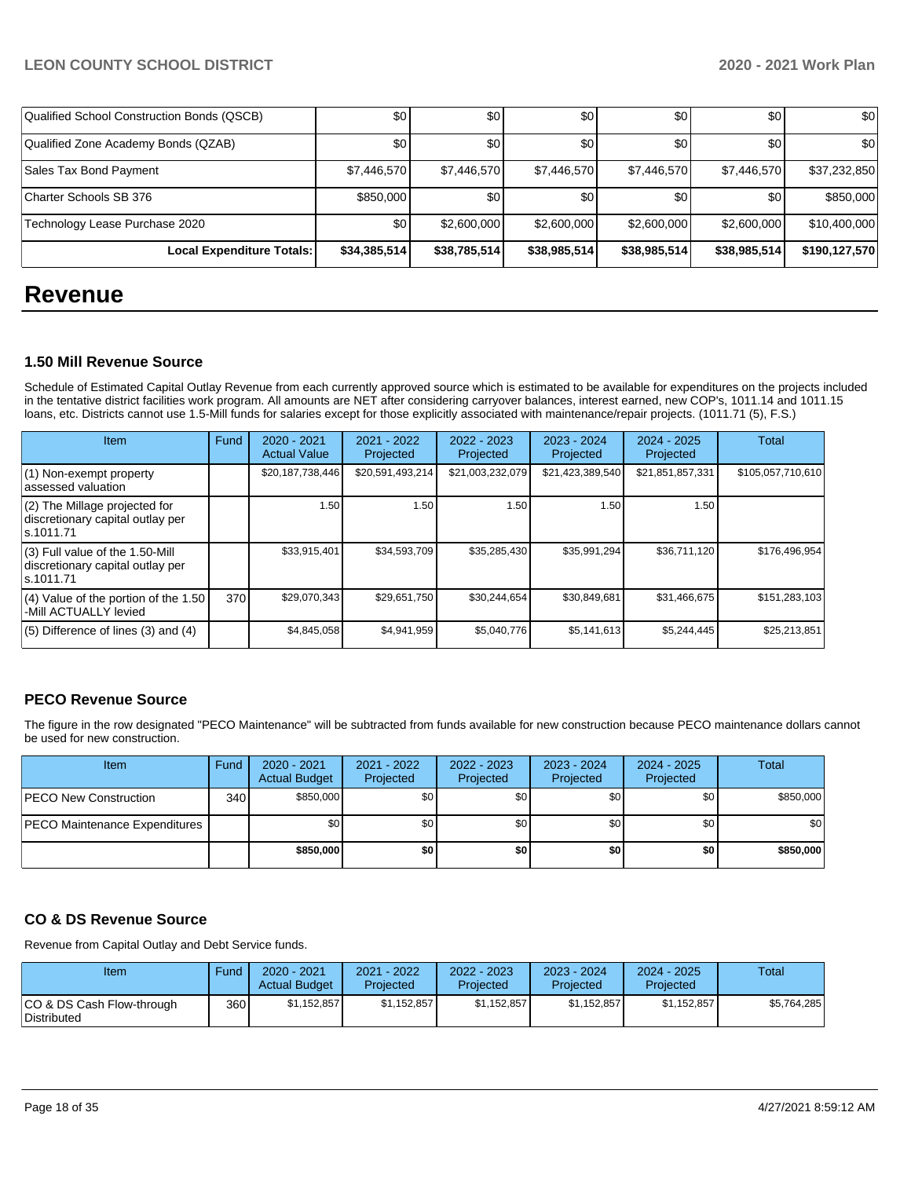| Qualified School Construction Bonds (QSCB) | \$0          | \$0          | \$0          | \$0          | \$0          | \$0           |
|--------------------------------------------|--------------|--------------|--------------|--------------|--------------|---------------|
| Qualified Zone Academy Bonds (QZAB)        | \$0          | \$0          | \$0          | <b>\$0</b>   | \$0          | \$0           |
| Sales Tax Bond Payment                     | \$7,446,570  | \$7,446,570  | \$7,446,570  | \$7.446.570  | \$7,446,570  | \$37,232,850  |
| Charter Schools SB 376                     | \$850,000    | \$0          | \$0          | \$0          | \$0          | \$850,000     |
| Technology Lease Purchase 2020             | \$0          | \$2,600,000  | \$2,600,000  | \$2,600,000  | \$2,600,000  | \$10,400,000  |
| Local Expenditure Totals:                  | \$34,385,514 | \$38,785,514 | \$38,985,514 | \$38,985,514 | \$38,985,514 | \$190,127,570 |

## **Revenue**

### **1.50 Mill Revenue Source**

Schedule of Estimated Capital Outlay Revenue from each currently approved source which is estimated to be available for expenditures on the projects included in the tentative district facilities work program. All amounts are NET after considering carryover balances, interest earned, new COP's, 1011.14 and 1011.15 loans, etc. Districts cannot use 1.5-Mill funds for salaries except for those explicitly associated with maintenance/repair projects. (1011.71 (5), F.S.)

| Item                                                                                | Fund | $2020 - 2021$<br><b>Actual Value</b> | 2021 - 2022<br>Projected | $2022 - 2023$<br>Projected | $2023 - 2024$<br>Projected | $2024 - 2025$<br>Projected | Total             |
|-------------------------------------------------------------------------------------|------|--------------------------------------|--------------------------|----------------------------|----------------------------|----------------------------|-------------------|
| (1) Non-exempt property<br>lassessed valuation                                      |      | \$20,187,738,446                     | \$20,591,493,214         | \$21,003,232,079           | \$21,423,389,540           | \$21,851,857,331           | \$105,057,710,610 |
| $(2)$ The Millage projected for<br>discretionary capital outlay per<br>ls.1011.71   |      | 1.50                                 | 1.50                     | 1.50                       | 1.50                       | 1.50                       |                   |
| $(3)$ Full value of the 1.50-Mill<br>discretionary capital outlay per<br>ls.1011.71 |      | \$33,915,401                         | \$34,593,709             | \$35,285,430               | \$35,991,294               | \$36,711,120               | \$176,496,954     |
| $(4)$ Value of the portion of the 1.50<br>-Mill ACTUALLY levied                     | 370  | \$29,070,343                         | \$29,651,750             | \$30,244,654               | \$30,849,681               | \$31,466,675               | \$151,283,103     |
| $(5)$ Difference of lines $(3)$ and $(4)$                                           |      | \$4,845,058                          | \$4.941.959              | \$5,040,776                | \$5.141.613                | \$5.244.445                | \$25,213,851      |

## **PECO Revenue Source**

The figure in the row designated "PECO Maintenance" will be subtracted from funds available for new construction because PECO maintenance dollars cannot be used for new construction.

| <b>Item</b>                          | Fund         | 2020 - 2021<br><b>Actual Budget</b> | 2021 - 2022<br>Projected | 2022 - 2023<br>Projected | $2023 - 2024$<br>Projected | 2024 - 2025<br>Projected | Total     |
|--------------------------------------|--------------|-------------------------------------|--------------------------|--------------------------|----------------------------|--------------------------|-----------|
| <b>PECO New Construction</b>         | 340 <b>I</b> | \$850,000                           | \$0 <sub>1</sub>         | \$0                      | \$0l                       | \$0                      | \$850,000 |
| <b>PECO Maintenance Expenditures</b> |              | \$0                                 | \$0                      | \$0                      | \$0                        | \$0                      | \$0       |
|                                      |              | \$850,000                           | \$0                      | \$0                      | \$0                        | \$0                      | \$850,000 |

## **CO & DS Revenue Source**

Revenue from Capital Outlay and Debt Service funds.

| Item                                             | Fund  | $2020 - 2021$<br><b>Actual Budget</b> | 2021 - 2022<br>Projected | 2022 - 2023<br>Projected | 2023 - 2024<br>Projected | $2024 - 2025$<br>Projected | Total       |
|--------------------------------------------------|-------|---------------------------------------|--------------------------|--------------------------|--------------------------|----------------------------|-------------|
| ICO & DS Cash Flow-through<br><b>Distributed</b> | 360 l | \$1.152.857                           | \$1.152.857              | \$1.152.857              | \$1.152.857              | \$1.152.857                | \$5,764,285 |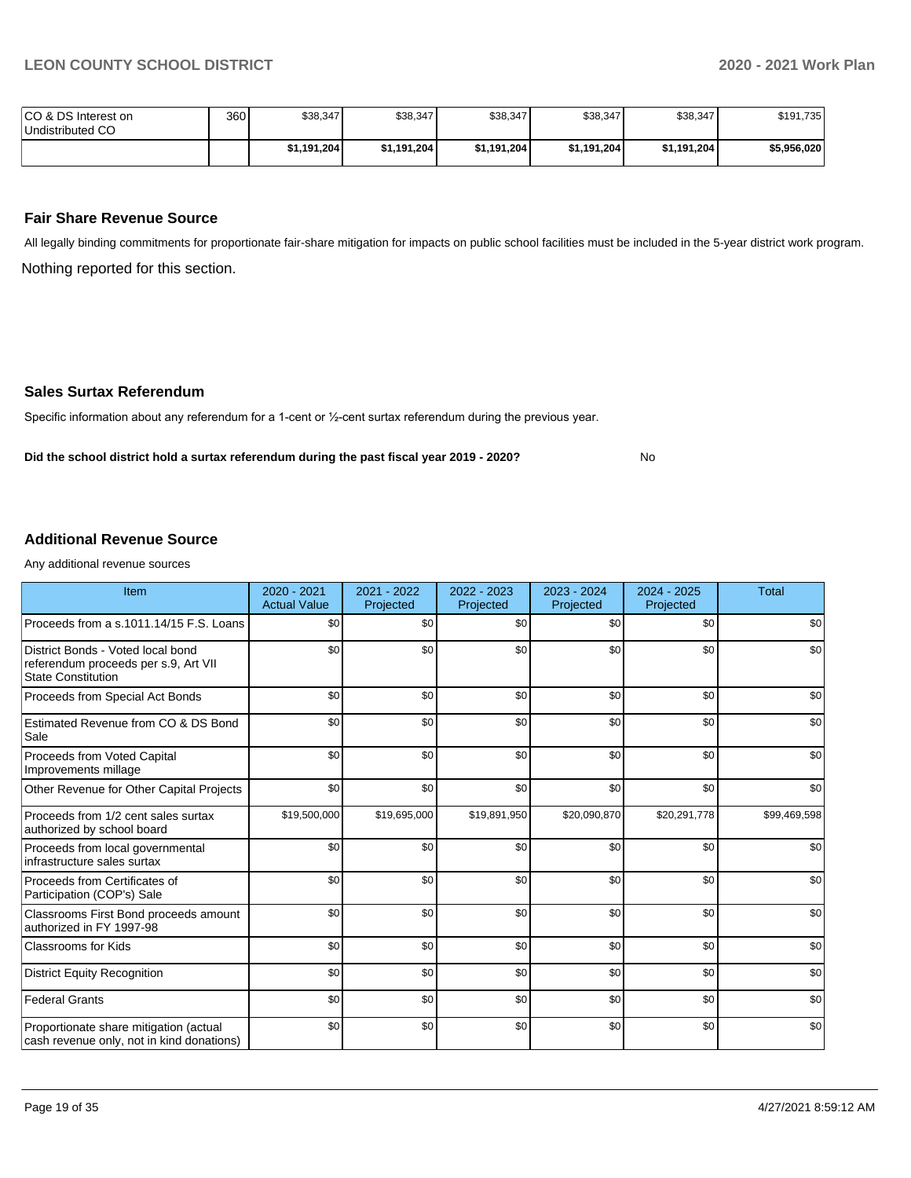No

| ICO & DS Interest on<br>Undistributed CO | 360 | \$38,347    | \$38,347    | \$38,347    | \$38,347    | \$38,347    | \$191,735   |
|------------------------------------------|-----|-------------|-------------|-------------|-------------|-------------|-------------|
|                                          |     | \$1,191,204 | \$1,191,204 | \$1,191,204 | \$1,191,204 | \$1,191,204 | \$5,956,020 |

## **Fair Share Revenue Source**

Nothing reported for this section. All legally binding commitments for proportionate fair-share mitigation for impacts on public school facilities must be included in the 5-year district work program.

#### **Sales Surtax Referendum**

Specific information about any referendum for a 1-cent or ½-cent surtax referendum during the previous year.

**Did the school district hold a surtax referendum during the past fiscal year 2019 - 2020?**

### **Additional Revenue Source**

Any additional revenue sources

| Item                                                                                                   | 2020 - 2021<br><b>Actual Value</b> | $2021 - 2022$<br>Projected | 2022 - 2023<br>Projected | $2023 - 2024$<br>Projected | $2024 - 2025$<br>Projected | Total        |
|--------------------------------------------------------------------------------------------------------|------------------------------------|----------------------------|--------------------------|----------------------------|----------------------------|--------------|
| Proceeds from a s.1011.14/15 F.S. Loans                                                                | \$0                                | \$0                        | \$0                      | \$0                        | \$0                        | \$0          |
| District Bonds - Voted local bond<br>referendum proceeds per s.9, Art VII<br><b>State Constitution</b> | \$0                                | \$0                        | \$0                      | \$0                        | \$0                        | \$0          |
| Proceeds from Special Act Bonds                                                                        | \$0                                | \$0                        | \$0                      | \$0                        | \$0                        | \$0          |
| Estimated Revenue from CO & DS Bond<br>Sale                                                            | \$0                                | \$0                        | \$0                      | \$0                        | \$0                        | \$0          |
| Proceeds from Voted Capital<br>Improvements millage                                                    | \$0                                | \$0                        | \$0                      | \$0                        | \$0                        | \$0          |
| Other Revenue for Other Capital Projects                                                               | \$0                                | \$0                        | \$0                      | \$0                        | \$0                        | \$0          |
| Proceeds from 1/2 cent sales surtax<br>authorized by school board                                      | \$19,500,000                       | \$19,695,000               | \$19,891,950             | \$20,090,870               | \$20,291,778               | \$99,469,598 |
| Proceeds from local governmental<br>infrastructure sales surtax                                        | \$0                                | \$0                        | \$0                      | \$0                        | \$0                        | \$0          |
| Proceeds from Certificates of<br>Participation (COP's) Sale                                            | \$0                                | \$0                        | \$0                      | \$0                        | \$0                        | \$0          |
| Classrooms First Bond proceeds amount<br>authorized in FY 1997-98                                      | \$0                                | \$0                        | \$0                      | \$0                        | \$0                        | \$0          |
| <b>Classrooms for Kids</b>                                                                             | \$0                                | \$0                        | \$0                      | \$0                        | \$0                        | \$0          |
| <b>District Equity Recognition</b>                                                                     | \$0                                | \$0                        | \$0                      | \$0                        | \$0                        | \$0          |
| <b>Federal Grants</b>                                                                                  | \$0                                | \$0                        | \$0                      | \$0                        | \$0                        | \$0          |
| Proportionate share mitigation (actual<br>cash revenue only, not in kind donations)                    | \$0                                | \$0                        | \$0                      | \$0                        | \$0                        | \$0          |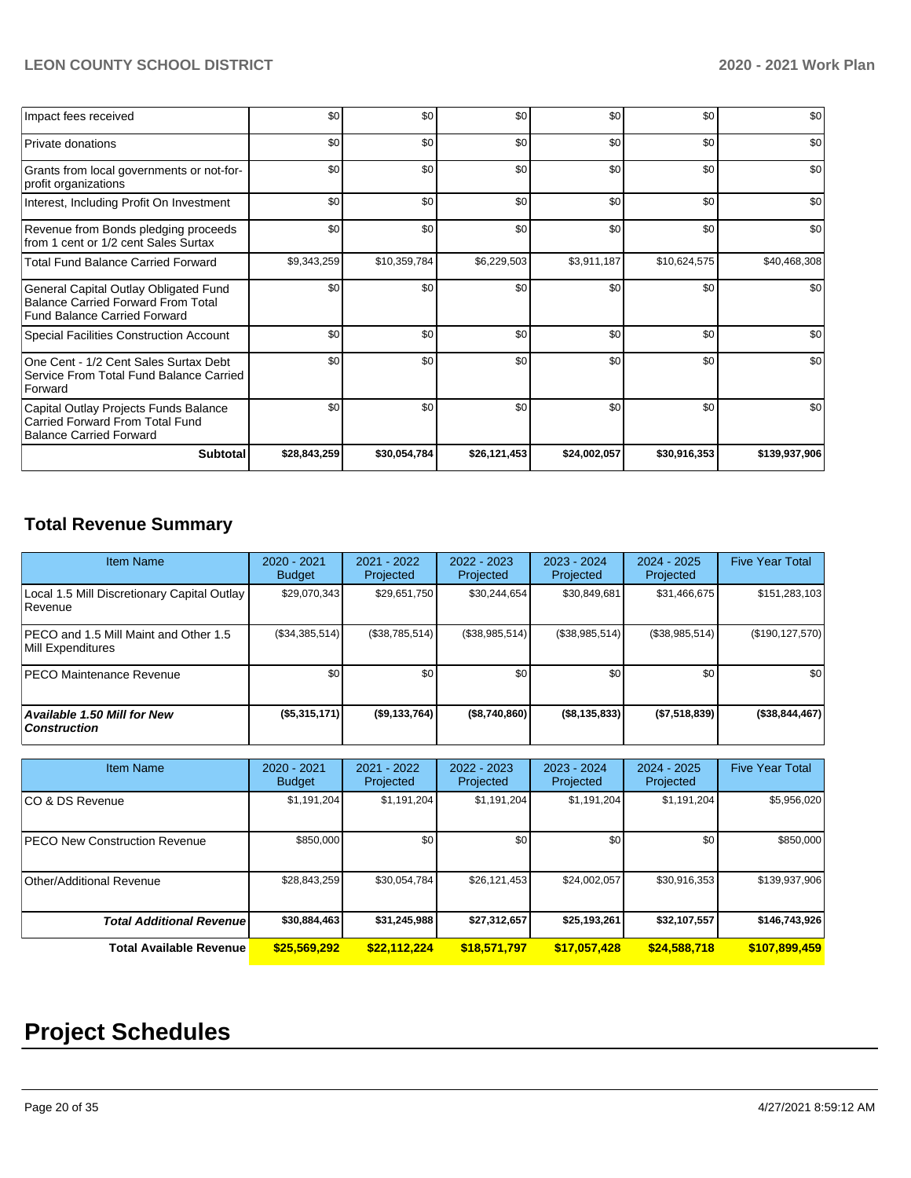| Impact fees received                                                                                                      | \$0          | \$0          | \$0          | \$0          | \$0          | \$0           |
|---------------------------------------------------------------------------------------------------------------------------|--------------|--------------|--------------|--------------|--------------|---------------|
| <b>Private donations</b>                                                                                                  | \$0          | \$0          | \$0          | \$0          | \$0          | \$0           |
| Grants from local governments or not-for-<br>profit organizations                                                         | \$0          | \$0          | \$0          | \$0          | \$0          | \$0           |
| Interest, Including Profit On Investment                                                                                  | \$0          | \$0          | \$0          | \$0          | \$0          | \$0           |
| Revenue from Bonds pledging proceeds<br>from 1 cent or 1/2 cent Sales Surtax                                              | \$0          | \$0          | \$0          | \$0          | \$0          | \$0           |
| <b>Total Fund Balance Carried Forward</b>                                                                                 | \$9,343,259  | \$10,359,784 | \$6,229,503  | \$3,911,187  | \$10,624,575 | \$40,468,308  |
| General Capital Outlay Obligated Fund<br><b>Balance Carried Forward From Total</b><br><b>Fund Balance Carried Forward</b> | \$0          | \$0          | \$0          | \$0          | \$0          | \$0           |
| Special Facilities Construction Account                                                                                   | \$0          | \$0          | \$0          | \$0          | \$0          | \$0           |
| One Cent - 1/2 Cent Sales Surtax Debt<br>Service From Total Fund Balance Carried<br>Forward                               | \$0          | \$0          | \$0          | \$0          | \$0          | \$0           |
| Capital Outlay Projects Funds Balance<br><b>Carried Forward From Total Fund</b><br><b>Balance Carried Forward</b>         | \$0          | \$0          | \$0          | \$0          | \$0          | \$0           |
| <b>Subtotal</b>                                                                                                           | \$28,843,259 | \$30,054,784 | \$26,121,453 | \$24,002,057 | \$30,916,353 | \$139,937,906 |

## **Total Revenue Summary**

| <b>Item Name</b>                                           | $2020 - 2021$<br><b>Budget</b> | $2021 - 2022$<br>Projected | $2022 - 2023$<br>Projected | $2023 - 2024$<br>Projected | $2024 - 2025$<br>Projected | <b>Five Year Total</b> |
|------------------------------------------------------------|--------------------------------|----------------------------|----------------------------|----------------------------|----------------------------|------------------------|
| Local 1.5 Mill Discretionary Capital Outlay<br>l Revenue   | \$29,070,343                   | \$29,651,750               | \$30.244.654               | \$30.849.681               | \$31,466,675               | \$151,283,103          |
| PECO and 1.5 Mill Maint and Other 1.5<br>Mill Expenditures | (\$34,385,514)                 | (\$38,785,514)             | (S38, 985, 514)            | (\$38,985,514)             | (\$38,985,514)             | (\$190, 127, 570)      |
| <b>IPECO Maintenance Revenue</b>                           | \$0 <sub>1</sub>               | \$0 <sub>1</sub>           | \$0                        | \$0                        | \$0                        | \$0                    |
| Available 1.50 Mill for New<br><b>Construction</b>         | (\$5,315,171)                  | (\$9,133,764)              | (\$8,740,860)              | ( \$8, 135, 833)           | (\$7,518,839)              | $($ \$38,844,467) $ $  |

| <b>Item Name</b>                      | 2020 - 2021<br><b>Budget</b> | $2021 - 2022$<br>Projected | 2022 - 2023<br>Projected | 2023 - 2024<br>Projected | 2024 - 2025<br>Projected | <b>Five Year Total</b> |
|---------------------------------------|------------------------------|----------------------------|--------------------------|--------------------------|--------------------------|------------------------|
| ICO & DS Revenue                      | \$1,191,204                  | \$1,191,204                | \$1,191,204              | \$1,191,204              | \$1,191,204              | \$5,956,020            |
| <b>IPECO New Construction Revenue</b> | \$850,000                    | \$0                        | \$0 <sub>1</sub>         | \$0                      | \$0                      | \$850,000              |
| Other/Additional Revenue              | \$28,843,259                 | \$30,054,784               | \$26,121,453             | \$24.002.057             | \$30,916,353             | \$139,937,906          |
| <b>Total Additional Revenuel</b>      | \$30,884,463                 | \$31,245,988               | \$27,312,657             | \$25,193,261             | \$32,107,557             | \$146,743,926          |
| <b>Total Available Revenue</b>        | \$25,569,292                 | \$22,112,224               | \$18,571,797             | \$17,057,428             | \$24,588,718             | \$107,899,459          |

# **Project Schedules**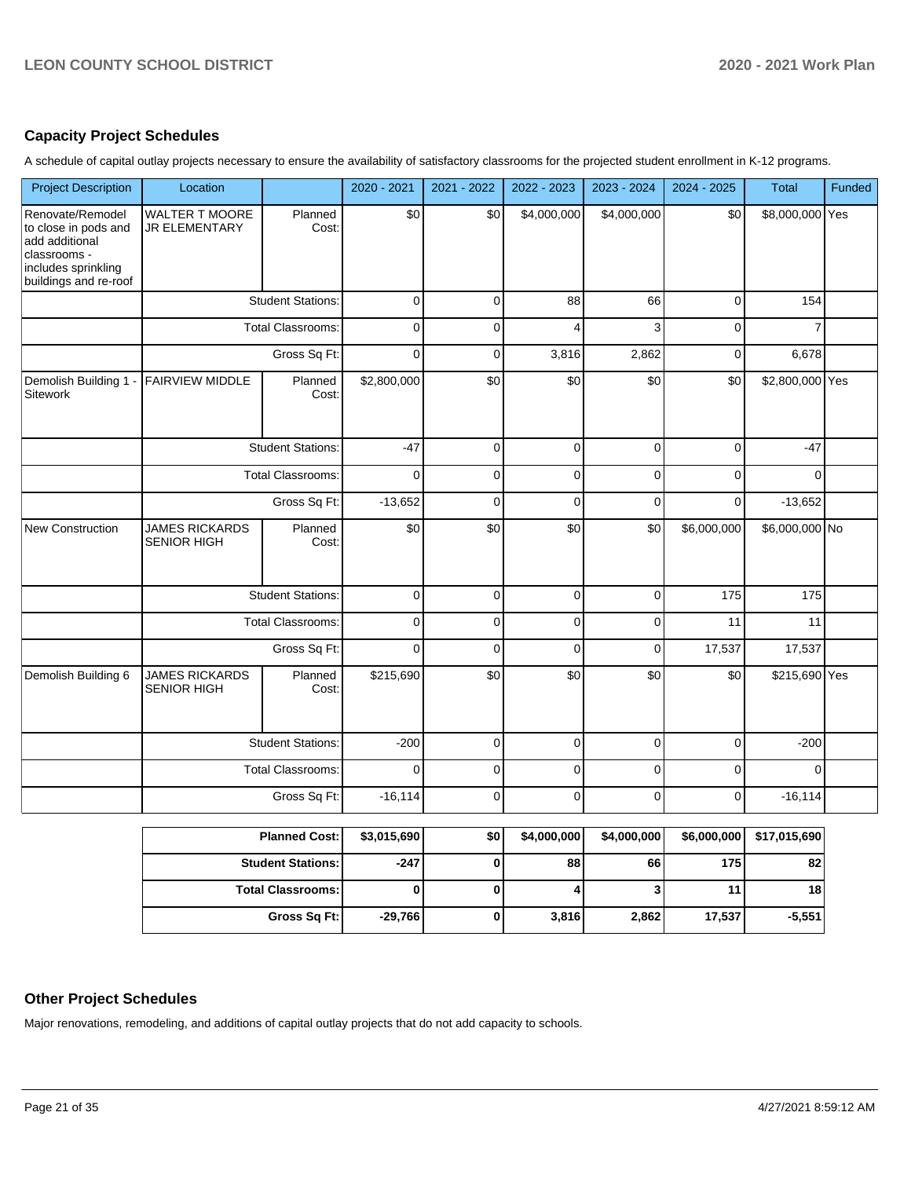## **Capacity Project Schedules**

A schedule of capital outlay projects necessary to ensure the availability of satisfactory classrooms for the projected student enrollment in K-12 programs.

| <b>Project Description</b>                                                                                                 | Location                                      |                          | 2020 - 2021 | 2021 - 2022 | 2022 - 2023 | 2023 - 2024    | 2024 - 2025 | <b>Total</b>    | Funded |
|----------------------------------------------------------------------------------------------------------------------------|-----------------------------------------------|--------------------------|-------------|-------------|-------------|----------------|-------------|-----------------|--------|
| Renovate/Remodel<br>to close in pods and<br>add additional<br>classrooms -<br>includes sprinkling<br>buildings and re-roof | <b>WALTER T MOORE</b><br><b>JR ELEMENTARY</b> | Planned<br>Cost:         | \$0         | \$0         | \$4,000,000 | \$4,000,000    | \$0         | \$8,000,000 Yes |        |
|                                                                                                                            |                                               | <b>Student Stations:</b> | $\pmb{0}$   | $\pmb{0}$   | 88          | 66             | $\mathbf 0$ | 154             |        |
|                                                                                                                            | <b>Total Classrooms:</b>                      |                          | $\mathbf 0$ | $\Omega$    | 4           | 3              | $\mathbf 0$ | $\overline{7}$  |        |
|                                                                                                                            |                                               | Gross Sq Ft:             | $\mathbf 0$ | $\mathbf 0$ | 3,816       | 2,862          | $\mathbf 0$ | 6,678           |        |
| Demolish Building 1 -<br>Sitework                                                                                          | <b>FAIRVIEW MIDDLE</b>                        | Planned<br>Cost:         | \$2,800,000 | \$0         | \$0         | \$0            | \$0         | \$2,800,000 Yes |        |
|                                                                                                                            |                                               | <b>Student Stations:</b> | $-47$       | $\pmb{0}$   | $\mathbf 0$ | $\mathbf 0$    | $\pmb{0}$   | $-47$           |        |
|                                                                                                                            |                                               | Total Classrooms:        | $\Omega$    | $\mathbf 0$ | $\mathbf 0$ | $\overline{0}$ | $\mathbf 0$ | $\Omega$        |        |
|                                                                                                                            |                                               | Gross Sq Ft:             | $-13,652$   | 0           | 0           | 0              | $\mathbf 0$ | $-13,652$       |        |
| <b>New Construction</b>                                                                                                    | <b>JAMES RICKARDS</b><br><b>SENIOR HIGH</b>   | Planned<br>Cost:         | \$0         | \$0         | \$0         | \$0            | \$6,000,000 | \$6,000,000 No  |        |
|                                                                                                                            |                                               | <b>Student Stations:</b> | 0           | 0           | 0           | 0              | 175         | 175             |        |
|                                                                                                                            |                                               | Total Classrooms:        | $\mathsf 0$ | $\Omega$    | $\Omega$    | $\overline{0}$ | 11          | 11              |        |
|                                                                                                                            |                                               | Gross Sq Ft:             | $\mathbf 0$ | $\mathbf 0$ | 0           | 0              | 17,537      | 17,537          |        |
| Demolish Building 6                                                                                                        | <b>JAMES RICKARDS</b><br><b>SENIOR HIGH</b>   | Planned<br>Cost:         | \$215,690   | \$0         | \$0         | \$0            | \$0         | \$215,690 Yes   |        |
|                                                                                                                            |                                               | <b>Student Stations:</b> | $-200$      | 0           | $\mathsf 0$ | 0              | $\pmb{0}$   | $-200$          |        |
|                                                                                                                            |                                               | Total Classrooms:        | $\mathbf 0$ | $\mathsf 0$ | $\mathsf 0$ | $\mathbf 0$    | $\pmb{0}$   | $\mathbf 0$     |        |
|                                                                                                                            |                                               | Gross Sq Ft:             | $-16,114$   | 0           | 0           | $\Omega$       | $\mathbf 0$ | $-16, 114$      |        |
|                                                                                                                            |                                               | <b>Planned Cost:</b>     | \$3,015,690 | \$0         | \$4,000,000 | \$4,000,000    | \$6,000,000 | \$17,015,690    |        |
|                                                                                                                            |                                               | <b>Student Stations:</b> | $-247$      | $\bf{0}$    | 88          | 66             | 175         | 82              |        |
|                                                                                                                            |                                               | <b>Total Classrooms:</b> | 0           | 0           | 4           | 3              | 11          | 18              |        |
|                                                                                                                            |                                               | Gross Sq Ft:             | $-29,766$   | 0           | 3,816       | 2,862          | 17,537      | $-5,551$        |        |

## **Other Project Schedules**

Major renovations, remodeling, and additions of capital outlay projects that do not add capacity to schools.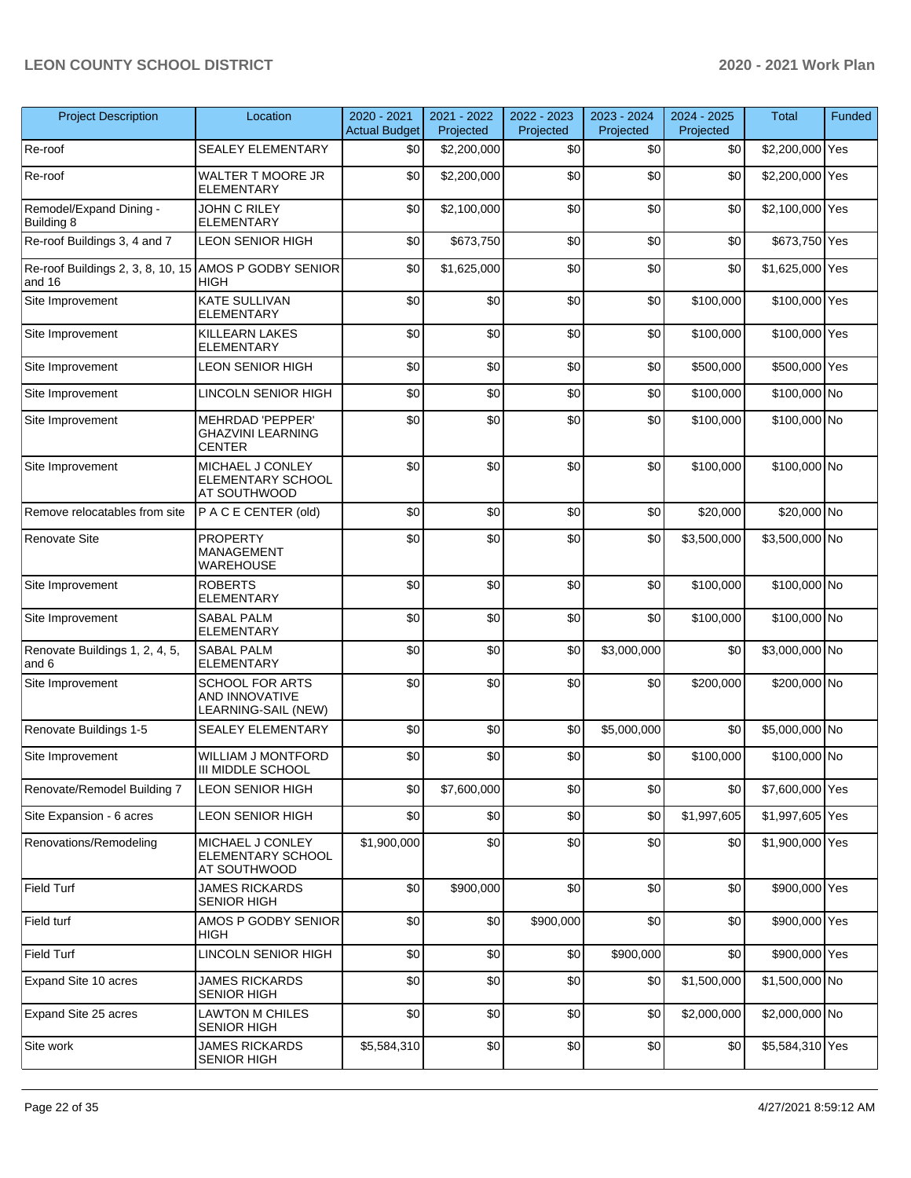| <b>Project Description</b>                  | Location                                                             | 2020 - 2021<br><b>Actual Budget</b> | 2021 - 2022<br>Projected | 2022 - 2023<br>Projected | 2023 - 2024<br>Projected | 2024 - 2025<br>Projected | <b>Total</b>    | Funded |
|---------------------------------------------|----------------------------------------------------------------------|-------------------------------------|--------------------------|--------------------------|--------------------------|--------------------------|-----------------|--------|
| Re-roof                                     | <b>SEALEY ELEMENTARY</b>                                             | \$0                                 | \$2,200,000              | \$0                      | \$0                      | \$0                      | \$2,200,000 Yes |        |
| Re-roof                                     | WALTER T MOORE JR<br><b>ELEMENTARY</b>                               | \$0                                 | \$2,200,000              | \$0                      | \$0                      | \$0                      | \$2,200,000 Yes |        |
| Remodel/Expand Dining -<br>Building 8       | JOHN C RILEY<br><b>ELEMENTARY</b>                                    | \$0                                 | \$2,100,000              | \$0                      | \$0                      | \$0                      | \$2,100,000 Yes |        |
| Re-roof Buildings 3, 4 and 7                | <b>LEON SENIOR HIGH</b>                                              | \$0                                 | \$673,750                | \$0                      | \$0                      | \$0                      | \$673,750 Yes   |        |
| Re-roof Buildings 2, 3, 8, 10, 15<br>and 16 | AMOS P GODBY SENIOR<br>HIGH                                          | \$0                                 | \$1,625,000              | \$0                      | \$0                      | \$0                      | \$1,625,000 Yes |        |
| Site Improvement                            | <b>KATE SULLIVAN</b><br><b>ELEMENTARY</b>                            | \$0                                 | \$0                      | \$0                      | \$0                      | \$100,000                | \$100,000 Yes   |        |
| Site Improvement                            | <b>KILLEARN LAKES</b><br><b>ELEMENTARY</b>                           | \$0                                 | \$0                      | \$0                      | \$0                      | \$100,000                | \$100,000 Yes   |        |
| Site Improvement                            | <b>LEON SENIOR HIGH</b>                                              | \$0                                 | \$0                      | \$0                      | \$0                      | \$500,000                | \$500,000 Yes   |        |
| Site Improvement                            | <b>LINCOLN SENIOR HIGH</b>                                           | \$0                                 | \$0                      | \$0                      | \$0                      | \$100,000                | \$100,000 No    |        |
| Site Improvement                            | <b>MEHRDAD 'PEPPER'</b><br><b>GHAZVINI LEARNING</b><br><b>CENTER</b> | \$0                                 | \$0                      | \$0                      | \$0                      | \$100,000                | \$100,000 No    |        |
| Site Improvement                            | MICHAEL J CONLEY<br>ELEMENTARY SCHOOL<br>AT SOUTHWOOD                | \$0                                 | \$0                      | \$0                      | \$0                      | \$100,000                | \$100,000 No    |        |
| Remove relocatables from site               | P A C E CENTER (old)                                                 | \$0                                 | \$0                      | \$0                      | \$0                      | \$20,000                 | \$20,000 No     |        |
| Renovate Site                               | <b>PROPERTY</b><br>MANAGEMENT<br>WAREHOUSE                           | \$0                                 | \$0                      | \$0                      | \$0                      | \$3,500,000              | \$3,500,000 No  |        |
| Site Improvement                            | <b>ROBERTS</b><br><b>ELEMENTARY</b>                                  | \$0                                 | \$0                      | \$0                      | \$0                      | \$100,000                | \$100,000 No    |        |
| Site Improvement                            | <b>SABAL PALM</b><br><b>ELEMENTARY</b>                               | \$0                                 | \$0                      | \$0                      | \$0                      | \$100,000                | \$100,000 No    |        |
| Renovate Buildings 1, 2, 4, 5,<br>and 6     | SABAL PALM<br><b>ELEMENTARY</b>                                      | \$0                                 | \$0                      | \$0                      | \$3,000,000              | \$0                      | \$3,000,000 No  |        |
| Site Improvement                            | <b>SCHOOL FOR ARTS</b><br>AND INNOVATIVE<br>LEARNING-SAIL (NEW)      | \$0                                 | \$0                      | \$0                      | \$0                      | \$200,000                | \$200,000 No    |        |
| Renovate Buildings 1-5                      | <b>SEALEY ELEMENTARY</b>                                             | \$0                                 | \$0                      | \$0                      | \$5,000,000              | \$0                      | \$5,000,000 No  |        |
| Site Improvement                            | <b>WILLIAM J MONTFORD</b><br>III MIDDLE SCHOOL                       | \$0                                 | \$0                      | \$0                      | \$0                      | \$100,000                | \$100,000 No    |        |
| Renovate/Remodel Building 7                 | <b>LEON SENIOR HIGH</b>                                              | \$0                                 | \$7,600,000              | \$0                      | \$0                      | \$0                      | \$7,600,000 Yes |        |
| Site Expansion - 6 acres                    | <b>LEON SENIOR HIGH</b>                                              | \$0                                 | \$0                      | \$0                      | \$0                      | \$1,997,605              | \$1,997,605 Yes |        |
| Renovations/Remodeling                      | MICHAEL J CONLEY<br>ELEMENTARY SCHOOL<br>AT SOUTHWOOD                | \$1,900,000                         | \$0                      | \$0                      | \$0                      | \$0                      | \$1,900,000 Yes |        |
| Field Turf                                  | <b>JAMES RICKARDS</b><br><b>SENIOR HIGH</b>                          | \$0                                 | \$900,000                | \$0                      | \$0                      | \$0                      | \$900,000 Yes   |        |
| Field turf                                  | AMOS P GODBY SENIOR<br>HIGH                                          | \$0                                 | \$0                      | \$900,000                | \$0                      | \$0                      | \$900,000 Yes   |        |
| Field Turf                                  | LINCOLN SENIOR HIGH                                                  | \$0                                 | \$0                      | \$0                      | \$900,000                | \$0                      | \$900,000 Yes   |        |
| Expand Site 10 acres                        | <b>JAMES RICKARDS</b><br><b>SENIOR HIGH</b>                          | \$0                                 | \$0                      | \$0                      | \$0                      | \$1,500,000              | \$1,500,000 No  |        |
| Expand Site 25 acres                        | <b>LAWTON M CHILES</b><br><b>SENIOR HIGH</b>                         | \$0                                 | \$0                      | \$0                      | \$0                      | \$2,000,000              | \$2,000,000 No  |        |
| Site work                                   | <b>JAMES RICKARDS</b><br>SENIOR HIGH                                 | \$5,584,310                         | \$0                      | \$0                      | \$0                      | \$0                      | \$5,584,310 Yes |        |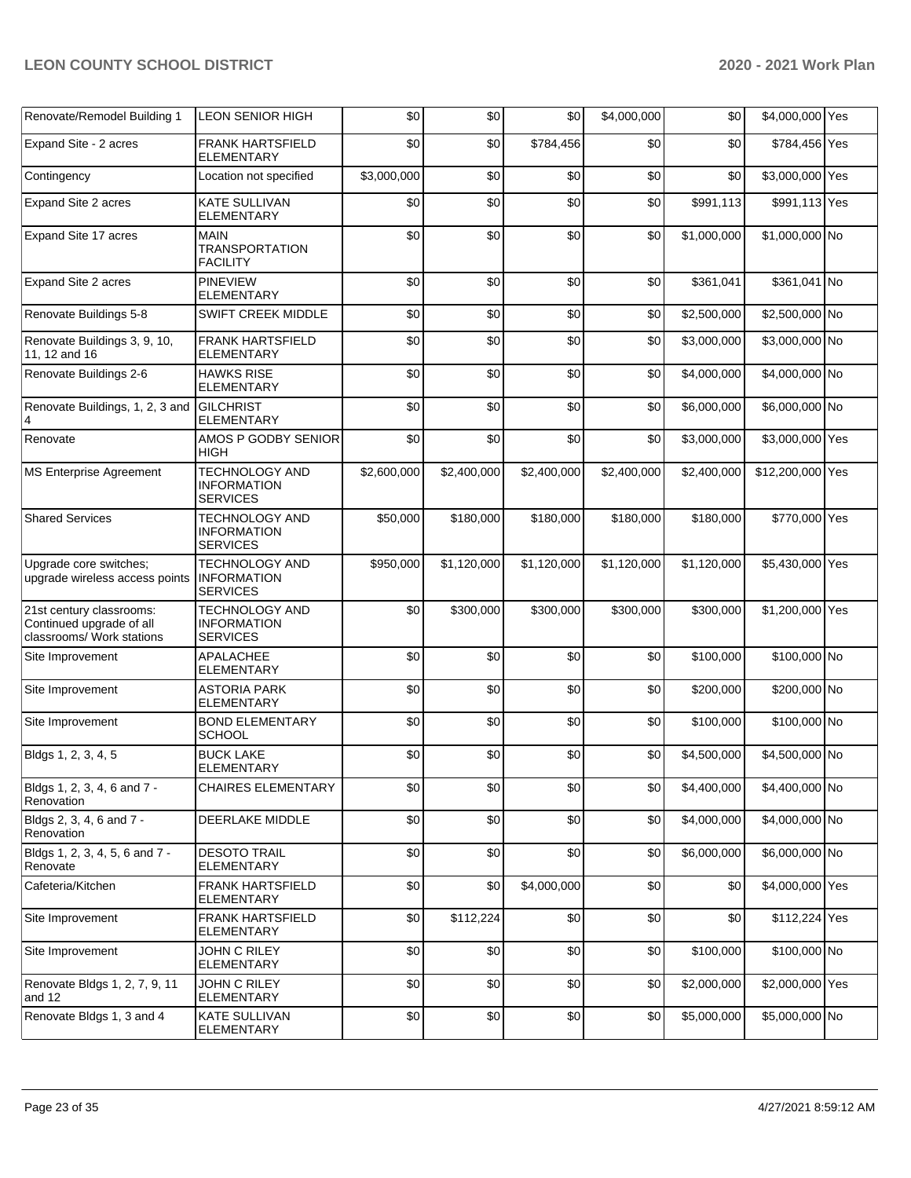| Renovate/Remodel Building 1                                                       | <b>LEON SENIOR HIGH</b>                                        | \$0         | \$0         | \$0         | \$4,000,000 | \$0         | \$4,000,000 Yes  |  |
|-----------------------------------------------------------------------------------|----------------------------------------------------------------|-------------|-------------|-------------|-------------|-------------|------------------|--|
| Expand Site - 2 acres                                                             | <b>FRANK HARTSFIELD</b><br><b>ELEMENTARY</b>                   | \$0         | \$0         | \$784,456   | \$0         | \$0         | \$784,456 Yes    |  |
| Contingency                                                                       | Location not specified                                         | \$3,000,000 | \$0         | \$0         | \$0         | \$0         | \$3,000,000 Yes  |  |
| Expand Site 2 acres                                                               | <b>KATE SULLIVAN</b><br><b>ELEMENTARY</b>                      | \$0         | \$0         | \$0         | \$0         | \$991,113   | \$991,113 Yes    |  |
| Expand Site 17 acres                                                              | <b>MAIN</b><br><b>TRANSPORTATION</b><br><b>FACILITY</b>        | \$0         | \$0         | \$0         | \$0         | \$1,000,000 | \$1,000,000 No   |  |
| Expand Site 2 acres                                                               | <b>PINEVIEW</b><br><b>ELEMENTARY</b>                           | \$0         | \$0         | \$0         | \$0         | \$361,041   | \$361,041 No     |  |
| Renovate Buildings 5-8                                                            | SWIFT CREEK MIDDLE                                             | \$0         | \$0         | \$0         | \$0         | \$2,500,000 | \$2,500,000 No   |  |
| Renovate Buildings 3, 9, 10,<br>11, 12 and 16                                     | <b>FRANK HARTSFIELD</b><br><b>ELEMENTARY</b>                   | \$0         | \$0         | \$0         | \$0         | \$3,000,000 | \$3,000,000 No   |  |
| Renovate Buildings 2-6                                                            | <b>HAWKS RISE</b><br><b>ELEMENTARY</b>                         | \$0         | \$0         | \$0         | \$0         | \$4,000,000 | \$4,000,000 No   |  |
| Renovate Buildings, 1, 2, 3 and<br>4                                              | <b>GILCHRIST</b><br><b>ELEMENTARY</b>                          | \$0         | \$0         | \$0         | \$0         | \$6,000,000 | \$6,000,000 No   |  |
| Renovate                                                                          | AMOS P GODBY SENIOR<br><b>HIGH</b>                             | \$0         | \$0         | \$0         | \$0         | \$3,000,000 | \$3,000,000 Yes  |  |
| <b>MS Enterprise Agreement</b>                                                    | <b>TECHNOLOGY AND</b><br><b>INFORMATION</b><br><b>SERVICES</b> | \$2,600,000 | \$2,400,000 | \$2,400,000 | \$2,400,000 | \$2,400,000 | \$12,200,000 Yes |  |
| <b>Shared Services</b>                                                            | <b>TECHNOLOGY AND</b><br><b>INFORMATION</b><br><b>SERVICES</b> | \$50,000    | \$180,000   | \$180,000   | \$180,000   | \$180,000   | \$770,000 Yes    |  |
| Upgrade core switches;<br>upgrade wireless access points                          | <b>TECHNOLOGY AND</b><br><b>INFORMATION</b><br><b>SERVICES</b> | \$950,000   | \$1,120,000 | \$1,120,000 | \$1,120,000 | \$1,120,000 | \$5,430,000 Yes  |  |
| 21st century classrooms:<br>Continued upgrade of all<br>classrooms/ Work stations | TECHNOLOGY AND<br><b>INFORMATION</b><br><b>SERVICES</b>        | \$0         | \$300,000   | \$300,000   | \$300,000   | \$300,000   | \$1,200,000 Yes  |  |
| Site Improvement                                                                  | <b>APALACHEE</b><br><b>ELEMENTARY</b>                          | \$0         | \$0         | \$0         | \$0         | \$100,000   | \$100,000 No     |  |
| Site Improvement                                                                  | <b>ASTORIA PARK</b><br><b>ELEMENTARY</b>                       | \$0         | \$0         | \$0         | \$0         | \$200,000   | \$200,000 No     |  |
| Site Improvement                                                                  | <b>BOND ELEMENTARY</b><br><b>SCHOOL</b>                        | \$0         | \$0         | \$0         | \$0         | \$100,000   | \$100,000 No     |  |
| Bldgs 1, 2, 3, 4, 5                                                               | <b>BUCK LAKE</b><br><b>ELEMENTARY</b>                          | \$0         | \$0         | \$0         | \$0         | \$4,500,000 | \$4,500,000 No   |  |
| Bldgs 1, 2, 3, 4, 6 and 7 -<br>Renovation                                         | <b>CHAIRES ELEMENTARY</b>                                      | \$0         | \$0         | \$0         | \$0         | \$4,400,000 | \$4,400,000 No   |  |
| Bldgs 2, 3, 4, 6 and 7 -<br>Renovation                                            | DEERLAKE MIDDLE                                                | \$0         | \$0         | \$0         | \$0         | \$4,000,000 | \$4,000,000 No   |  |
| Bldgs 1, 2, 3, 4, 5, 6 and 7 -<br>Renovate                                        | <b>DESOTO TRAIL</b><br><b>ELEMENTARY</b>                       | \$0         | \$0         | \$0         | \$0         | \$6,000,000 | \$6,000,000 No   |  |
| Cafeteria/Kitchen                                                                 | <b>FRANK HARTSFIELD</b><br>ELEMENTARY                          | \$0         | \$0         | \$4,000,000 | \$0         | \$0         | \$4,000,000 Yes  |  |
| Site Improvement                                                                  | <b>FRANK HARTSFIELD</b><br>ELEMENTARY                          | \$0         | \$112,224   | \$0         | \$0         | \$0         | \$112,224 Yes    |  |
| Site Improvement                                                                  | JOHN C RILEY<br><b>ELEMENTARY</b>                              | \$0         | \$0         | \$0         | \$0         | \$100,000   | \$100,000 No     |  |
| Renovate Bldgs 1, 2, 7, 9, 11<br>and 12                                           | JOHN C RILEY<br><b>ELEMENTARY</b>                              | \$0         | \$0         | \$0         | \$0         | \$2,000,000 | \$2,000,000 Yes  |  |
| Renovate Bldgs 1, 3 and 4                                                         | <b>KATE SULLIVAN</b><br>ELEMENTARY                             | \$0         | \$0         | \$0         | \$0         | \$5,000,000 | \$5,000,000 No   |  |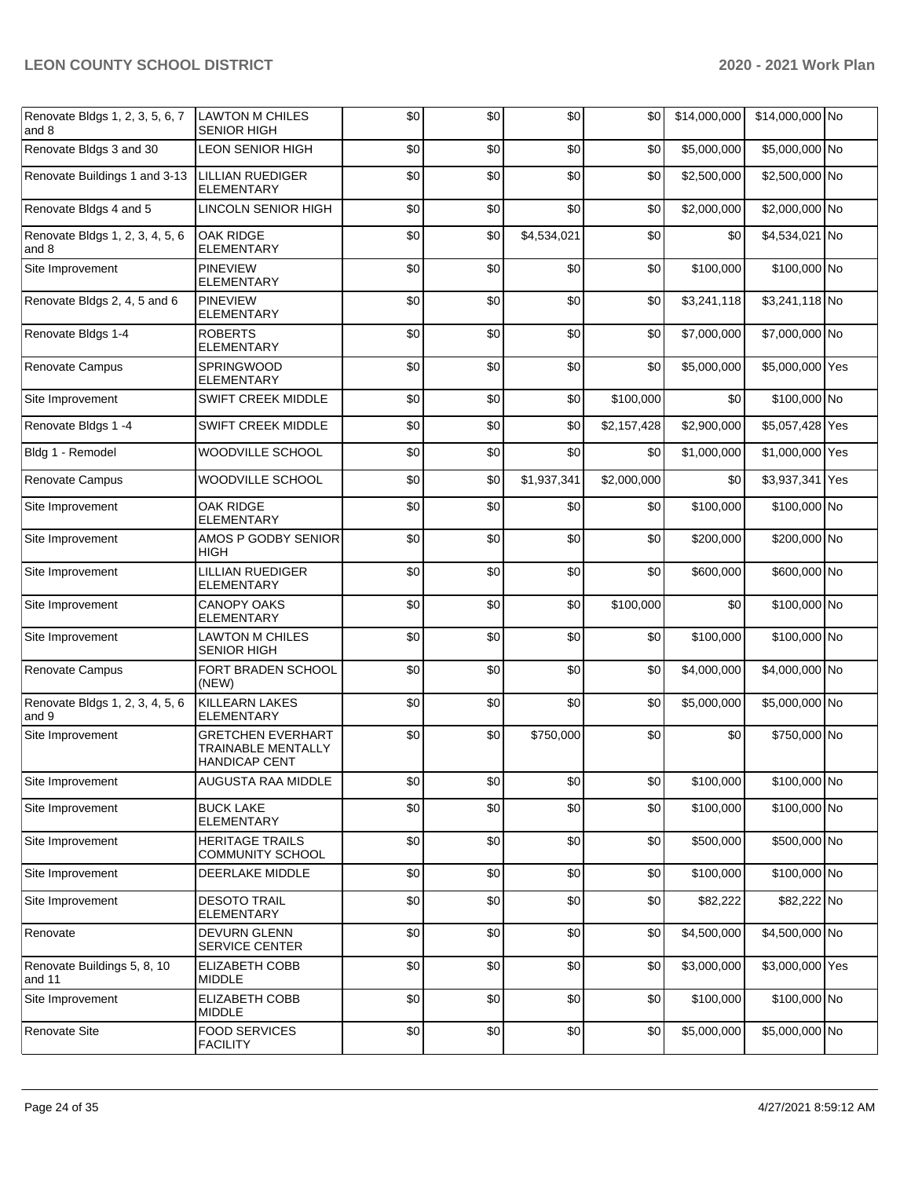| Renovate Bldgs 1, 2, 3, 5, 6, 7<br>and 8 | <b>LAWTON M CHILES</b><br><b>SENIOR HIGH</b>                           | \$0 | \$0 | \$0         | \$0         | \$14,000,000 | \$14,000,000 No |  |
|------------------------------------------|------------------------------------------------------------------------|-----|-----|-------------|-------------|--------------|-----------------|--|
| Renovate Bldgs 3 and 30                  | <b>LEON SENIOR HIGH</b>                                                | \$0 | \$0 | \$0         | \$0         | \$5,000,000  | \$5,000,000 No  |  |
| Renovate Buildings 1 and 3-13            | <b>LILLIAN RUEDIGER</b><br><b>ELEMENTARY</b>                           | \$0 | \$0 | \$0         | \$0         | \$2,500,000  | \$2,500,000 No  |  |
| Renovate Bldgs 4 and 5                   | <b>LINCOLN SENIOR HIGH</b>                                             | \$0 | \$0 | \$0         | \$0         | \$2,000,000  | \$2,000,000 No  |  |
| Renovate Bldgs 1, 2, 3, 4, 5, 6<br>and 8 | OAK RIDGE<br>ELEMENTARY                                                | \$0 | \$0 | \$4,534,021 | \$0         | \$0          | \$4,534,021 No  |  |
| Site Improvement                         | <b>PINEVIEW</b><br><b>ELEMENTARY</b>                                   | \$0 | \$0 | \$0         | \$0         | \$100,000    | \$100,000 No    |  |
| Renovate Bldgs 2, 4, 5 and 6             | <b>PINEVIEW</b><br><b>ELEMENTARY</b>                                   | \$0 | \$0 | \$0         | \$0         | \$3,241,118  | \$3,241,118 No  |  |
| Renovate Bldgs 1-4                       | <b>ROBERTS</b><br><b>ELEMENTARY</b>                                    | \$0 | \$0 | \$0         | \$0         | \$7,000,000  | \$7,000,000 No  |  |
| Renovate Campus                          | SPRINGWOOD<br><b>ELEMENTARY</b>                                        | \$0 | \$0 | \$0         | \$0         | \$5,000,000  | \$5,000,000 Yes |  |
| Site Improvement                         | <b>SWIFT CREEK MIDDLE</b>                                              | \$0 | \$0 | \$0         | \$100,000   | \$0          | \$100,000 No    |  |
| Renovate Bldgs 1 -4                      | SWIFT CREEK MIDDLE                                                     | \$0 | \$0 | \$0         | \$2,157,428 | \$2,900,000  | \$5,057,428 Yes |  |
| Bldg 1 - Remodel                         | WOODVILLE SCHOOL                                                       | \$0 | \$0 | \$0         | \$0         | \$1,000,000  | \$1,000,000 Yes |  |
| Renovate Campus                          | WOODVILLE SCHOOL                                                       | \$0 | \$0 | \$1,937,341 | \$2,000,000 | \$0          | \$3,937,341 Yes |  |
| Site Improvement                         | <b>OAK RIDGE</b><br><b>ELEMENTARY</b>                                  | \$0 | \$0 | \$0         | \$0         | \$100,000    | \$100,000 No    |  |
| Site Improvement                         | AMOS P GODBY SENIOR<br>HIGH                                            | \$0 | \$0 | \$0         | \$0         | \$200,000    | \$200,000 No    |  |
| Site Improvement                         | <b>LILLIAN RUEDIGER</b><br>ELEMENTARY                                  | \$0 | \$0 | \$0         | \$0         | \$600,000    | \$600,000 No    |  |
| Site Improvement                         | <b>CANOPY OAKS</b><br><b>ELEMENTARY</b>                                | \$0 | \$0 | \$0         | \$100,000   | \$0          | \$100,000 No    |  |
| Site Improvement                         | <b>LAWTON M CHILES</b><br>SENIOR HIGH                                  | \$0 | \$0 | \$0         | \$0         | \$100,000    | \$100,000 No    |  |
| Renovate Campus                          | FORT BRADEN SCHOOL<br>(NEW)                                            | \$0 | \$0 | \$0         | \$0         | \$4,000,000  | \$4,000,000 No  |  |
| Renovate Bldgs 1, 2, 3, 4, 5, 6<br>and 9 | <b>KILLEARN LAKES</b><br><b>ELEMENTARY</b>                             | \$0 | \$0 | \$0         | \$0         | \$5,000,000  | \$5,000,000 No  |  |
| Site Improvement                         | <b>GRETCHEN EVERHART</b><br>TRAINABLE MENTALLY<br><b>HANDICAP CENT</b> | \$0 | \$0 | \$750,000   | \$0         | \$0          | \$750,000 No    |  |
| Site Improvement                         | AUGUSTA RAA MIDDLE                                                     | \$0 | \$0 | \$0         | \$0         | \$100,000    | \$100,000 No    |  |
| Site Improvement                         | <b>BUCK LAKE</b><br><b>ELEMENTARY</b>                                  | \$0 | \$0 | \$0         | \$0         | \$100,000    | \$100,000 No    |  |
| Site Improvement                         | <b>HERITAGE TRAILS</b><br>COMMUNITY SCHOOL                             | \$0 | \$0 | \$0         | \$0         | \$500,000    | \$500,000 No    |  |
| Site Improvement                         | <b>DEERLAKE MIDDLE</b>                                                 | \$0 | \$0 | \$0         | \$0         | \$100,000    | \$100,000 No    |  |
| Site Improvement                         | <b>DESOTO TRAIL</b><br>ELEMENTARY                                      | \$0 | \$0 | \$0         | \$0         | \$82,222     | \$82,222 No     |  |
| Renovate                                 | <b>DEVURN GLENN</b><br>SERVICE CENTER                                  | \$0 | \$0 | \$0         | \$0         | \$4,500,000  | \$4,500,000 No  |  |
| Renovate Buildings 5, 8, 10<br>and 11    | <b>ELIZABETH COBB</b><br>MIDDLE                                        | \$0 | \$0 | \$0         | \$0         | \$3,000,000  | \$3,000,000 Yes |  |
| Site Improvement                         | <b>ELIZABETH COBB</b><br>MIDDLE                                        | \$0 | \$0 | \$0         | \$0         | \$100,000    | \$100,000 No    |  |
| Renovate Site                            | <b>FOOD SERVICES</b><br><b>FACILITY</b>                                | \$0 | \$0 | \$0         | \$0         | \$5,000,000  | \$5,000,000 No  |  |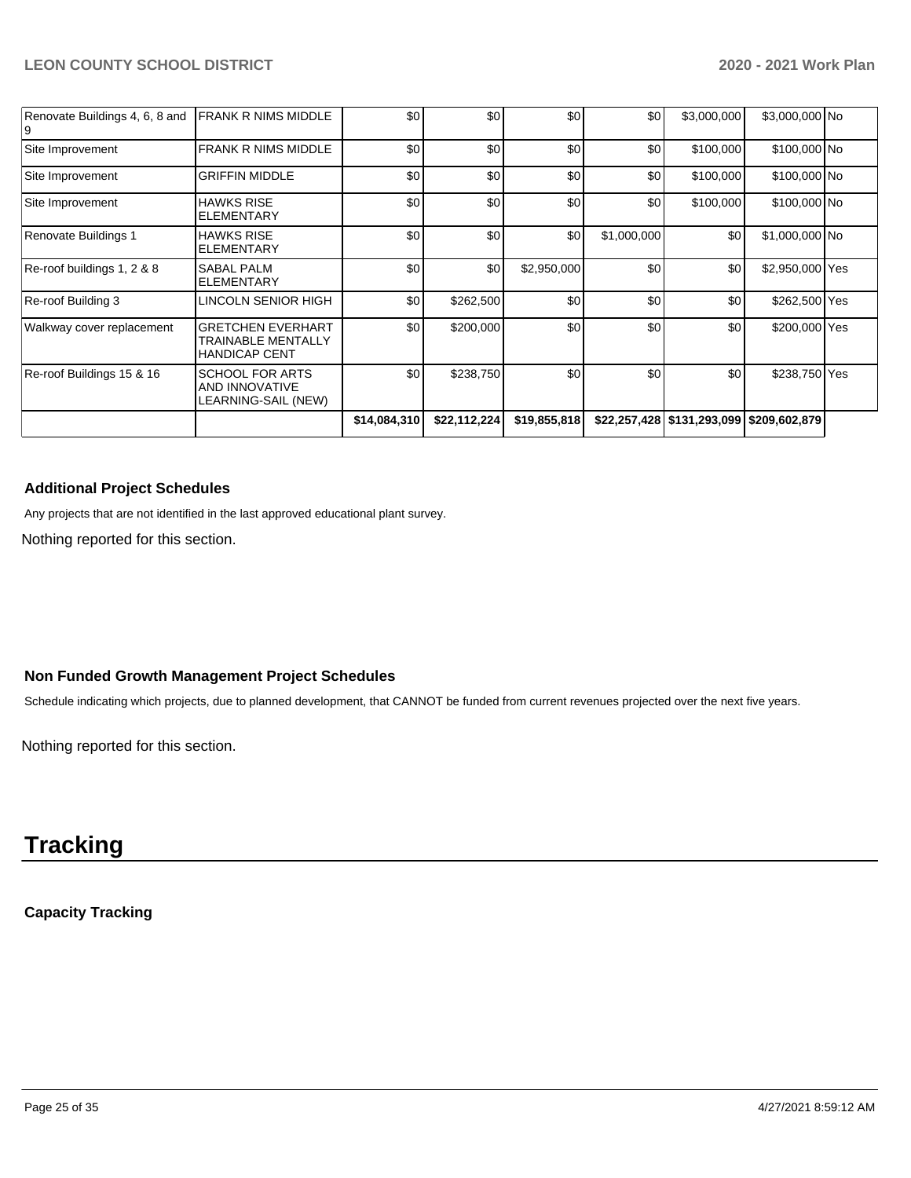| Walkway cover replacement      | <b>GRETCHEN EVERHART</b><br><b>TRAINABLE MENTALLY</b><br><b>HANDICAP CENT</b> | \$0 | \$200,000 | \$0         | \$0         | \$0         | \$200,000 Yes   |  |
|--------------------------------|-------------------------------------------------------------------------------|-----|-----------|-------------|-------------|-------------|-----------------|--|
| Re-roof Building 3             | LINCOLN SENIOR HIGH                                                           | \$0 | \$262,500 | \$0         | \$0         | \$0         | \$262,500 Yes   |  |
| Re-roof buildings 1, 2 & 8     | <b>SABAL PALM</b><br><b>ELEMENTARY</b>                                        | \$0 | \$0       | \$2,950,000 | \$0         | \$0         | \$2,950,000 Yes |  |
| Renovate Buildings 1           | <b>HAWKS RISE</b><br><b>ELEMENTARY</b>                                        | \$0 | \$0       | \$0         | \$1,000,000 | \$0         | \$1,000,000 No  |  |
| Site Improvement               | <b>HAWKS RISE</b><br><b>ELEMENTARY</b>                                        | \$0 | \$0       | \$0         | \$0         | \$100,000   | \$100,000 No    |  |
| Site Improvement               | <b>GRIFFIN MIDDLE</b>                                                         | \$0 | \$0       | \$0         | \$0         | \$100,000   | \$100,000 No    |  |
| Site Improvement               | <b>FRANK R NIMS MIDDLE</b>                                                    | \$0 | \$0       | \$0         | \$0         | \$100,000   | \$100,000 No    |  |
| Renovate Buildings 4, 6, 8 and | <b>FRANK R NIMS MIDDLE</b>                                                    | \$0 | \$0       | \$0         | \$0         | \$3,000,000 | \$3,000,000 No  |  |

### **Additional Project Schedules**

Any projects that are not identified in the last approved educational plant survey.

Nothing reported for this section.

### **Non Funded Growth Management Project Schedules**

Schedule indicating which projects, due to planned development, that CANNOT be funded from current revenues projected over the next five years.

Nothing reported for this section.

## **Tracking**

## **Capacity Tracking**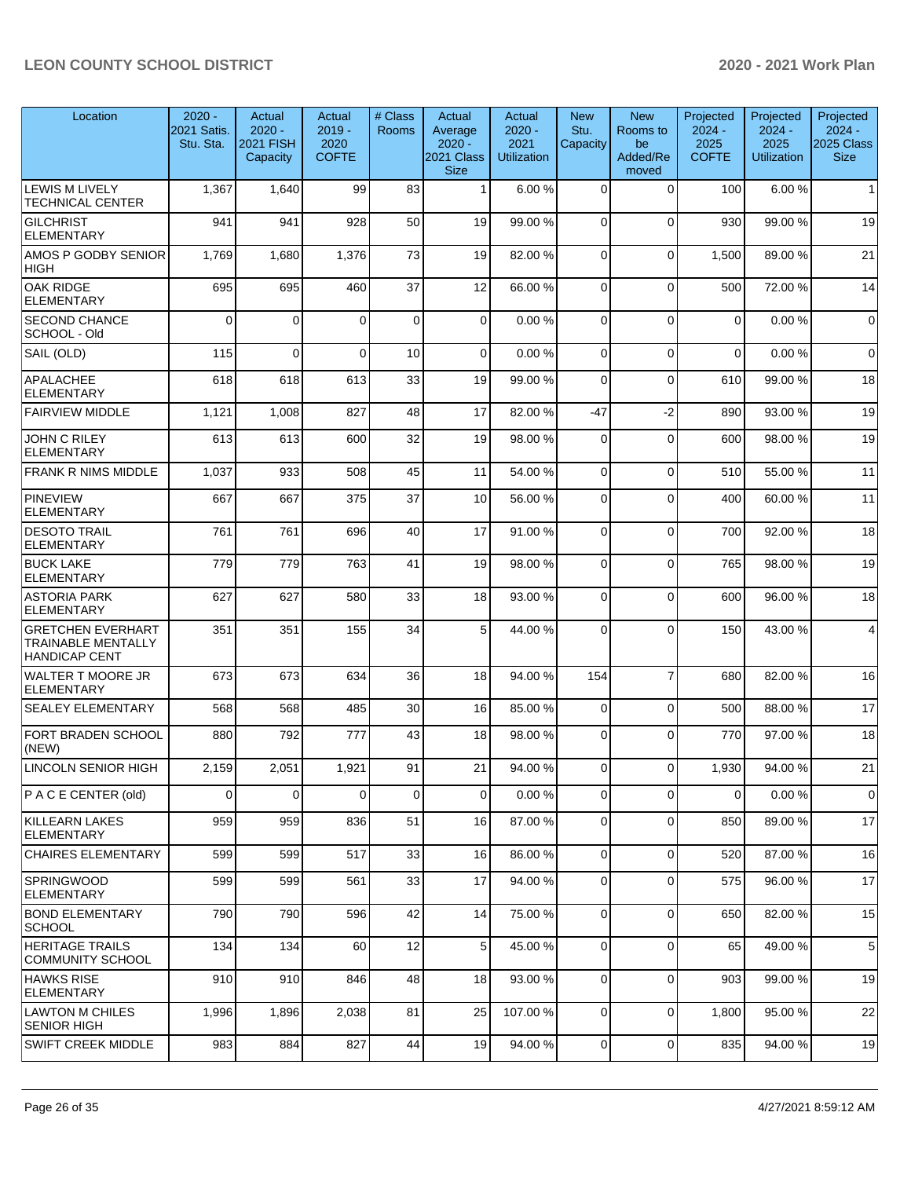| Location                                                                      | $2020 -$<br>2021 Satis.<br>Stu. Sta. | Actual<br>$2020 -$<br><b>2021 FISH</b><br>Capacity | Actual<br>$2019 -$<br>2020<br><b>COFTE</b> | # Class<br><b>Rooms</b> | Actual<br>Average<br>$2020 -$<br>2021 Class<br><b>Size</b> | Actual<br>$2020 -$<br>2021<br><b>Utilization</b> | <b>New</b><br>Stu.<br>Capacity | <b>New</b><br>Rooms to<br>be<br>Added/Re<br>moved | Projected<br>$2024 -$<br>2025<br><b>COFTE</b> | Projected<br>$2024 -$<br>2025<br><b>Utilization</b> | Projected<br>$2024 -$<br><b>2025 Class</b><br><b>Size</b> |
|-------------------------------------------------------------------------------|--------------------------------------|----------------------------------------------------|--------------------------------------------|-------------------------|------------------------------------------------------------|--------------------------------------------------|--------------------------------|---------------------------------------------------|-----------------------------------------------|-----------------------------------------------------|-----------------------------------------------------------|
| <b>LEWIS M LIVELY</b><br>TECHNICAL CENTER                                     | 1,367                                | 1,640                                              | 99                                         | 83                      | $\mathbf{1}$                                               | 6.00%                                            | $\Omega$                       | $\Omega$                                          | 100                                           | 6.00%                                               | 1                                                         |
| <b>GILCHRIST</b><br><b>ELEMENTARY</b>                                         | 941                                  | 941                                                | 928                                        | 50                      | 19                                                         | 99.00 %                                          | $\Omega$                       | $\Omega$                                          | 930                                           | 99.00 %                                             | 19                                                        |
| AMOS P GODBY SENIOR<br><b>HIGH</b>                                            | 1,769                                | 1,680                                              | 1,376                                      | 73                      | 19                                                         | 82.00%                                           | $\Omega$                       | $\mathbf 0$                                       | 1,500                                         | 89.00 %                                             | 21                                                        |
| <b>OAK RIDGE</b><br><b>ELEMENTARY</b>                                         | 695                                  | 695                                                | 460                                        | 37                      | 12                                                         | 66.00%                                           | $\Omega$                       | $\Omega$                                          | 500                                           | 72.00 %                                             | 14                                                        |
| <b>SECOND CHANCE</b><br>SCHOOL - Old                                          | $\Omega$                             | 0                                                  | $\Omega$                                   | $\mathbf 0$             | 0                                                          | 0.00%                                            | $\Omega$                       | $\Omega$                                          | $\mathbf 0$                                   | 0.00%                                               | $\overline{0}$                                            |
| SAIL (OLD)                                                                    | 115                                  | 0                                                  | $\Omega$                                   | 10                      | 0                                                          | 0.00%                                            | $\mathbf 0$                    | $\mathbf 0$                                       | $\mathbf 0$                                   | 0.00%                                               | $\overline{0}$                                            |
| <b>APALACHEE</b><br><b>ELEMENTARY</b>                                         | 618                                  | 618                                                | 613                                        | 33                      | 19                                                         | 99.00 %                                          | $\Omega$                       | $\Omega$                                          | 610                                           | 99.00 %                                             | 18                                                        |
| <b>FAIRVIEW MIDDLE</b>                                                        | 1,121                                | 1,008                                              | 827                                        | 48                      | 17                                                         | 82.00%                                           | $-47$                          | $-2$                                              | 890                                           | 93.00 %                                             | 19                                                        |
| <b>JOHN C RILEY</b><br><b>ELEMENTARY</b>                                      | 613                                  | 613                                                | 600                                        | 32                      | 19                                                         | 98.00%                                           | $\Omega$                       | $\Omega$                                          | 600                                           | 98.00 %                                             | 19                                                        |
| <b>FRANK R NIMS MIDDLE</b>                                                    | 1,037                                | 933                                                | 508                                        | 45                      | 11                                                         | 54.00 %                                          | $\mathbf 0$                    | $\Omega$                                          | 510                                           | 55.00 %                                             | 11                                                        |
| <b>PINEVIEW</b><br><b>ELEMENTARY</b>                                          | 667                                  | 667                                                | 375                                        | 37                      | 10                                                         | 56.00 %                                          | $\Omega$                       | $\Omega$                                          | 400                                           | 60.00 %                                             | 11                                                        |
| <b>DESOTO TRAIL</b><br><b>ELEMENTARY</b>                                      | 761                                  | 761                                                | 696                                        | 40                      | 17                                                         | 91.00%                                           | $\Omega$                       | $\mathbf 0$                                       | 700                                           | 92.00 %                                             | 18                                                        |
| <b>BUCK LAKE</b><br><b>ELEMENTARY</b>                                         | 779                                  | 779                                                | 763                                        | 41                      | 19                                                         | 98.00%                                           | $\Omega$                       | $\Omega$                                          | 765                                           | 98.00 %                                             | 19                                                        |
| <b>ASTORIA PARK</b><br><b>ELEMENTARY</b>                                      | 627                                  | 627                                                | 580                                        | 33                      | 18                                                         | 93.00 %                                          | $\Omega$                       | $\mathbf 0$                                       | 600                                           | 96.00 %                                             | 18                                                        |
| <b>GRETCHEN EVERHART</b><br><b>TRAINABLE MENTALLY</b><br><b>HANDICAP CENT</b> | 351                                  | 351                                                | 155                                        | 34                      | 5                                                          | 44.00%                                           | $\Omega$                       | $\Omega$                                          | 150                                           | 43.00 %                                             | $\overline{4}$                                            |
| <b>WALTER T MOORE JR</b><br><b>ELEMENTARY</b>                                 | 673                                  | 673                                                | 634                                        | 36                      | 18                                                         | 94.00 %                                          | 154                            | $\overline{7}$                                    | 680                                           | 82.00 %                                             | 16                                                        |
| <b>SEALEY ELEMENTARY</b>                                                      | 568                                  | 568                                                | 485                                        | 30                      | 16                                                         | 85.00 %                                          | 0                              | $\Omega$                                          | 500                                           | 88.00 %                                             | 17                                                        |
| FORT BRADEN SCHOOL<br>(NEW)                                                   | 880                                  | 792                                                | 777                                        | 43                      | 18                                                         | 98.00 %                                          | $\Omega$                       | $\Omega$                                          | 770                                           | 97.00 %                                             | 18                                                        |
| LINCOLN SENIOR HIGH                                                           | 2,159                                | 2,051                                              | 1,921                                      | 91                      | 21                                                         | 94.00 %                                          | $\Omega$                       | $\Omega$                                          | 1,930                                         | 94.00%                                              | 21                                                        |
| <b>P A C E CENTER (old)</b>                                                   | 0                                    | $\mathbf{0}$                                       | $\Omega$                                   | $\mathbf 0$             | $\mathbf 0$                                                | 0.00%                                            | 0                              | $\Omega$                                          | $\Omega$                                      | 0.00%                                               | $\overline{0}$                                            |
| <b>KILLEARN LAKES</b><br><b>ELEMENTARY</b>                                    | 959                                  | 959                                                | 836                                        | 51                      | 16                                                         | 87.00 %                                          | 0                              | $\mathbf 0$                                       | 850                                           | 89.00 %                                             | 17                                                        |
| <b>CHAIRES ELEMENTARY</b>                                                     | 599                                  | 599                                                | 517                                        | 33                      | 16                                                         | 86.00 %                                          | $\mathbf 0$                    | 0                                                 | 520                                           | 87.00 %                                             | 16                                                        |
| SPRINGWOOD<br><b>ELEMENTARY</b>                                               | 599                                  | 599                                                | 561                                        | 33                      | 17                                                         | 94.00 %                                          | $\Omega$                       | $\Omega$                                          | 575                                           | 96.00 %                                             | 17                                                        |
| <b>BOND ELEMENTARY</b><br><b>SCHOOL</b>                                       | 790                                  | 790                                                | 596                                        | 42                      | 14                                                         | 75.00 %                                          | $\mathbf 0$                    | 0                                                 | 650                                           | 82.00 %                                             | 15                                                        |
| <b>HERITAGE TRAILS</b><br><b>COMMUNITY SCHOOL</b>                             | 134                                  | 134                                                | 60                                         | 12                      | 5                                                          | 45.00 %                                          | 0                              | $\mathbf 0$                                       | 65                                            | 49.00 %                                             | $5\overline{)}$                                           |
| <b>HAWKS RISE</b><br><b>ELEMENTARY</b>                                        | 910                                  | 910                                                | 846                                        | 48                      | 18                                                         | 93.00 %                                          | $\mathbf 0$                    | $\mathbf 0$                                       | 903                                           | 99.00 %                                             | 19                                                        |
| <b>LAWTON M CHILES</b><br><b>SENIOR HIGH</b>                                  | 1,996                                | 1,896                                              | 2,038                                      | 81                      | 25                                                         | 107.00%                                          | $\mathbf 0$                    | 0                                                 | 1,800                                         | 95.00 %                                             | 22                                                        |
| SWIFT CREEK MIDDLE                                                            | 983                                  | 884                                                | 827                                        | 44                      | 19                                                         | 94.00 %                                          | 0                              | 0                                                 | 835                                           | 94.00 %                                             | 19                                                        |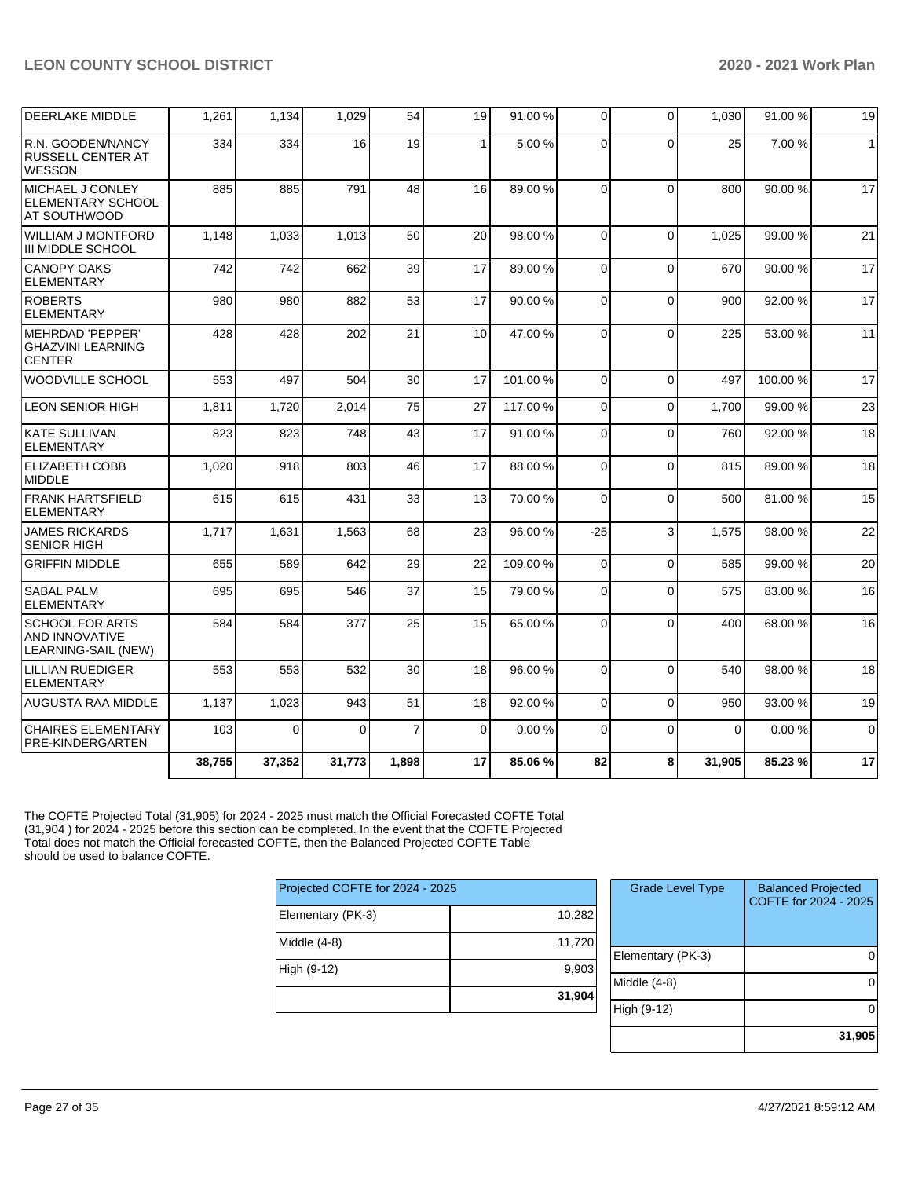| <b>DEERLAKE MIDDLE</b>                                                 | 1,261  | 1,134  | 1,029    | 54             | 19           | 91.00 % | $\overline{0}$ | $\Omega$ | 1,030    | 91.00 % | 19           |
|------------------------------------------------------------------------|--------|--------|----------|----------------|--------------|---------|----------------|----------|----------|---------|--------------|
| R.N. GOODEN/NANCY<br><b>RUSSELL CENTER AT</b><br><b>WESSON</b>         | 334    | 334    | 16       | 19             | $\mathbf{1}$ | 5.00 %  | 0              | $\Omega$ | 25       | 7.00 %  | $\mathbf{1}$ |
| MICHAEL J CONLEY<br><b>ELEMENTARY SCHOOL</b><br>AT SOUTHWOOD           | 885    | 885    | 791      | 48             | 16           | 89.00 % | $\Omega$       | $\Omega$ | 800      | 90.00%  | 17           |
| <b>WILLIAM J MONTFORD</b><br>III MIDDLE SCHOOL                         | 1,148  | 1,033  | 1,013    | 50             | 20           | 98.00 % | 0              | $\Omega$ | 1,025    | 99.00 % | 21           |
| <b>CANOPY OAKS</b><br><b>ELEMENTARY</b>                                | 742    | 742    | 662      | 39             | 17           | 89.00 % | $\Omega$       | $\Omega$ | 670      | 90.00%  | 17           |
| <b>ROBERTS</b><br><b>ELEMENTARY</b>                                    | 980    | 980    | 882      | 53             | 17           | 90.00%  | $\Omega$       | $\Omega$ | 900      | 92.00%  | 17           |
| <b>MEHRDAD 'PEPPER'</b><br><b>GHAZVINI LEARNING</b><br><b>CENTER</b>   | 428    | 428    | 202      | 21             | 10           | 47.00 % | 0              | $\Omega$ | 225      | 53.00 % | 11           |
| <b>WOODVILLE SCHOOL</b>                                                | 553    | 497    | 504      | 30             | 17           | 101.00% | $\Omega$       | $\Omega$ | 497      | 100.00% | 17           |
| <b>LEON SENIOR HIGH</b>                                                | 1,811  | 1,720  | 2,014    | 75             | 27           | 117.00% | $\mathbf 0$    | $\Omega$ | 1,700    | 99.00 % | 23           |
| <b>KATE SULLIVAN</b><br><b>ELEMENTARY</b>                              | 823    | 823    | 748      | 43             | 17           | 91.00%  | 0              | $\Omega$ | 760      | 92.00 % | 18           |
| <b>ELIZABETH COBB</b><br><b>MIDDLE</b>                                 | 1,020  | 918    | 803      | 46             | 17           | 88.00 % | $\Omega$       | $\Omega$ | 815      | 89.00 % | 18           |
| <b>FRANK HARTSFIELD</b><br><b>ELEMENTARY</b>                           | 615    | 615    | 431      | 33             | 13           | 70.00%  | $\mathbf 0$    | $\Omega$ | 500      | 81.00%  | 15           |
| <b>JAMES RICKARDS</b><br><b>SENIOR HIGH</b>                            | 1,717  | 1,631  | 1,563    | 68             | 23           | 96.00 % | $-25$          | 3        | 1,575    | 98.00 % | 22           |
| <b>GRIFFIN MIDDLE</b>                                                  | 655    | 589    | 642      | 29             | 22           | 109.00% | $\mathbf 0$    | $\Omega$ | 585      | 99.00 % | 20           |
| <b>SABAL PALM</b><br><b>ELEMENTARY</b>                                 | 695    | 695    | 546      | 37             | 15           | 79.00 % | $\Omega$       | $\Omega$ | 575      | 83.00 % | 16           |
| <b>SCHOOL FOR ARTS</b><br><b>AND INNOVATIVE</b><br>LEARNING-SAIL (NEW) | 584    | 584    | 377      | 25             | 15           | 65.00 % | 0              | $\Omega$ | 400      | 68.00 % | 16           |
| <b>LILLIAN RUEDIGER</b><br><b>ELEMENTARY</b>                           | 553    | 553    | 532      | 30             | 18           | 96.00 % | $\mathbf 0$    | $\Omega$ | 540      | 98.00 % | 18           |
| AUGUSTA RAA MIDDLE                                                     | 1,137  | 1,023  | 943      | 51             | 18           | 92.00 % | $\mathbf 0$    | $\Omega$ | 950      | 93.00 % | 19           |
| <b>CHAIRES ELEMENTARY</b><br>PRE-KINDERGARTEN                          | 103    | 0      | $\Omega$ | $\overline{7}$ | $\mathbf 0$  | 0.00%   | $\mathbf 0$    | $\Omega$ | $\Omega$ | 0.00%   | $\mathbf 0$  |
|                                                                        | 38,755 | 37,352 | 31,773   | 1,898          | 17           | 85.06 % | 82             | 8        | 31,905   | 85.23 % | 17           |

The COFTE Projected Total (31,905) for 2024 - 2025 must match the Official Forecasted COFTE Total (31,904 ) for 2024 - 2025 before this section can be completed. In the event that the COFTE Projected Total does not match the Official forecasted COFTE, then the Balanced Projected COFTE Table should be used to balance COFTE.

| Projected COFTE for 2024 - 2025 |        |
|---------------------------------|--------|
| Elementary (PK-3)               | 10,282 |
| Middle $(4-8)$                  | 11,720 |
| High (9-12)                     | 9,903  |
|                                 | 31,904 |

| <b>Grade Level Type</b> | <b>Balanced Projected</b><br>COFTE for 2024 - 2025 |
|-------------------------|----------------------------------------------------|
| Elementary (PK-3)       |                                                    |
| Middle $(4-8)$          |                                                    |
| High (9-12)             |                                                    |
|                         | 31,905                                             |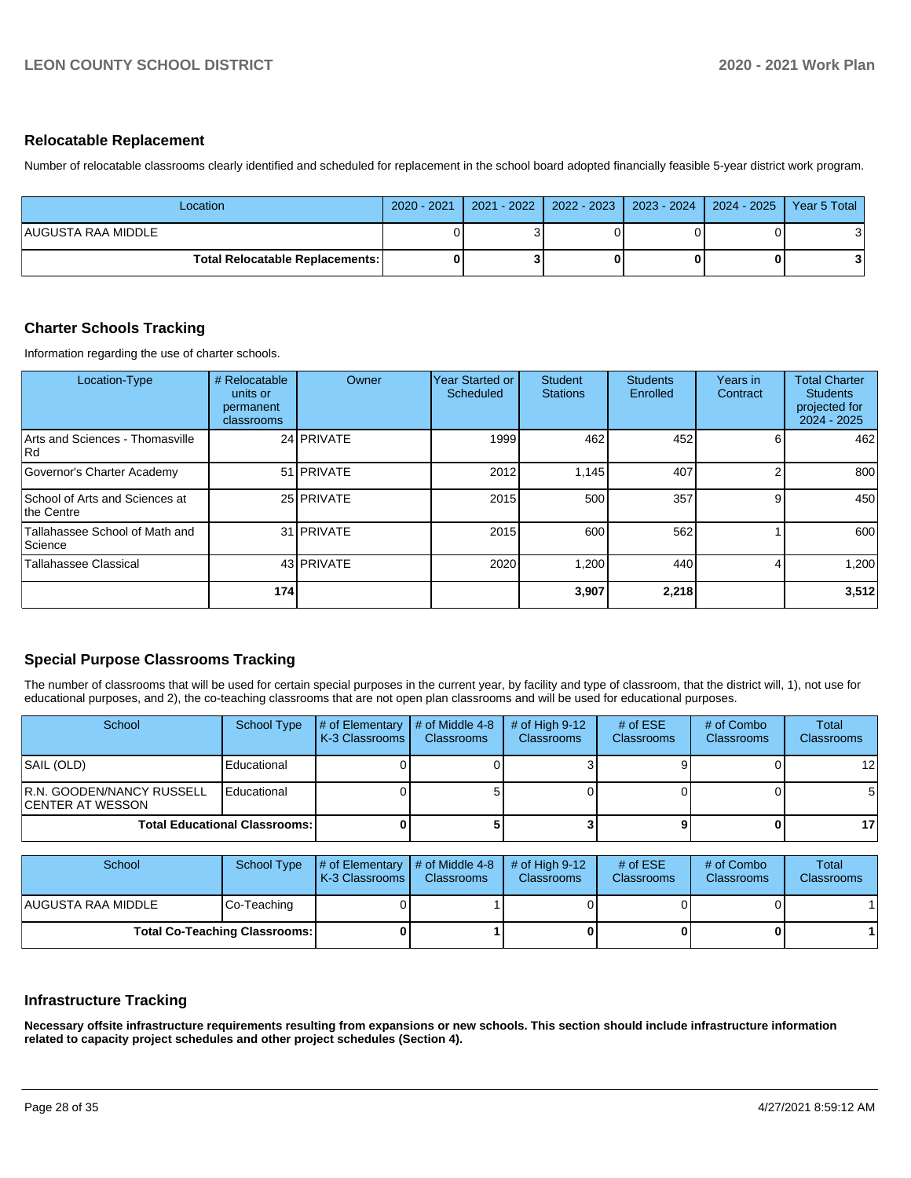### **Relocatable Replacement**

Number of relocatable classrooms clearly identified and scheduled for replacement in the school board adopted financially feasible 5-year district work program.

| Location.                              | 2020 - 2021   2021 - 2022   2022 - 2023   2023 - 2024   2024 - 2025   Year 5 Total |  |  |
|----------------------------------------|------------------------------------------------------------------------------------|--|--|
| AUGUSTA RAA MIDDLE                     |                                                                                    |  |  |
| <b>Total Relocatable Replacements:</b> |                                                                                    |  |  |

## **Charter Schools Tracking**

Information regarding the use of charter schools.

| Location-Type                                    | # Relocatable<br>units or<br>permanent<br>classrooms | Owner             | Year Started or<br>Scheduled | <b>Student</b><br><b>Stations</b> | <b>Students</b><br>Enrolled | Years in<br>Contract | <b>Total Charter</b><br><b>Students</b><br>projected for<br>$2024 - 2025$ |
|--------------------------------------------------|------------------------------------------------------|-------------------|------------------------------|-----------------------------------|-----------------------------|----------------------|---------------------------------------------------------------------------|
| Arts and Sciences - Thomasville<br>l Rd          |                                                      | 24 PRIVATE        | 1999                         | 462                               | 452                         |                      | 462                                                                       |
| Governor's Charter Academy                       |                                                      | 51 <b>PRIVATE</b> | 2012                         | 1,145                             | 407                         |                      | 800                                                                       |
| School of Arts and Sciences at<br>the Centre     |                                                      | 25 PRIVATE        | 2015                         | 500                               | 357                         | g                    | 450                                                                       |
| Tallahassee School of Math and<br><b>Science</b> |                                                      | 31 PRIVATE        | 2015                         | 600                               | 562                         |                      | 600                                                                       |
| Tallahassee Classical                            |                                                      | 43 PRIVATE        | 2020                         | 1,200                             | 440                         |                      | 1,200                                                                     |
|                                                  | 174                                                  |                   |                              | 3,907                             | 2,218                       |                      | 3,512                                                                     |

## **Special Purpose Classrooms Tracking**

The number of classrooms that will be used for certain special purposes in the current year, by facility and type of classroom, that the district will, 1), not use for educational purposes, and 2), the co-teaching classrooms that are not open plan classrooms and will be used for educational purposes.

| School                                                 | School Type                          | # of Elementary<br><b>IK-3 Classrooms I</b> | $\#$ of Middle 4-8<br><b>Classrooms</b> | # of High $9-12$<br><b>Classrooms</b> | # of $ESE$<br>Classrooms | # of Combo<br><b>Classrooms</b> | Total<br><b>Classrooms</b> |
|--------------------------------------------------------|--------------------------------------|---------------------------------------------|-----------------------------------------|---------------------------------------|--------------------------|---------------------------------|----------------------------|
| SAIL (OLD)                                             | Educational                          |                                             |                                         |                                       |                          |                                 | 12 <sub>1</sub>            |
| <b>IR.N. GOODEN/NANCY RUSSELL</b><br>ICENTER AT WESSON | Educational                          |                                             |                                         |                                       |                          |                                 |                            |
|                                                        | <b>Total Educational Classrooms:</b> |                                             |                                         |                                       |                          |                                 | 17 <sup>1</sup>            |

| School              | <b>School Type</b>                   | $\#$ of Elementary $\#$ of Middle 4-8<br><b>K-3 Classrooms</b> | <b>Classrooms</b> | $#$ of High 9-12<br><b>Classrooms</b> | # of $ESE$<br><b>Classrooms</b> | # of Combo<br><b>Classrooms</b> | Total<br><b>Classrooms</b> |
|---------------------|--------------------------------------|----------------------------------------------------------------|-------------------|---------------------------------------|---------------------------------|---------------------------------|----------------------------|
| IAUGUSTA RAA MIDDLE | Co-Teaching                          |                                                                |                   |                                       |                                 |                                 |                            |
|                     | <b>Total Co-Teaching Classrooms:</b> |                                                                |                   |                                       |                                 | 0                               |                            |

## **Infrastructure Tracking**

**Necessary offsite infrastructure requirements resulting from expansions or new schools. This section should include infrastructure information related to capacity project schedules and other project schedules (Section 4).**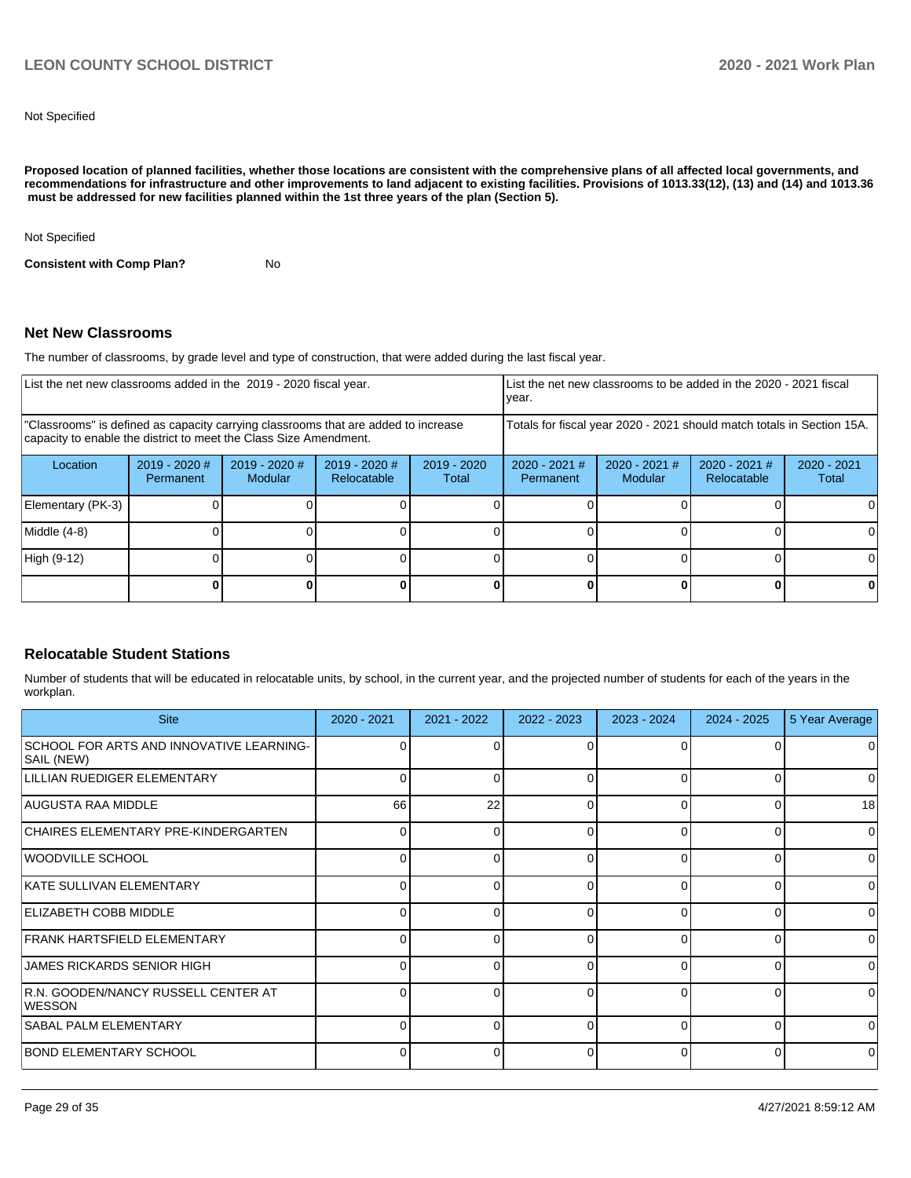Not Specified

**Proposed location of planned facilities, whether those locations are consistent with the comprehensive plans of all affected local governments, and recommendations for infrastructure and other improvements to land adjacent to existing facilities. Provisions of 1013.33(12), (13) and (14) and 1013.36 must be addressed for new facilities planned within the 1st three years of the plan (Section 5).** 

Not Specified

**Consistent with Comp Plan?** No

### **Net New Classrooms**

The number of classrooms, by grade level and type of construction, that were added during the last fiscal year.

| List the net new classrooms added in the 2019 - 2020 fiscal year.                                                                                       |                            |                            |                                | year.                  |                                                                        | List the net new classrooms to be added in the 2020 - 2021 fiscal |                                |                      |
|---------------------------------------------------------------------------------------------------------------------------------------------------------|----------------------------|----------------------------|--------------------------------|------------------------|------------------------------------------------------------------------|-------------------------------------------------------------------|--------------------------------|----------------------|
| "Classrooms" is defined as capacity carrying classrooms that are added to increase<br>capacity to enable the district to meet the Class Size Amendment. |                            |                            |                                |                        | Totals for fiscal year 2020 - 2021 should match totals in Section 15A. |                                                                   |                                |                      |
| Location                                                                                                                                                | 2019 - 2020 #<br>Permanent | $2019 - 2020$ #<br>Modular | $2019 - 2020$ #<br>Relocatable | $2019 - 2020$<br>Total | $2020 - 2021$ #<br>Permanent                                           | $2020 - 2021$ #<br>Modular                                        | $2020 - 2021$ #<br>Relocatable | 2020 - 2021<br>Total |
| Elementary (PK-3)                                                                                                                                       |                            |                            |                                |                        |                                                                        |                                                                   |                                |                      |
| Middle (4-8)                                                                                                                                            |                            |                            |                                |                        |                                                                        |                                                                   |                                |                      |
| High (9-12)                                                                                                                                             |                            |                            |                                |                        |                                                                        |                                                                   |                                |                      |
|                                                                                                                                                         |                            |                            |                                | n                      |                                                                        |                                                                   |                                |                      |

### **Relocatable Student Stations**

Number of students that will be educated in relocatable units, by school, in the current year, and the projected number of students for each of the years in the workplan.

| <b>Site</b>                                            | $2020 - 2021$ | $2021 - 2022$ | $2022 - 2023$ | 2023 - 2024 | $2024 - 2025$ | 5 Year Average |
|--------------------------------------------------------|---------------|---------------|---------------|-------------|---------------|----------------|
| SCHOOL FOR ARTS AND INNOVATIVE LEARNING-<br>SAIL (NEW) | 0             |               | 0             | ∩           |               |                |
| LILLIAN RUEDIGER ELEMENTARY                            | $\Omega$      | <sup>n</sup>  | 0             | 0           | 0             | 0              |
| AUGUSTA RAA MIDDLE                                     | 66            | 22            | 0             | 0           | 0             | 18             |
| CHAIRES ELEMENTARY PRE-KINDERGARTEN                    | 0             | 0             | 0             | 0           | 0             | 0              |
| <b>WOODVILLE SCHOOL</b>                                | ∩             |               | 0             | $\Omega$    | $\Omega$      | 0              |
| <b>IKATE SULLIVAN ELEMENTARY</b>                       | $\Omega$      | ∩             | $\Omega$      | $\Omega$    | $\Omega$      | 0              |
| <b>ELIZABETH COBB MIDDLE</b>                           | $\Omega$      |               | 0             | $\Omega$    | 0             | 0              |
| <b>FRANK HARTSFIELD ELEMENTARY</b>                     | $\Omega$      |               | $\Omega$      | $\Omega$    | 0             | 0              |
| <b>JAMES RICKARDS SENIOR HIGH</b>                      |               |               | 0             | $\Omega$    | $\Omega$      | 0              |
| R.N. GOODEN/NANCY RUSSELL CENTER AT<br><b>IWESSON</b>  | $\Omega$      | ∩             | $\Omega$      | $\Omega$    | $\Omega$      | $\Omega$       |
| <b>SABAL PALM ELEMENTARY</b>                           | ∩             |               | 0             | $\Omega$    | $\Omega$      | 0              |
| <b>BOND ELEMENTARY SCHOOL</b>                          | $\Omega$      | <sup>n</sup>  | $\Omega$      | $\Omega$    | $\Omega$      | $\Omega$       |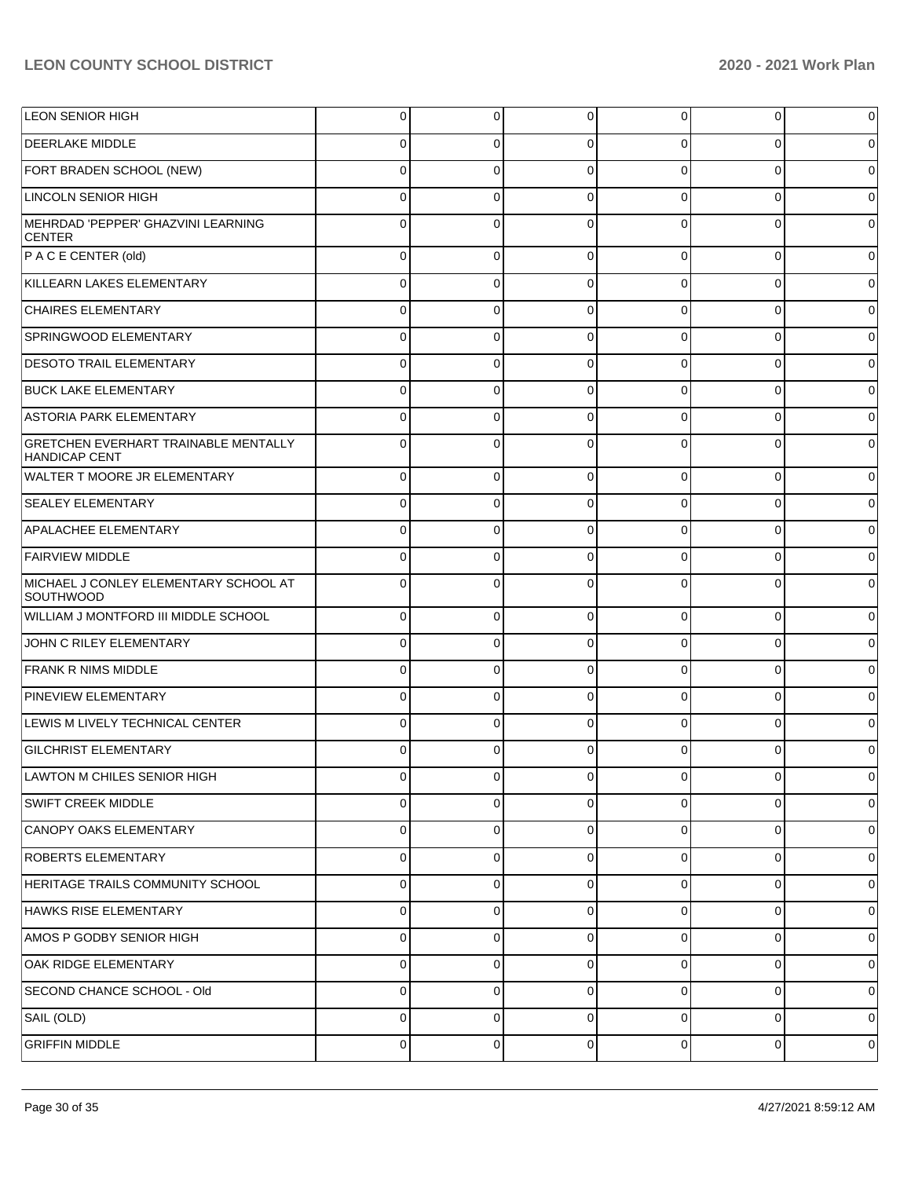| <b>LEON SENIOR HIGH</b>                                             | 0 | 0           | 0           | $\overline{0}$ | 0        | $\mathbf 0$ |
|---------------------------------------------------------------------|---|-------------|-------------|----------------|----------|-------------|
| <b>DEERLAKE MIDDLE</b>                                              | 0 | 0           | $\Omega$    | 0              | 0        | $\mathbf 0$ |
| FORT BRADEN SCHOOL (NEW)                                            | 0 | 0           | $\Omega$    | 0              | 0        | $\mathbf 0$ |
| <b>LINCOLN SENIOR HIGH</b>                                          | 0 | 0           | $\Omega$    | 0              | 0        | $\mathbf 0$ |
| MEHRDAD 'PEPPER' GHAZVINI LEARNING<br><b>CENTER</b>                 | 0 | $\Omega$    | $\Omega$    | $\Omega$       | $\Omega$ | $\mathbf 0$ |
| $P \land C \in \text{CENTER}$ (old)                                 | 0 | 0           | $\Omega$    | 0              | 0        | $\mathbf 0$ |
| KILLEARN LAKES ELEMENTARY                                           | 0 | 0           | $\Omega$    | $\Omega$       | 0        | $\mathbf 0$ |
| <b>CHAIRES ELEMENTARY</b>                                           | 0 | 0           | $\Omega$    | 0              | 0        | $\mathbf 0$ |
| SPRINGWOOD ELEMENTARY                                               | 0 | 0           | $\Omega$    | $\Omega$       | $\Omega$ | $\mathbf 0$ |
| <b>DESOTO TRAIL ELEMENTARY</b>                                      | 0 | 0           | $\Omega$    | 0              | 0        | $\mathbf 0$ |
| <b>BUCK LAKE ELEMENTARY</b>                                         | 0 | 0           | $\Omega$    | $\Omega$       | 0        | $\mathbf 0$ |
| ASTORIA PARK ELEMENTARY                                             | 0 | 0           | $\Omega$    | 0              | 0        | $\mathbf 0$ |
| <b>GRETCHEN EVERHART TRAINABLE MENTALLY</b><br><b>HANDICAP CENT</b> | 0 | 0           | $\Omega$    | 0              | $\Omega$ | $\mathbf 0$ |
| <b>WALTER T MOORE JR ELEMENTARY</b>                                 | 0 | 0           | $\Omega$    | 0              | 0        | $\mathbf 0$ |
| <b>SEALEY ELEMENTARY</b>                                            | 0 | 0           | $\Omega$    | 0              | 0        | 0           |
| APALACHEE ELEMENTARY                                                | 0 | 0           | $\Omega$    | 0              | 0        | $\mathbf 0$ |
| <b>FAIRVIEW MIDDLE</b>                                              | 0 | 0           | $\Omega$    | 0              | 0        | 0           |
| MICHAEL J CONLEY ELEMENTARY SCHOOL AT<br>SOUTHWOOD                  |   | 0           | $\Omega$    | 0              | ŋ        | $\mathbf 0$ |
| WILLIAM J MONTFORD III MIDDLE SCHOOL                                | 0 | 0           | $\Omega$    | 0              | 0        | $\mathbf 0$ |
| JOHN C RILEY ELEMENTARY                                             | 0 | 0           | $\mathbf 0$ | 0              | 0        | $\mathbf 0$ |
| <b>FRANK R NIMS MIDDLE</b>                                          | 0 | 0           | $\Omega$    | 0              | 0        | $\mathbf 0$ |
| <b>PINEVIEW ELEMENTARY</b>                                          | 0 | 0           | $\mathbf 0$ | 0              | 0        | $\mathbf 0$ |
| LEWIS M LIVELY TECHNICAL CENTER                                     | 0 | 0           | $\Omega$    | 0              | 0        | $\mathbf 0$ |
| <b>GILCHRIST ELEMENTARY</b>                                         | 0 | 0           | $\Omega$    | 0              | 0        | $\mathbf 0$ |
| LAWTON M CHILES SENIOR HIGH                                         | U | U           | U           | υ              | U        | $\pmb{0}$   |
| SWIFT CREEK MIDDLE                                                  | 0 | $\mathbf 0$ | $\mathbf 0$ | $\mathbf 0$    | 0        | $\mathbf 0$ |
| CANOPY OAKS ELEMENTARY                                              | 0 | 0           | $\mathbf 0$ | 0              | 0        | $\mathbf 0$ |
| <b>ROBERTS ELEMENTARY</b>                                           | 0 | 0           | $\mathbf 0$ | $\mathbf 0$    | 0        | $\mathbf 0$ |
| HERITAGE TRAILS COMMUNITY SCHOOL                                    | 0 | 0           | $\mathbf 0$ | 0              | 0        | $\mathbf 0$ |
| HAWKS RISE ELEMENTARY                                               | 0 | 0           | $\mathbf 0$ | $\mathbf 0$    | 0        | $\mathbf 0$ |
| AMOS P GODBY SENIOR HIGH                                            | 0 | 0           | $\mathbf 0$ | 0              | 0        | $\mathbf 0$ |
| OAK RIDGE ELEMENTARY                                                | 0 | 0           | $\mathbf 0$ | $\mathbf 0$    | 0        | $\mathbf 0$ |
| SECOND CHANCE SCHOOL - Old                                          | 0 | 0           | $\mathbf 0$ | $\mathbf 0$    | 0        | $\mathbf 0$ |
| SAIL (OLD)                                                          | 0 | 0           | $\mathbf 0$ | $\mathbf 0$    | 0        | $\mathbf 0$ |
| <b>GRIFFIN MIDDLE</b>                                               | 0 | 0           | 0           | $\mathbf 0$    | 0        | $\mathbf 0$ |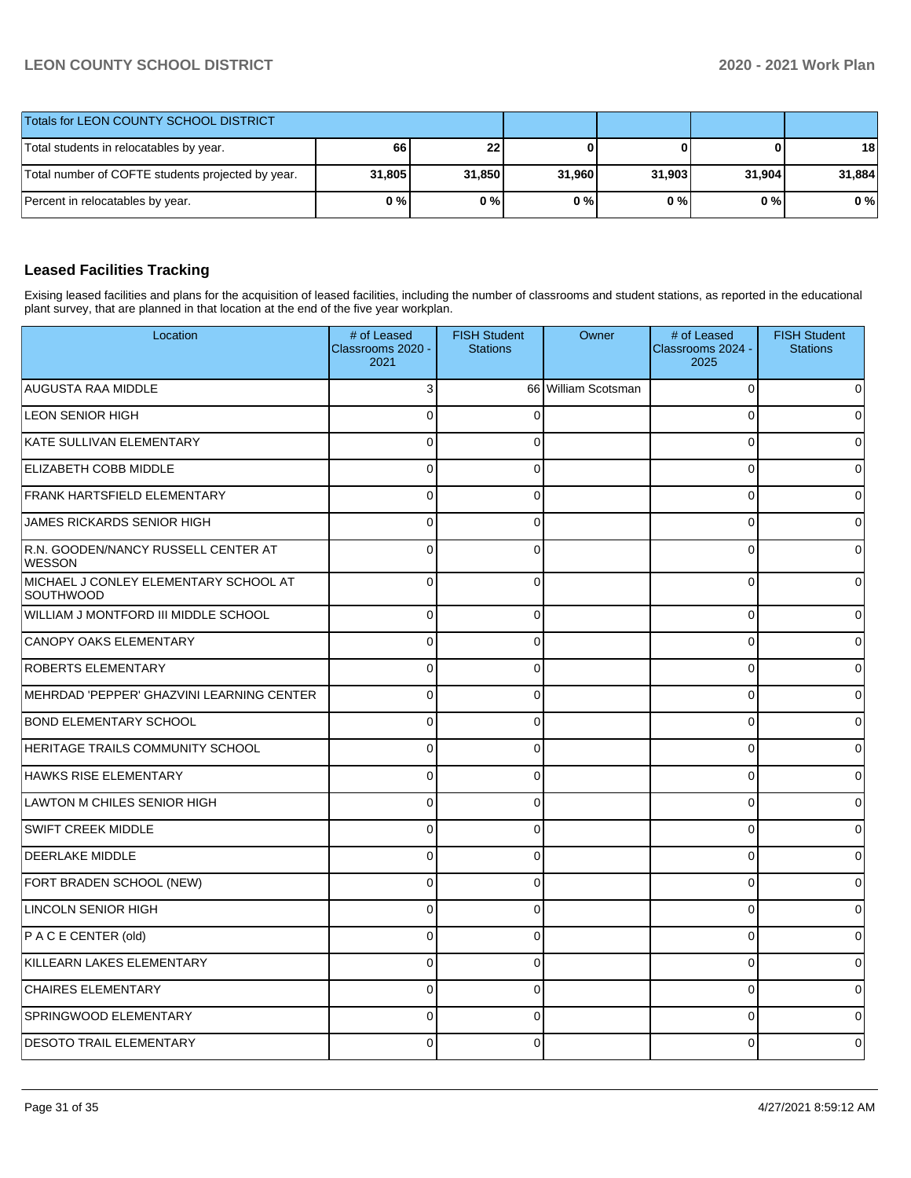| <b>Totals for LEON COUNTY SCHOOL DISTRICT</b>     |        |        |        |        |        |        |
|---------------------------------------------------|--------|--------|--------|--------|--------|--------|
| Total students in relocatables by year.           | 661    | 22 I   |        |        | 0      | 18     |
| Total number of COFTE students projected by year. | 31,805 | 31,850 | 31.960 | 31.903 | 31,904 | 31,884 |
| Percent in relocatables by year.                  | 0%     | 0%     | 0%     | 0%     | 0 % I  | $0\%$  |

## **Leased Facilities Tracking**

Exising leased facilities and plans for the acquisition of leased facilities, including the number of classrooms and student stations, as reported in the educational plant survey, that are planned in that location at the end of the five year workplan.

| Location                                             | # of Leased<br>Classrooms 2020 -<br>2021 | <b>FISH Student</b><br><b>Stations</b> | Owner               | # of Leased<br>Classrooms 2024 -<br>2025 | <b>FISH Student</b><br><b>Stations</b> |
|------------------------------------------------------|------------------------------------------|----------------------------------------|---------------------|------------------------------------------|----------------------------------------|
| AUGUSTA RAA MIDDLE                                   | 3                                        |                                        | 66 William Scotsman | $\Omega$                                 | 0                                      |
| <b>LEON SENIOR HIGH</b>                              | $\mathbf 0$                              | $\Omega$                               |                     | $\Omega$                                 | 0                                      |
| KATE SULLIVAN ELEMENTARY                             | $\mathbf 0$                              | $\Omega$                               |                     | $\Omega$                                 | 0                                      |
| <b>ELIZABETH COBB MIDDLE</b>                         | $\mathbf 0$                              | $\Omega$                               |                     | $\Omega$                                 | $\Omega$                               |
| <b>FRANK HARTSFIELD ELEMENTARY</b>                   | $\Omega$                                 | $\Omega$                               |                     | $\Omega$                                 | 0                                      |
| JAMES RICKARDS SENIOR HIGH                           | $\mathbf 0$                              | $\Omega$                               |                     | $\Omega$                                 | $\mathbf 0$                            |
| R.N. GOODEN/NANCY RUSSELL CENTER AT<br><b>WESSON</b> | $\Omega$                                 | $\Omega$                               |                     | $\Omega$                                 | $\Omega$                               |
| MICHAEL J CONLEY ELEMENTARY SCHOOL AT<br>SOUTHWOOD   | $\mathbf 0$                              | $\Omega$                               |                     | $\Omega$                                 | 0                                      |
| WILLIAM J MONTFORD III MIDDLE SCHOOL                 | $\mathbf 0$                              | $\Omega$                               |                     | $\Omega$                                 | 0                                      |
| <b>CANOPY OAKS ELEMENTARY</b>                        | $\mathbf 0$                              | $\Omega$                               |                     | $\Omega$                                 | 0                                      |
| <b>ROBERTS ELEMENTARY</b>                            | $\mathbf{0}$                             | $\Omega$                               |                     | $\Omega$                                 | 0                                      |
| MEHRDAD 'PEPPER' GHAZVINI LEARNING CENTER            | $\mathbf 0$                              | $\Omega$                               |                     | $\Omega$                                 | 0                                      |
| <b>BOND ELEMENTARY SCHOOL</b>                        | $\mathbf 0$                              | $\Omega$                               |                     | $\Omega$                                 | 0                                      |
| <b>HERITAGE TRAILS COMMUNITY SCHOOL</b>              | $\mathbf 0$                              | $\Omega$                               |                     | $\Omega$                                 | $\overline{0}$                         |
| HAWKS RISE ELEMENTARY                                | $\Omega$                                 | $\Omega$                               |                     | $\Omega$                                 | 0                                      |
| LAWTON M CHILES SENIOR HIGH                          | $\mathbf 0$                              | $\Omega$                               |                     | $\mathbf 0$                              | 0                                      |
| <b>SWIFT CREEK MIDDLE</b>                            | $\mathbf 0$                              | $\Omega$                               |                     | 0                                        | 0                                      |
| <b>DEERLAKE MIDDLE</b>                               | $\mathbf 0$                              | $\mathbf 0$                            |                     | $\Omega$                                 | 0                                      |
| FORT BRADEN SCHOOL (NEW)                             | $\mathbf 0$                              | $\Omega$                               |                     | $\Omega$                                 | $\Omega$                               |
| LINCOLN SENIOR HIGH                                  | $\mathbf 0$                              | $\Omega$                               |                     | $\Omega$                                 | $\Omega$                               |
| P AC E CENTER (old)                                  | $\mathbf 0$                              | $\Omega$                               |                     | $\Omega$                                 | $\overline{0}$                         |
| KILLEARN LAKES ELEMENTARY                            | $\mathbf 0$                              | $\Omega$                               |                     | $\Omega$                                 | $\Omega$                               |
| <b>CHAIRES ELEMENTARY</b>                            | $\mathbf 0$                              | $\Omega$                               |                     | $\Omega$                                 | 0                                      |
| SPRINGWOOD ELEMENTARY                                | $\mathbf 0$                              | $\Omega$                               |                     | 0                                        | 0                                      |
| <b>DESOTO TRAIL ELEMENTARY</b>                       | $\Omega$                                 | 0                                      |                     | 0                                        | 0                                      |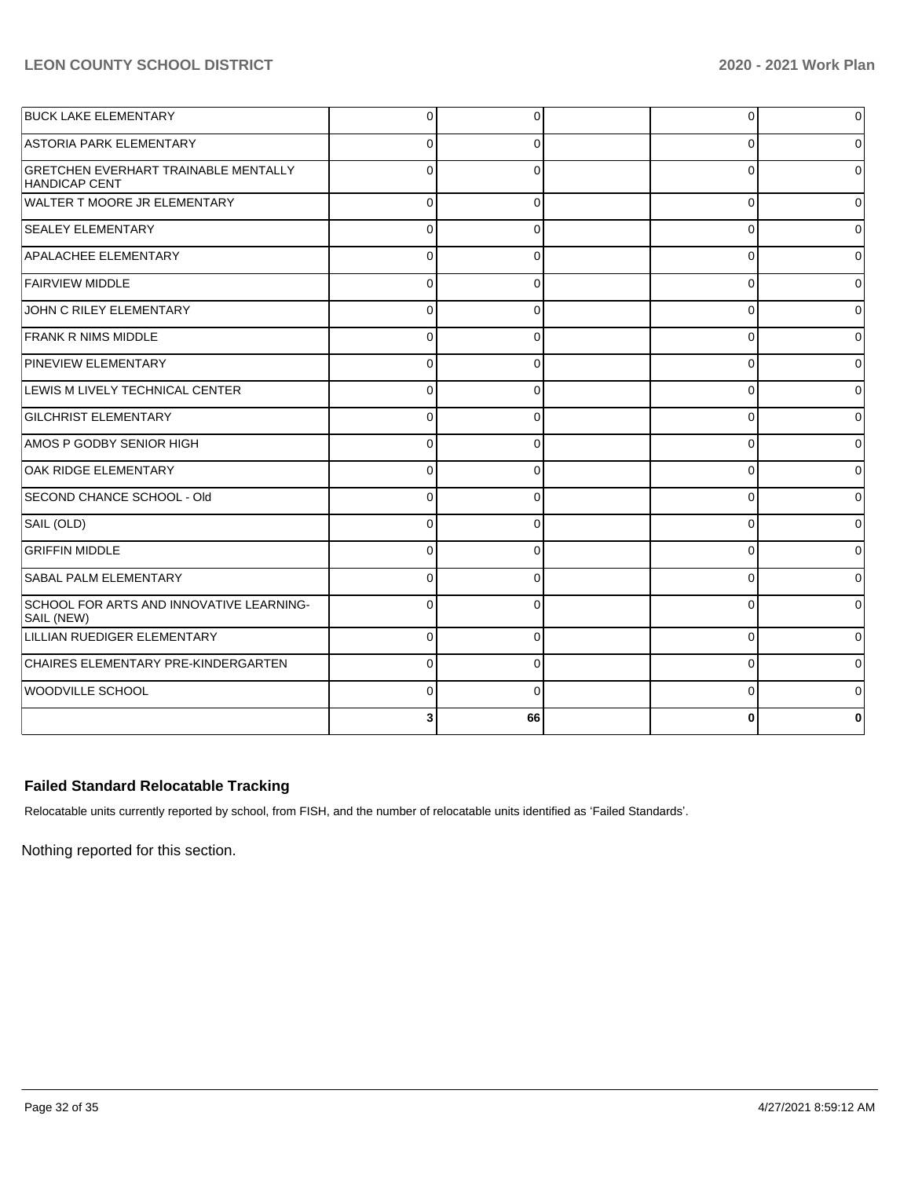| <b>BUCK LAKE ELEMENTARY</b>                                         | $\Omega$     | $\Omega$ | 0        | $\Omega$       |
|---------------------------------------------------------------------|--------------|----------|----------|----------------|
| <b>ASTORIA PARK ELEMENTARY</b>                                      | $\Omega$     | O        | O        | 0              |
| <b>GRETCHEN EVERHART TRAINABLE MENTALLY</b><br><b>HANDICAP CENT</b> | <sup>0</sup> |          | n        | $\Omega$       |
| WALTER T MOORE JR ELEMENTARY                                        | $\Omega$     | $\Omega$ | 0        | $\Omega$       |
| <b>SEALEY ELEMENTARY</b>                                            | $\Omega$     | $\Omega$ | 0        | $\overline{0}$ |
| <b>APALACHEE ELEMENTARY</b>                                         | $\Omega$     | $\Omega$ | $\Omega$ | 0              |
| <b>FAIRVIEW MIDDLE</b>                                              | $\Omega$     | $\Omega$ | O        | $\Omega$       |
| JOHN C RILEY ELEMENTARY                                             | $\Omega$     | $\Omega$ | 0        | $\overline{0}$ |
| <b>FRANK R NIMS MIDDLE</b>                                          | $\Omega$     | C        | U        | $\Omega$       |
| PINEVIEW ELEMENTARY                                                 | $\Omega$     | 0        | 0        | $\overline{0}$ |
| LEWIS M LIVELY TECHNICAL CENTER                                     | $\Omega$     | $\Omega$ | $\Omega$ | $\Omega$       |
| <b>GILCHRIST ELEMENTARY</b>                                         | $\Omega$     | $\Omega$ | 0        | $\overline{0}$ |
| AMOS P GODBY SENIOR HIGH                                            | $\Omega$     | $\Omega$ | 0        | $\overline{0}$ |
| OAK RIDGE ELEMENTARY                                                | $\Omega$     |          | O        | $\Omega$       |
| SECOND CHANCE SCHOOL - Old                                          | $\Omega$     | $\Omega$ | O        | $\Omega$       |
| SAIL (OLD)                                                          | $\Omega$     | $\Omega$ | $\Omega$ | $\Omega$       |
| <b>GRIFFIN MIDDLE</b>                                               | $\Omega$     | $\Omega$ | $\Omega$ | $\Omega$       |
| <b>SABAL PALM ELEMENTARY</b>                                        | $\Omega$     | $\Omega$ | 0        | $\overline{0}$ |
| SCHOOL FOR ARTS AND INNOVATIVE LEARNING-<br>SAIL (NEW)              | $\Omega$     |          | n        | 0              |
| LILLIAN RUEDIGER ELEMENTARY                                         | $\Omega$     | $\Omega$ | $\Omega$ | $\Omega$       |
| CHAIRES ELEMENTARY PRE-KINDERGARTEN                                 | $\Omega$     | $\Omega$ | $\Omega$ | $\Omega$       |
| <b>WOODVILLE SCHOOL</b>                                             | $\Omega$     | $\Omega$ | $\Omega$ | $\Omega$       |
|                                                                     | ٩            | 66       |          | 0              |

## **Failed Standard Relocatable Tracking**

Relocatable units currently reported by school, from FISH, and the number of relocatable units identified as 'Failed Standards'.

Nothing reported for this section.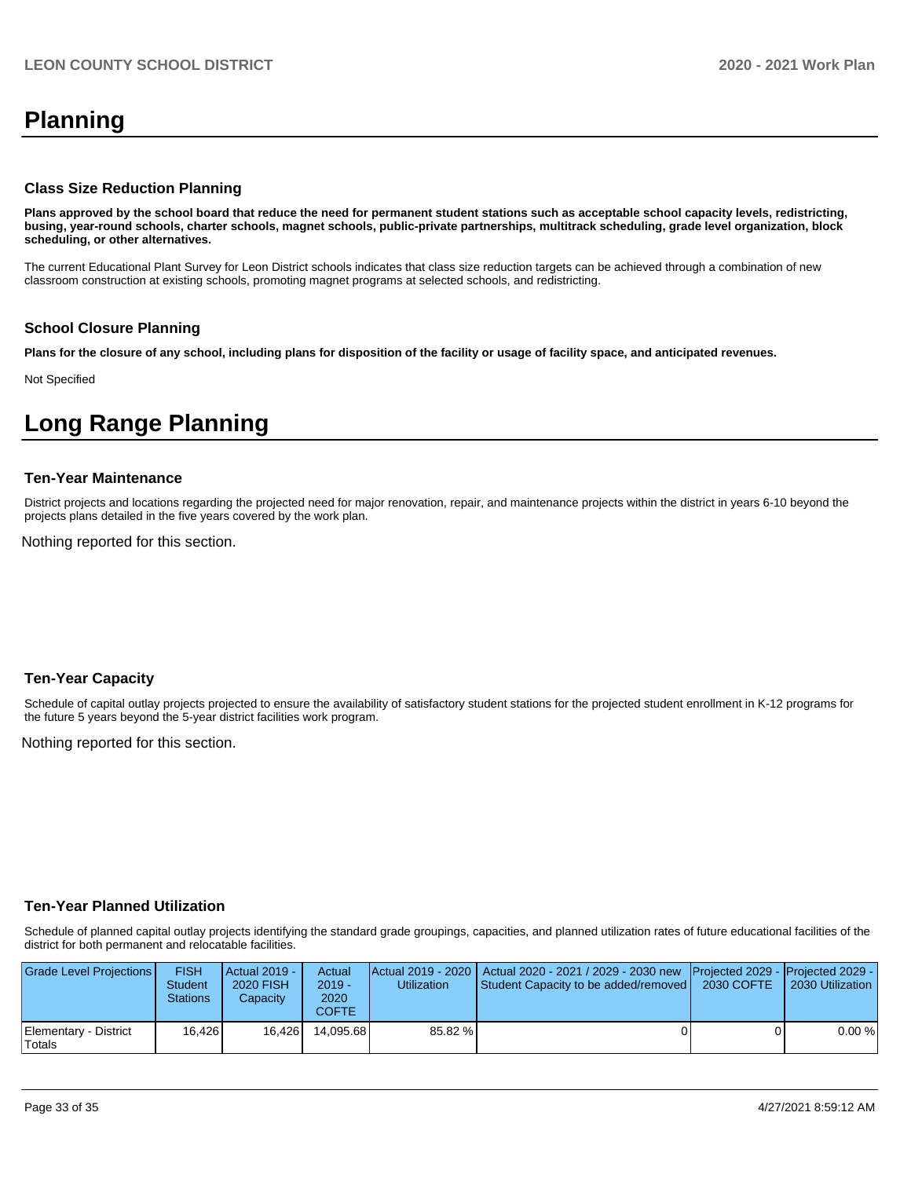## **Planning**

#### **Class Size Reduction Planning**

**Plans approved by the school board that reduce the need for permanent student stations such as acceptable school capacity levels, redistricting, busing, year-round schools, charter schools, magnet schools, public-private partnerships, multitrack scheduling, grade level organization, block scheduling, or other alternatives.**

The current Educational Plant Survey for Leon District schools indicates that class size reduction targets can be achieved through a combination of new classroom construction at existing schools, promoting magnet programs at selected schools, and redistricting.

### **School Closure Planning**

**Plans for the closure of any school, including plans for disposition of the facility or usage of facility space, and anticipated revenues.** 

Not Specified

## **Long Range Planning**

#### **Ten-Year Maintenance**

District projects and locations regarding the projected need for major renovation, repair, and maintenance projects within the district in years 6-10 beyond the projects plans detailed in the five years covered by the work plan.

Nothing reported for this section.

### **Ten-Year Capacity**

Schedule of capital outlay projects projected to ensure the availability of satisfactory student stations for the projected student enrollment in K-12 programs for the future 5 years beyond the 5-year district facilities work program.

Nothing reported for this section.

### **Ten-Year Planned Utilization**

Schedule of planned capital outlay projects identifying the standard grade groupings, capacities, and planned utilization rates of future educational facilities of the district for both permanent and relocatable facilities.

| Grade Level Projections         | FISH<br>Student<br>Stations | <b>Actual 2019 -</b><br><b>2020 FISH</b><br>Capacity | Actual<br>$2019 -$<br>2020<br>COFTE | Utilization | Actual 2019 - 2020   Actual 2020 - 2021 / 2029 - 2030 new   Projected 2029 -   Projected 2029 -<br>Student Capacity to be added/removed | 2030 COFTE | 2030 Utilization |
|---------------------------------|-----------------------------|------------------------------------------------------|-------------------------------------|-------------|-----------------------------------------------------------------------------------------------------------------------------------------|------------|------------------|
| Elementary - District<br>Totals | 16.426                      | 16.426                                               | 14.095.68                           | 85.82 %     |                                                                                                                                         |            | 0.00%            |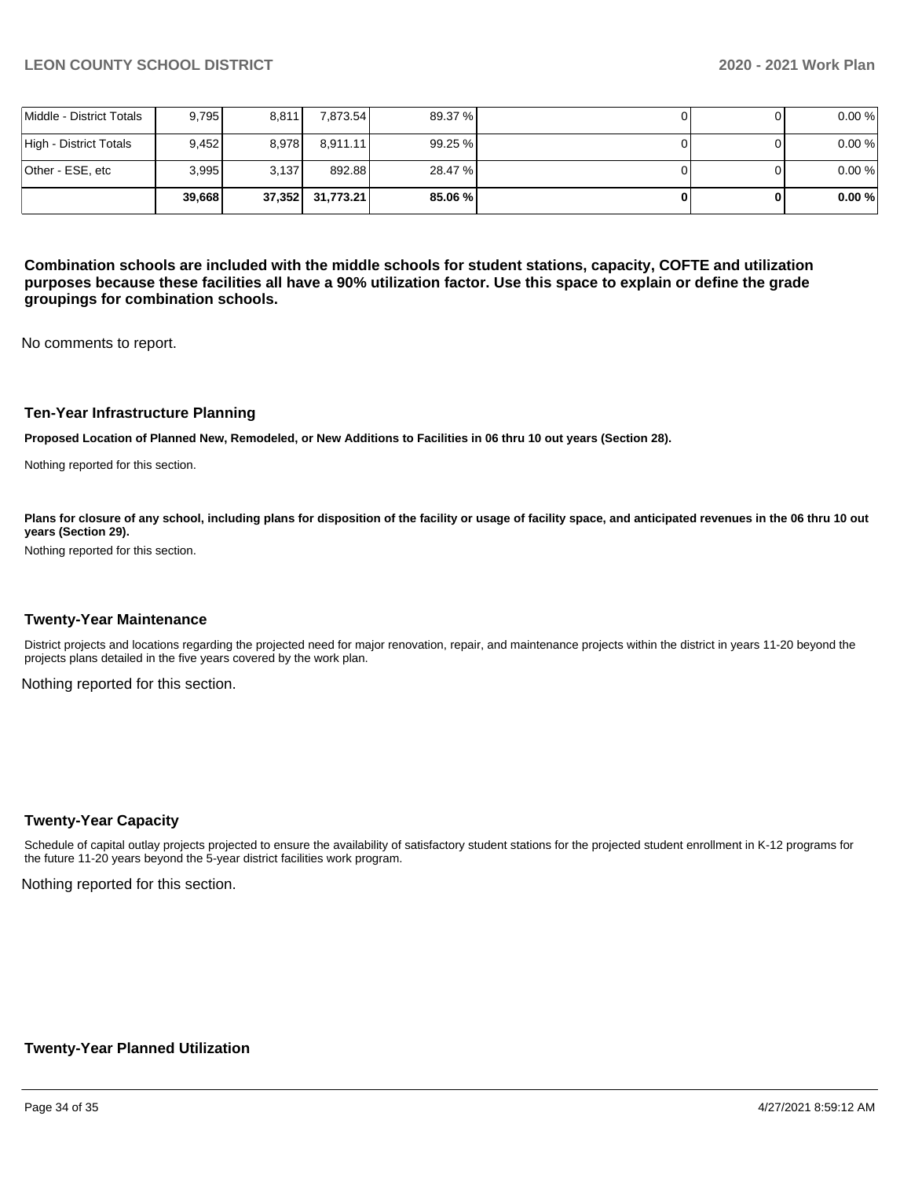|                          | 39.668 |       | 37,352 31,773.21 | 85.06 % |  | 0.00% |
|--------------------------|--------|-------|------------------|---------|--|-------|
| Other - ESE, etc         | 3.995  | 3.137 | 892.88           | 28.47 % |  | 0.00% |
| High - District Totals   | 9.452  | 8.978 | 8.911.11         | 99.25 % |  | 0.00% |
| Middle - District Totals | 9.795  | 8,811 | 7,873.54         | 89.37 % |  | 0.00% |

**Combination schools are included with the middle schools for student stations, capacity, COFTE and utilization purposes because these facilities all have a 90% utilization factor. Use this space to explain or define the grade groupings for combination schools.** 

No comments to report.

#### **Ten-Year Infrastructure Planning**

**Proposed Location of Planned New, Remodeled, or New Additions to Facilities in 06 thru 10 out years (Section 28).**

Nothing reported for this section.

Plans for closure of any school, including plans for disposition of the facility or usage of facility space, and anticipated revenues in the 06 thru 10 out **years (Section 29).**

Nothing reported for this section.

#### **Twenty-Year Maintenance**

District projects and locations regarding the projected need for major renovation, repair, and maintenance projects within the district in years 11-20 beyond the projects plans detailed in the five years covered by the work plan.

Nothing reported for this section.

#### **Twenty-Year Capacity**

Schedule of capital outlay projects projected to ensure the availability of satisfactory student stations for the projected student enrollment in K-12 programs for the future 11-20 years beyond the 5-year district facilities work program.

Nothing reported for this section.

### **Twenty-Year Planned Utilization**